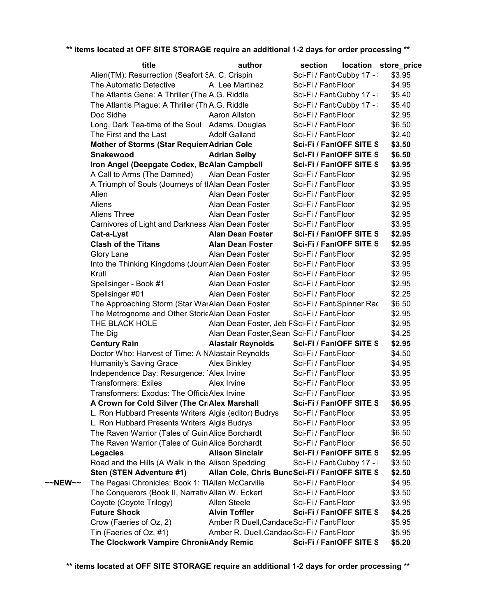|         | title                                                 | author                                        | section                    | location store_price |        |
|---------|-------------------------------------------------------|-----------------------------------------------|----------------------------|----------------------|--------|
|         | Alien(TM): Resurrection (Seafort SA. C. Crispin       |                                               | Sci-Fi / Fant Cubby 17 - : |                      | \$3.95 |
|         | The Automatic Detective                               | A. Lee Martinez                               | Sci-Fi / Fant Floor        |                      | \$4.95 |
|         | The Atlantis Gene: A Thriller (The A.G. Riddle        |                                               | Sci-Fi / Fant Cubby 17 - : |                      | \$5.40 |
|         | The Atlantis Plague: A Thriller (ThA.G. Riddle        |                                               | Sci-Fi / Fant Cubby 17 - : |                      | \$5.40 |
|         | Doc Sidhe                                             | Aaron Allston                                 | Sci-Fi / Fant Floor        |                      | \$2.95 |
|         | Long, Dark Tea-time of the Soul Adams. Douglas        |                                               | Sci-Fi / Fant Floor        |                      | \$6.50 |
|         | The First and the Last                                | <b>Adolf Galland</b>                          | Sci-Fi / Fant Floor        |                      | \$2.40 |
|         | <b>Mother of Storms (Star RequierrAdrian Cole</b>     |                                               | Sci-Fi / FantOFF SITE S    |                      | \$3.50 |
|         | <b>Snakewood</b>                                      | <b>Adrian Selby</b>                           | Sci-Fi / FantOFF SITE S    |                      | \$6.50 |
|         | Iron Angel (Deepgate Codex, BoAlan Campbell           |                                               | Sci-Fi / FantOFF SITE S    |                      | \$3.95 |
|         | A Call to Arms (The Damned) Alan Dean Foster          |                                               | Sci-Fi / Fant Floor        |                      | \$2.95 |
|         | A Triumph of Souls (Journeys of thAlan Dean Foster    |                                               | Sci-Fi / Fant Floor        |                      | \$3.95 |
|         | Alien                                                 | Alan Dean Foster                              | Sci-Fi / Fant Floor        |                      | \$2.95 |
|         | Aliens                                                | Alan Dean Foster                              | Sci-Fi / Fant Floor        |                      | \$2.95 |
|         | Aliens Three                                          | Alan Dean Foster                              | Sci-Fi / Fant Floor        |                      | \$2.95 |
|         | Carnivores of Light and Darkness Alan Dean Foster     |                                               | Sci-Fi / Fant Floor        |                      | \$3.95 |
|         | Cat-a-Lyst                                            | <b>Alan Dean Foster</b>                       | Sci-Fi / FantOFF SITE S    |                      | \$2.95 |
|         | <b>Clash of the Titans</b>                            | <b>Alan Dean Foster</b>                       | Sci-Fi / FantOFF SITE S    |                      | \$2.95 |
|         | Glory Lane                                            | Alan Dean Foster                              | Sci-Fi / Fant Floor        |                      | \$2.95 |
|         | Into the Thinking Kingdoms (JournAlan Dean Foster     |                                               | Sci-Fi / Fant Floor        |                      | \$3.95 |
|         | Krull                                                 | Alan Dean Foster                              | Sci-Fi / Fant Floor        |                      | \$2.95 |
|         | Spellsinger - Book #1                                 | Alan Dean Foster                              | Sci-Fi / Fant Floor        |                      | \$2.95 |
|         | Spellsinger #01                                       | Alan Dean Foster                              | Sci-Fi / Fant Floor        |                      | \$2.25 |
|         | The Approaching Storm (Star WarAlan Dean Foster       |                                               | Sci-Fi / Fant:Spinner Rac  |                      | \$6.50 |
|         | The Metrognome and Other StorieAlan Dean Foster       |                                               | Sci-Fi / Fant Floor        |                      | \$2.95 |
|         | THE BLACK HOLE                                        | Alan Dean Foster, Jeb FSci-Fi / Fant: Floor   |                            |                      | \$2.95 |
|         | The Dig                                               | Alan Dean Foster, Sean Sci-Fi / Fant: Floor   |                            |                      | \$4.25 |
|         | <b>Century Rain</b>                                   | <b>Alastair Reynolds</b>                      | Sci-Fi / FantOFF SITE S    |                      | \$2.95 |
|         | Doctor Who: Harvest of Time: A NAlastair Reynolds     |                                               | Sci-Fi / Fant Floor        |                      | \$4.50 |
|         | Humanity's Saving Grace                               | Alex Binkley                                  | Sci-Fi / Fant Floor        |                      | \$4.95 |
|         | Independence Day: Resurgence: Alex Irvine             |                                               | Sci-Fi / Fant Floor        |                      | \$3.95 |
|         | <b>Transformers: Exiles</b>                           | Alex Irvine                                   | Sci-Fi / Fant Floor        |                      | \$3.95 |
|         | Transformers: Exodus: The OfficiaAlex Irvine          |                                               | Sci-Fi / Fant Floor        |                      | \$3.95 |
|         | A Crown for Cold Silver (The CriAlex Marshall         |                                               | Sci-Fi / FantOFF SITE S    |                      | \$6.95 |
|         | L. Ron Hubbard Presents Writers Algis (editor) Budrys |                                               | Sci-Fi / Fant Floor        |                      | \$3.95 |
|         | L. Ron Hubbard Presents Writers Algis Budrys          |                                               | Sci-Fi / Fant Floor        |                      | \$3.95 |
|         | The Raven Warrior (Tales of Guin Alice Borchardt      |                                               | Sci-Fi / Fant Floor        |                      | \$6.50 |
|         | The Raven Warrior (Tales of Guin Alice Borchardt      |                                               | Sci-Fi / Fant Floor        |                      | \$6.50 |
|         | Legacies                                              | <b>Alison Sinclair</b>                        | Sci-Fi / FantOFF SITE S    |                      | \$2.95 |
|         | Road and the Hills (A Walk in the Alison Spedding     |                                               | Sci-Fi / Fant Cubby 17 - : |                      | \$3.50 |
|         | Sten (STEN Adventure #1)                              | Allan Cole, Chris BuncSci-Fi / FantOFF SITE S |                            |                      | \$2.50 |
| ~~NEW~~ | The Pegasi Chronicles: Book 1: TIAllan McCarville     |                                               | Sci-Fi / Fant Floor        |                      | \$4.95 |
|         | The Conquerors (Book II, Narrativ Allan W. Eckert     |                                               | Sci-Fi / Fant Floor        |                      | \$3.50 |
|         | Coyote (Coyote Trilogy)                               | <b>Allen Steele</b>                           | Sci-Fi / Fant Floor        |                      | \$3.95 |
|         | <b>Future Shock</b>                                   | <b>Alvin Toffler</b>                          | Sci-Fi / FantOFF SITE S    |                      | \$4.25 |
|         | Crow (Faeries of Oz, 2)                               | Amber R Duell, Candace Sci-Fi / Fant Floor    |                            |                      | \$5.95 |
|         | Tin (Faeries of Oz, #1)                               | Amber R. Duell, Candac (Sci-Fi / Fant Floor   |                            |                      | \$5.95 |
|         | The Clockwork Vampire ChronicAndy Remic               |                                               | Sci-Fi / FantOFF SITE S    |                      | \$5.20 |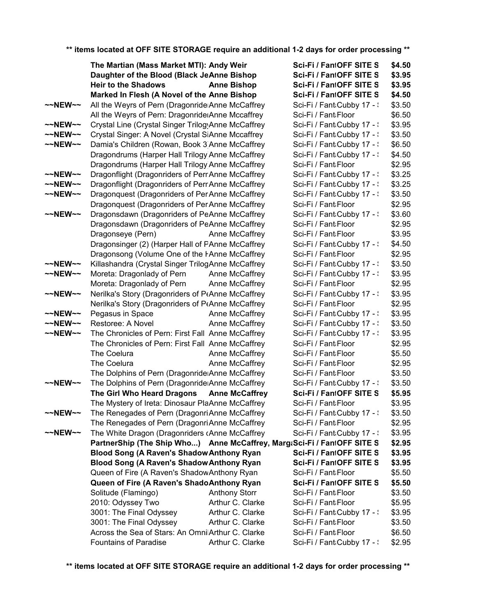|                     | The Martian (Mass Market MTI): Andy Weir                                |                      | Sci-Fi / FantOFF SITE S    | \$4.50 |
|---------------------|-------------------------------------------------------------------------|----------------------|----------------------------|--------|
|                     | Daughter of the Blood (Black JeAnne Bishop                              |                      | Sci-Fi / FantOFF SITE S    | \$3.95 |
|                     | <b>Heir to the Shadows</b>                                              | <b>Anne Bishop</b>   | Sci-Fi / FantOFF SITE S    | \$3.95 |
|                     | Marked In Flesh (A Novel of the Anne Bishop                             |                      | Sci-Fi / FantOFF SITE S    | \$4.50 |
| $\sim$ NEW $\sim$   | All the Weyrs of Pern (Dragonride Anne McCaffrey                        |                      | Sci-Fi / Fant Cubby 17 - \ | \$3.50 |
|                     | All the Weyrs of Pern: Dragonride Anne Mccaffrey                        |                      | Sci-Fi / Fant Floor        | \$6.50 |
| $\sim$ NEW $\sim$   | Crystal Line (Crystal Singer TrilogyAnne McCaffrey                      |                      | Sci-Fi / Fant Cubby 17 - \ | \$3.95 |
| $\sim$ NEW $\sim$   | Crystal Singer: A Novel (Crystal SiAnne Mccaffrey                       |                      | Sci-Fi / Fant Cubby 17 - \ | \$3.50 |
| $\sim$ NEW $\sim$   | Damia's Children (Rowan, Book 3 Anne McCaffrey                          |                      | Sci-Fi / Fant Cubby 17 - \ | \$6.50 |
|                     | Dragondrums (Harper Hall Trilogy Anne McCaffrey                         |                      | Sci-Fi / Fant Cubby 17 - \ | \$4.50 |
|                     | Dragondrums (Harper Hall Trilogy Anne McCaffrey                         |                      | Sci-Fi / Fant Floor        | \$2.95 |
| $\sim$ NEW $\sim$   | Dragonflight (Dragonriders of PerrAnne McCaffrey                        |                      | Sci-Fi / Fant Cubby 17 - : | \$3.25 |
| $\sim$ NEW $\sim$   | Dragonflight (Dragonriders of PerrAnne McCaffrey                        |                      | Sci-Fi / Fant Cubby 17 - : | \$3.25 |
| $\sim$ NEW $\sim$   | Dragonquest (Dragonriders of Per Anne McCaffrey                         |                      | Sci-Fi / Fant Cubby 17 - : | \$3.50 |
|                     | Dragonquest (Dragonriders of Per Anne McCaffrey                         |                      | Sci-Fi / Fant Floor        | \$2.95 |
| $\sim$ NEW $\sim$   | Dragonsdawn (Dragonriders of PeAnne McCaffrey                           |                      | Sci-Fi / Fant Cubby 17 - : | \$3.60 |
|                     | Dragonsdawn (Dragonriders of PeAnne McCaffrey                           |                      | Sci-Fi / Fant Floor        | \$2.95 |
|                     | Dragonseye (Pern)                                                       | Anne McCaffrey       | Sci-Fi / Fant Floor        | \$3.95 |
|                     | Dragonsinger (2) (Harper Hall of PAnne McCaffrey                        |                      | Sci-Fi / Fant Cubby 17 - : | \$4.50 |
|                     | Dragonsong (Volume One of the FAnne McCaffrey                           |                      | Sci-Fi / Fant Floor        | \$2.95 |
| $~\sim$ NEW $~\sim$ | Killashandra (Crystal Singer TrilogAnne McCaffrey                       |                      | Sci-Fi / Fant Cubby 17 - : | \$3.50 |
| $~\sim$ -NEW $\sim$ | Moreta: Dragonlady of Pern                                              | Anne McCaffrey       | Sci-Fi / Fant Cubby 17 - : | \$3.95 |
|                     | Moreta: Dragonlady of Pern                                              | Anne McCaffrey       | Sci-Fi / Fant Floor        | \$2.95 |
| $\sim$ NEW $\sim$   | Nerilka's Story (Dragonriders of PtAnne McCaffrey                       |                      | Sci-Fi / Fant Cubby 17 - : | \$3.95 |
|                     | Nerilka's Story (Dragonriders of PtAnne McCaffrey                       |                      | Sci-Fi / Fant Floor        | \$2.95 |
| $\sim$ NEW $\sim$   | Pegasus in Space                                                        | Anne McCaffrey       | Sci-Fi / Fant Cubby 17 - \ | \$3.95 |
| $\sim$ -NEW $\sim$  | Restoree: A Novel                                                       | Anne McCaffrey       | Sci-Fi / Fant Cubby 17 - : | \$3.50 |
| $\sim$ NEW $\sim$   | The Chronicles of Pern: First Fall Anne McCaffrey                       |                      | Sci-Fi / Fant Cubby 17 - : | \$3.95 |
|                     | The Chronicles of Pern: First Fall Anne McCaffrey                       |                      | Sci-Fi / Fant Floor        | \$2.95 |
|                     | The Coelura                                                             | Anne McCaffrey       | Sci-Fi / Fant Floor        | \$5.50 |
|                     | The Coelura                                                             | Anne McCaffrey       | Sci-Fi / Fant Floor        | \$2.95 |
|                     | The Dolphins of Pern (Dragonride Anne McCaffrey                         |                      | Sci-Fi / Fant Floor        | \$3.50 |
| $\sim$ NEW $\sim$   | The Dolphins of Pern (Dragonride Anne McCaffrey                         |                      | Sci-Fi / Fant Cubby 17 - : | \$3.50 |
|                     | The Girl Who Heard Dragons Anne McCaffrey                               |                      | Sci-Fi / FantOFF SITE S    | \$5.95 |
|                     | The Mystery of Ireta: Dinosaur PlaAnne McCaffrey                        |                      | Sci-Fi / Fant Floor        | \$3.95 |
| ~~NEW~~             | The Renegades of Pern (Dragonri Anne McCaffrey                          |                      | Sci-Fi / Fant Cubby 17 - \ | \$3.50 |
|                     | The Renegades of Pern (Dragonri Anne McCaffrey                          |                      | Sci-Fi / Fant Floor        | \$2.95 |
| $~\sim$ NEW $\sim$  | The White Dragon (Dragonriders cAnne McCaffrey                          |                      | Sci-Fi / Fant:Cubby 17 - : | \$3.95 |
|                     | PartnerShip (The Ship Who) Anne McCaffrey, Marg:Sci-Fi / FantOFF SITE S |                      |                            | \$2.95 |
|                     | <b>Blood Song (A Raven's Shadow Anthony Ryan</b>                        |                      | Sci-Fi / FantOFF SITE S    | \$3.95 |
|                     | <b>Blood Song (A Raven's Shadow Anthony Ryan</b>                        |                      | Sci-Fi / FantOFF SITE S    | \$3.95 |
|                     | Queen of Fire (A Raven's Shadow Anthony Ryan                            |                      | Sci-Fi / Fant Floor        | \$5.50 |
|                     | Queen of Fire (A Raven's ShadoAnthony Ryan                              |                      | Sci-Fi / FantOFF SITE S    | \$5.50 |
|                     | Solitude (Flamingo)                                                     | <b>Anthony Storr</b> | Sci-Fi / Fant Floor        | \$3.50 |
|                     | 2010: Odyssey Two                                                       | Arthur C. Clarke     | Sci-Fi / Fant Floor        | \$5.95 |
|                     | 3001: The Final Odyssey                                                 | Arthur C. Clarke     | Sci-Fi / Fant Cubby 17 - \ | \$3.95 |
|                     | 3001: The Final Odyssey                                                 | Arthur C. Clarke     | Sci-Fi / Fant Floor        | \$3.50 |
|                     | Across the Sea of Stars: An OmnilArthur C. Clarke                       |                      | Sci-Fi / Fant Floor        | \$6.50 |
|                     | <b>Fountains of Paradise</b>                                            | Arthur C. Clarke     | Sci-Fi / Fant Cubby 17 - : | \$2.95 |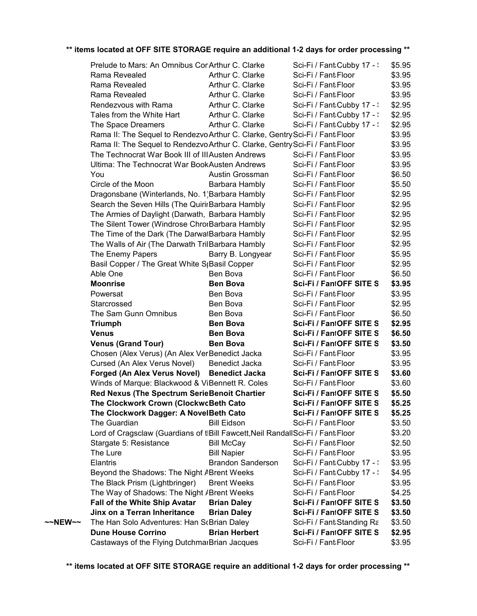|         | Prelude to Mars: An Omnibus ConArthur C. Clarke                                 |                          | Sci-Fi / Fant Cubby 17 - : | \$5.95 |
|---------|---------------------------------------------------------------------------------|--------------------------|----------------------------|--------|
|         | Rama Revealed                                                                   | Arthur C. Clarke         | Sci-Fi / Fant Floor        | \$3.95 |
|         | Rama Revealed                                                                   | Arthur C. Clarke         | Sci-Fi / Fant Floor        | \$3.95 |
|         | Rama Revealed                                                                   | Arthur C. Clarke         | Sci-Fi / Fant Floor        | \$3.95 |
|         | Rendezvous with Rama                                                            | Arthur C. Clarke         | Sci-Fi / Fant Cubby 17 - : | \$2.95 |
|         | Tales from the White Hart                                                       | Arthur C. Clarke         | Sci-Fi / Fant Cubby 17 - : | \$2.95 |
|         | The Space Dreamers                                                              | Arthur C. Clarke         | Sci-Fi / Fant Cubby 17 - : | \$2.95 |
|         | Rama II: The Sequel to Rendezvo Arthur C. Clarke, Gentry Sci-Fi / Fant:Floor    |                          |                            | \$3.95 |
|         | Rama II: The Sequel to Rendezvo Arthur C. Clarke, Gentry Sci-Fi / Fant Floor    |                          |                            | \$3.95 |
|         | The Technocrat War Book III of III Austen Andrews                               |                          | Sci-Fi / Fant Floor        | \$3.95 |
|         | <b>Ultima: The Technocrat War BookAusten Andrews</b>                            |                          | Sci-Fi / Fant Floor        | \$3.95 |
|         | You                                                                             | Austin Grossman          | Sci-Fi / Fant Floor        | \$6.50 |
|         | Circle of the Moon                                                              | Barbara Hambly           | Sci-Fi / Fant Floor        | \$5.50 |
|         | Dragonsbane (Winterlands, No. 1) Barbara Hambly                                 |                          | Sci-Fi / Fant Floor        | \$2.95 |
|         | Search the Seven Hills (The QuirirBarbara Hambly                                |                          | Sci-Fi / Fant Floor        | \$2.95 |
|         | The Armies of Daylight (Darwath, Barbara Hambly                                 |                          | Sci-Fi / Fant Floor        | \$2.95 |
|         | The Silent Tower (Windrose ChrorBarbara Hambly                                  |                          | Sci-Fi / Fant Floor        | \$2.95 |
|         | The Time of the Dark (The DarwatBarbara Hambly                                  |                          | Sci-Fi / Fant Floor        | \$2.95 |
|         | The Walls of Air (The Darwath TrilBarbara Hambly                                |                          | Sci-Fi / Fant Floor        | \$2.95 |
|         | The Enemy Papers                                                                | Barry B. Longyear        | Sci-Fi / Fant Floor        | \$5.95 |
|         | Basil Copper / The Great White S <sub>l</sub> Basil Copper                      |                          | Sci-Fi / Fant:Floor        | \$2.95 |
|         | Able One                                                                        | Ben Bova                 | Sci-Fi / Fant Floor        | \$6.50 |
|         | <b>Moonrise</b>                                                                 | <b>Ben Bova</b>          | Sci-Fi / FantOFF SITE S    | \$3.95 |
|         | Powersat                                                                        | Ben Bova                 | Sci-Fi / Fant Floor        | \$3.95 |
|         | Starcrossed                                                                     | Ben Bova                 | Sci-Fi / Fant Floor        | \$2.95 |
|         | The Sam Gunn Omnibus                                                            | Ben Bova                 | Sci-Fi / Fant Floor        | \$6.50 |
|         | <b>Triumph</b>                                                                  | <b>Ben Bova</b>          | Sci-Fi / FantOFF SITE S    | \$2.95 |
|         | <b>Venus</b>                                                                    | <b>Ben Bova</b>          | Sci-Fi / FantOFF SITE S    | \$6.50 |
|         | <b>Venus (Grand Tour)</b>                                                       | <b>Ben Bova</b>          | Sci-Fi / FantOFF SITE S    | \$3.50 |
|         | Chosen (Alex Verus) (An Alex VerBenedict Jacka                                  |                          | Sci-Fi / Fant Floor        | \$3.95 |
|         | Cursed (An Alex Verus Novel)                                                    | Benedict Jacka           | Sci-Fi / Fant Floor        | \$3.95 |
|         | Forged (An Alex Verus Novel) Benedict Jacka                                     |                          | Sci-Fi / FantOFF SITE S    | \$3.60 |
|         | Winds of Marque: Blackwood & ViBennett R. Coles                                 |                          | Sci-Fi / Fant Floor        | \$3.60 |
|         | Red Nexus (The Spectrum SerieBenoit Chartier                                    |                          | Sci-Fi / FantOFF SITE S    | \$5.50 |
|         | The Clockwork Crown (ClockwcBeth Cato                                           |                          | Sci-Fi / FantOFF SITE S    | \$5.25 |
|         | The Clockwork Dagger: A NovelBeth Cato                                          |                          | Sci-Fi / FantOFF SITE S    | \$5.25 |
|         | The Guardian                                                                    | <b>Bill Eidson</b>       | Sci-Fi / Fant Floor        | \$3.50 |
|         | Lord of Cragsclaw (Guardians of tIBill Fawcett, Neil RandallSci-Fi / Fant Floor |                          |                            | \$3.20 |
|         | Stargate 5: Resistance                                                          | <b>Bill McCay</b>        | Sci-Fi / Fant Floor        | \$2.50 |
|         | The Lure                                                                        | <b>Bill Napier</b>       | Sci-Fi / Fant Floor        | \$3.95 |
|         | Elantris                                                                        | <b>Brandon Sanderson</b> | Sci-Fi / Fant Cubby 17 - : | \$3.95 |
|         | Beyond the Shadows: The Night ABrent Weeks                                      |                          | Sci-Fi / Fant Cubby 17 - : | \$4.95 |
|         | The Black Prism (Lightbringer)                                                  | <b>Brent Weeks</b>       | Sci-Fi / Fant Floor        | \$3.95 |
|         | The Way of Shadows: The Night / Brent Weeks                                     |                          | Sci-Fi / Fant Floor        | \$4.25 |
|         | Fall of the White Ship Avatar                                                   | <b>Brian Daley</b>       | Sci-Fi / FantOFF SITE S    | \$3.50 |
|         | Jinx on a Terran Inheritance                                                    | <b>Brian Daley</b>       | Sci-Fi / FantOFF SITE S    | \$3.50 |
| ~~NEW~~ | The Han Solo Adventures: Han ScBrian Daley                                      |                          | Sci-Fi / Fant Standing Ra  | \$3.50 |
|         | <b>Dune House Corrino</b>                                                       | <b>Brian Herbert</b>     | Sci-Fi / FantOFF SITE S    | \$2.95 |
|         | Castaways of the Flying DutchmarBrian Jacques                                   |                          | Sci-Fi / Fant Floor        | \$3.95 |
|         |                                                                                 |                          |                            |        |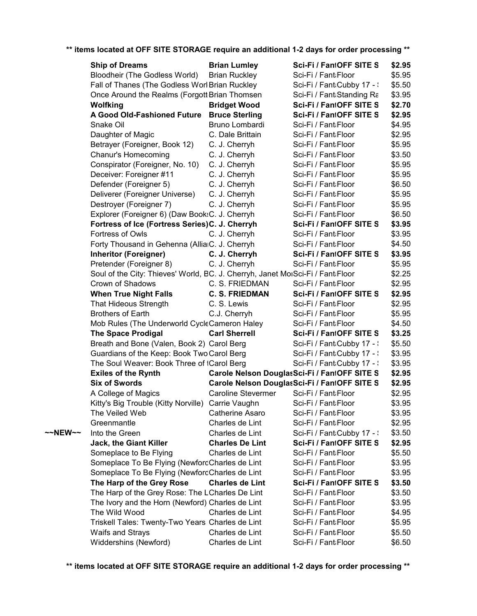|         | <b>Ship of Dreams</b>                                                          | <b>Brian Lumley</b>       | Sci-Fi / FantOFF SITE S                      | \$2.95 |
|---------|--------------------------------------------------------------------------------|---------------------------|----------------------------------------------|--------|
|         | Bloodheir (The Godless World)                                                  | <b>Brian Ruckley</b>      | Sci-Fi / Fant Floor                          | \$5.95 |
|         | Fall of Thanes (The Godless Worl Brian Ruckley                                 |                           | Sci-Fi / Fant Cubby 17 - :                   | \$5.50 |
|         | Once Around the Realms (Forgott Brian Thomsen                                  |                           | Sci-Fi / Fant Standing Ra                    | \$3.95 |
|         | <b>Wolfking</b>                                                                | <b>Bridget Wood</b>       | Sci-Fi / FantOFF SITE S                      | \$2.70 |
|         | A Good Old-Fashioned Future                                                    | <b>Bruce Sterling</b>     | Sci-Fi / FantOFF SITE S                      | \$2.95 |
|         | Snake Oil                                                                      | Bruno Lombardi            | Sci-Fi / Fant Floor                          | \$4.95 |
|         | Daughter of Magic                                                              | C. Dale Brittain          | Sci-Fi / Fant Floor                          | \$2.95 |
|         | Betrayer (Foreigner, Book 12)                                                  | C. J. Cherryh             | Sci-Fi / Fant Floor                          | \$5.95 |
|         | Chanur's Homecoming                                                            | C. J. Cherryh             | Sci-Fi / Fant Floor                          | \$3.50 |
|         | Conspirator (Foreigner, No. 10)                                                | C. J. Cherryh             | Sci-Fi / Fant Floor                          | \$5.95 |
|         | Deceiver: Foreigner #11                                                        | C. J. Cherryh             | Sci-Fi / Fant Floor                          | \$5.95 |
|         | Defender (Foreigner 5)                                                         | C. J. Cherryh             | Sci-Fi / Fant Floor                          | \$6.50 |
|         | Deliverer (Foreigner Universe)                                                 | C. J. Cherryh             | Sci-Fi / Fant Floor                          | \$5.95 |
|         | Destroyer (Foreigner 7)                                                        | C. J. Cherryh             | Sci-Fi / Fant Floor                          | \$5.95 |
|         | Explorer (Foreigner 6) (Daw Book:C. J. Cherryh                                 |                           | Sci-Fi / Fant Floor                          | \$6.50 |
|         | Fortress of Ice (Fortress Series)C. J. Cherryh                                 |                           | Sci-Fi / FantOFF SITE S                      | \$3.95 |
|         | Fortress of Owls                                                               | C. J. Cherryh             | Sci-Fi / Fant Floor                          | \$3.95 |
|         | Forty Thousand in Gehenna (AlliaiC. J. Cherryh                                 |                           | Sci-Fi / Fant Floor                          | \$4.50 |
|         | <b>Inheritor (Foreigner)</b>                                                   | C. J. Cherryh             | Sci-Fi / FantOFF SITE S                      | \$3.95 |
|         | Pretender (Foreigner 8)                                                        | C. J. Cherryh             | Sci-Fi / Fant Floor                          | \$5.95 |
|         | Soul of the City: Thieves' World, BC. J. Cherryh, Janet MoiSci-Fi / Fant Floor |                           |                                              | \$2.25 |
|         | Crown of Shadows                                                               | C. S. FRIEDMAN            | Sci-Fi / Fant Floor                          | \$2.95 |
|         | <b>When True Night Falls</b>                                                   | <b>C. S. FRIEDMAN</b>     | Sci-Fi / FantOFF SITE S                      | \$2.95 |
|         | That Hideous Strength                                                          | C. S. Lewis               | Sci-Fi / Fant Floor                          | \$2.95 |
|         | <b>Brothers of Earth</b>                                                       | C.J. Cherryh              | Sci-Fi / Fant Floor                          | \$5.95 |
|         | Mob Rules (The Underworld CycleCameron Haley                                   |                           | Sci-Fi / Fant Floor                          | \$4.50 |
|         | <b>The Space Prodigal</b>                                                      | <b>Carl Sherrell</b>      | Sci-Fi / FantOFF SITE S                      | \$3.25 |
|         | Breath and Bone (Valen, Book 2) Carol Berg                                     |                           | Sci-Fi / Fant Cubby 17 - :                   | \$5.50 |
|         | Guardians of the Keep: Book Two Carol Berg                                     |                           | Sci-Fi / Fant Cubby 17 - :                   | \$3.95 |
|         | The Soul Weaver: Book Three of tCarol Berg                                     |                           | Sci-Fi / Fant Cubby 17 - :                   | \$3.95 |
|         | <b>Exiles of the Rynth</b>                                                     |                           | Carole Nelson DouglasSci-Fi / FantOFF SITE S | \$2.95 |
|         | <b>Six of Swords</b>                                                           |                           | Carole Nelson DouglasSci-Fi / FantOFF SITE S | \$2.95 |
|         | A College of Magics                                                            | <b>Caroline Stevermer</b> | Sci-Fi / Fant Floor                          | \$2.95 |
|         | Kitty's Big Trouble (Kitty Norville) Carrie Vaughn                             |                           | Sci-Fi / Fant Floor                          | \$3.95 |
|         | The Veiled Web                                                                 | Catherine Asaro           | Sci-Fi / Fant Floor                          | \$3.95 |
|         | Greenmantle                                                                    | Charles de Lint           | Sci-Fi / Fant Floor                          | \$2.95 |
| ~~NEW~~ | Into the Green                                                                 | Charles de Lint           | Sci-Fi / Fant Cubby 17 - \                   | \$3.50 |
|         | Jack, the Giant Killer                                                         | <b>Charles De Lint</b>    | Sci-Fi / FantOFF SITE S                      | \$2.95 |
|         | Someplace to Be Flying                                                         | Charles de Lint           | Sci-Fi / Fant Floor                          | \$5.50 |
|         | Someplace To Be Flying (NewfordCharles de Lint                                 |                           | Sci-Fi / Fant Floor                          | \$3.95 |
|         |                                                                                |                           | Sci-Fi / Fant Floor                          | \$3.95 |
|         | Someplace To Be Flying (NewfordCharles de Lint                                 | <b>Charles de Lint</b>    | Sci-Fi / FantOFF SITE S                      |        |
|         | The Harp of the Grey Rose<br>The Harp of the Grey Rose: The LCharles De Lint   |                           |                                              | \$3.50 |
|         |                                                                                |                           | Sci-Fi / Fant Floor                          | \$3.50 |
|         | The Ivory and the Horn (Newford) Charles de Lint                               |                           | Sci-Fi / Fant Floor                          | \$3.95 |
|         | The Wild Wood                                                                  | Charles de Lint           | Sci-Fi / Fant Floor                          | \$4.95 |
|         | Triskell Tales: Twenty-Two Years Charles de Lint                               |                           | Sci-Fi / Fant Floor                          | \$5.95 |
|         | Waifs and Strays                                                               | Charles de Lint           | Sci-Fi / Fant:Floor                          | \$5.50 |
|         | Widdershins (Newford)                                                          | Charles de Lint           | Sci-Fi / Fant Floor                          | \$6.50 |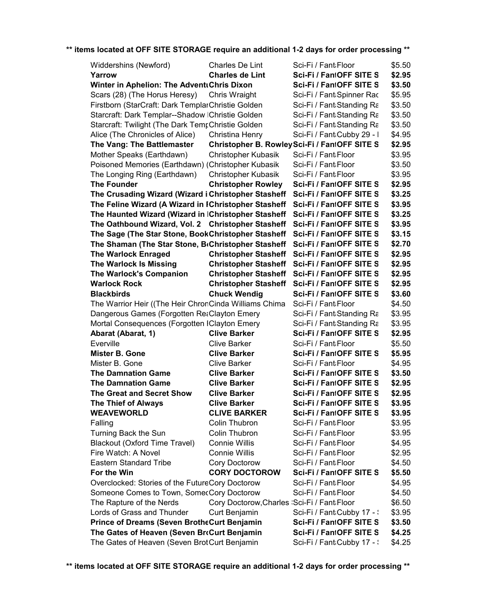| Widdershins (Newford)                                                       | Charles De Lint                             | Sci-Fi / Fant Floor                          | \$5.50 |
|-----------------------------------------------------------------------------|---------------------------------------------|----------------------------------------------|--------|
| Yarrow                                                                      | <b>Charles de Lint</b>                      | Sci-Fi / FantOFF SITE S                      | \$2.95 |
| <b>Winter in Aphelion: The AdventtChris Dixon</b>                           |                                             | Sci-Fi / FantOFF SITE S                      | \$3.50 |
| Scars (28) (The Horus Heresy)                                               | Chris Wraight                               | Sci-Fi / Fant:Spinner Rac                    | \$5.95 |
| Firstborn (StarCraft: Dark TemplarChristie Golden                           |                                             | Sci-Fi / Fant:Standing Ra                    | \$3.50 |
| Starcraft: Dark Templar--Shadow IChristie Golden                            |                                             | Sci-Fi / Fant:Standing Ra                    | \$3.50 |
| Starcraft: Twilight (The Dark TempChristie Golden                           |                                             | Sci-Fi / Fant:Standing Ra                    | \$3.50 |
| Alice (The Chronicles of Alice)                                             | Christina Henry                             | Sci-Fi / Fant Cubby 29 - I                   | \$4.95 |
| The Vang: The Battlemaster                                                  |                                             | Christopher B. RowleySci-Fi / FantOFF SITE S | \$2.95 |
| Mother Speaks (Earthdawn)                                                   | Christopher Kubasik                         | Sci-Fi / Fant Floor                          | \$3.95 |
| Poisoned Memories (Earthdawn) (Christopher Kubasik                          |                                             | Sci-Fi / Fant Floor                          | \$3.50 |
| The Longing Ring (Earthdawn)                                                | Christopher Kubasik                         | Sci-Fi / Fant Floor                          | \$3.95 |
| <b>The Founder</b>                                                          | <b>Christopher Rowley</b>                   | Sci-Fi / FantOFF SITE S                      | \$2.95 |
| The Crusading Wizard (Wizard i Christopher Stasheff                         |                                             | Sci-Fi / FantOFF SITE S                      | \$3.25 |
| The Feline Wizard (A Wizard in IChristopher Stasheff                        |                                             | Sci-Fi / FantOFF SITE S                      | \$3.95 |
| The Haunted Wizard (Wizard in IChristopher Stasheff Sci-Fi / FantOFF SITE S |                                             |                                              | \$3.25 |
| The Oathbound Wizard, Vol. 2 Christopher Stasheff Sci-Fi / FantOFF SITE S   |                                             |                                              | \$3.95 |
| The Sage (The Star Stone, BookChristopher Stasheff Sci-Fi / FantOFF SITE S  |                                             |                                              | \$3.15 |
| The Shaman (The Star Stone, BcChristopher Stasheff Sci-Fi / FantOFF SITE S  |                                             |                                              | \$2.70 |
| <b>The Warlock Enraged</b>                                                  |                                             | Christopher Stasheff Sci-Fi / FantOFF SITE S | \$2.95 |
| The Warlock Is Missing                                                      | <b>Christopher Stasheff</b>                 | Sci-Fi / FantOFF SITE S                      | \$2.95 |
| <b>The Warlock's Companion</b>                                              | <b>Christopher Stasheff</b>                 | Sci-Fi / FantOFF SITE S                      | \$2.95 |
| <b>Warlock Rock</b>                                                         |                                             | Christopher Stasheff Sci-Fi / FantOFF SITE S | \$2.95 |
| <b>Blackbirds</b>                                                           | <b>Chuck Wendig</b>                         | Sci-Fi / FantOFF SITE S                      | \$3.60 |
| The Warrior Heir ((The Heir ChronCinda Williams Chima                       |                                             | Sci-Fi / Fant Floor                          | \$4.50 |
| Dangerous Games (Forgotten ReaClayton Emery                                 |                                             | Sci-Fi / Fant:Standing Ra                    | \$3.95 |
| Mortal Consequences (Forgotten IClayton Emery                               |                                             | Sci-Fi / Fant:Standing Ra                    | \$3.95 |
| Abarat (Abarat, 1)                                                          | <b>Clive Barker</b>                         | Sci-Fi / FantOFF SITE S                      | \$2.95 |
| Everville                                                                   | <b>Clive Barker</b>                         | Sci-Fi / Fant Floor                          | \$5.50 |
| <b>Mister B. Gone</b>                                                       | <b>Clive Barker</b>                         | Sci-Fi / FantOFF SITE S                      | \$5.95 |
| Mister B. Gone                                                              | <b>Clive Barker</b>                         | Sci-Fi / Fant Floor                          | \$4.95 |
| <b>The Damnation Game</b>                                                   | <b>Clive Barker</b>                         | Sci-Fi / FantOFF SITE S                      | \$3.50 |
| <b>The Damnation Game</b>                                                   | <b>Clive Barker</b>                         | Sci-Fi / FantOFF SITE S                      | \$2.95 |
| <b>The Great and Secret Show</b>                                            | <b>Clive Barker</b>                         | Sci-Fi / FantOFF SITE S                      | \$2.95 |
| <b>The Thief of Always</b>                                                  | <b>Clive Barker</b>                         | Sci-Fi / FantOFF SITE S                      | \$3.95 |
| <b>WEAVEWORLD</b>                                                           | <b>CLIVE BARKER</b>                         | Sci-Fi / FantOFF SITE S                      | \$3.95 |
| Falling                                                                     | Colin Thubron                               | Sci-Fi / Fant Floor                          | \$3.95 |
| Turning Back the Sun                                                        | Colin Thubron                               | Sci-Fi / Fant Floor                          | \$3.95 |
| <b>Blackout (Oxford Time Travel)</b>                                        | <b>Connie Willis</b>                        | Sci-Fi / Fant Floor                          | \$4.95 |
| Fire Watch: A Novel                                                         | <b>Connie Willis</b>                        | Sci-Fi / Fant Floor                          | \$2.95 |
| <b>Eastern Standard Tribe</b>                                               | Cory Doctorow                               | Sci-Fi / Fant Floor                          | \$4.50 |
| For the Win                                                                 | <b>CORY DOCTOROW</b>                        | Sci-Fi / FantOFF SITE S                      | \$5.50 |
| Overclocked: Stories of the FutureCory Doctorow                             |                                             | Sci-Fi / Fant Floor                          | \$4.95 |
| Someone Comes to Town, SomecCory Doctorow                                   |                                             | Sci-Fi / Fant Floor                          | \$4.50 |
| The Rapture of the Nerds                                                    | Cory Doctorow, Charles 'Sci-Fi / Fant Floor |                                              | \$6.50 |
| Lords of Grass and Thunder                                                  | Curt Benjamin                               | Sci-Fi / Fant Cubby 17 - \                   | \$3.95 |
| <b>Prince of Dreams (Seven BrotheCurt Benjamin</b>                          |                                             | Sci-Fi / FantOFF SITE S                      | \$3.50 |
| The Gates of Heaven (Seven BroCurt Benjamin                                 |                                             | Sci-Fi / FantOFF SITE S                      | \$4.25 |
| The Gates of Heaven (Seven Brot Curt Benjamin                               |                                             | Sci-Fi / Fant:Cubby 17 - :                   | \$4.25 |
|                                                                             |                                             |                                              |        |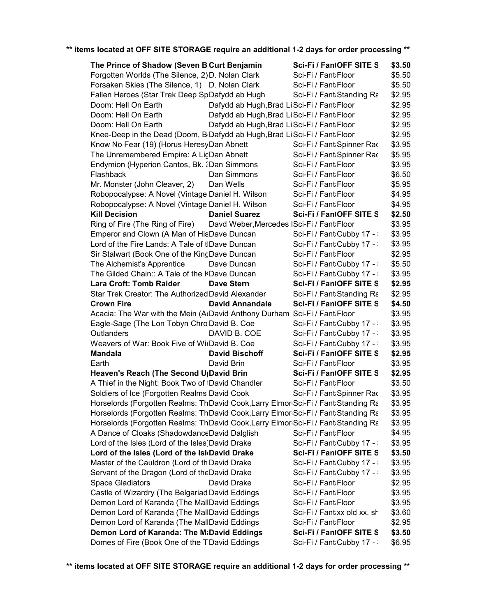| The Prince of Shadow (Seven BCurt Benjamin                                                                                                                             |                                             | Sci-Fi / FantOFF SITE S     | \$3.50 |
|------------------------------------------------------------------------------------------------------------------------------------------------------------------------|---------------------------------------------|-----------------------------|--------|
| Forgotten Worlds (The Silence, 2) D. Nolan Clark                                                                                                                       |                                             | Sci-Fi / Fant Floor         | \$5.50 |
| Forsaken Skies (The Silence, 1) D. Nolan Clark                                                                                                                         |                                             | Sci-Fi / Fant Floor         | \$5.50 |
| Fallen Heroes (Star Trek Deep SpDafydd ab Hugh                                                                                                                         |                                             | Sci-Fi / Fant Standing Ra   | \$2.95 |
| Doom: Hell On Earth                                                                                                                                                    | Dafydd ab Hugh, Brad Li Sci-Fi / Fant Floor |                             | \$2.95 |
| Doom: Hell On Earth                                                                                                                                                    | Dafydd ab Hugh, Brad Li Sci-Fi / Fant Floor |                             | \$2.95 |
| Doom: Hell On Earth                                                                                                                                                    | Dafydd ab Hugh, Brad Li Sci-Fi / Fant Floor |                             | \$2.95 |
| Knee-Deep in the Dead (Doom, B <sub>D</sub> afydd ab Hugh, Brad LiSci-Fi / Fant Floor                                                                                  |                                             |                             | \$2.95 |
| Know No Fear (19) (Horus HeresyDan Abnett                                                                                                                              |                                             | Sci-Fi / Fant:Spinner Rac   | \$3.95 |
| The Unremembered Empire: A LicDan Abnett                                                                                                                               |                                             | Sci-Fi / Fant Spinner Rac   | \$5.95 |
| Endymion (Hyperion Cantos, Bk. : Dan Simmons                                                                                                                           |                                             | Sci-Fi / Fant Floor         | \$3.95 |
| Flashback                                                                                                                                                              | Dan Simmons                                 | Sci-Fi / Fant Floor         | \$6.50 |
| Mr. Monster (John Cleaver, 2)                                                                                                                                          | Dan Wells                                   | Sci-Fi / Fant Floor         | \$5.95 |
| Robopocalypse: A Novel (Vintage Daniel H. Wilson                                                                                                                       |                                             | Sci-Fi / Fant Floor         | \$4.95 |
| Robopocalypse: A Novel (Vintage Daniel H. Wilson                                                                                                                       |                                             | Sci-Fi / Fant Floor         | \$4.95 |
| <b>Kill Decision</b>                                                                                                                                                   | <b>Daniel Suarez</b>                        | Sci-Fi / FantOFF SITE S     | \$2.50 |
| Ring of Fire (The Ring of Fire)                                                                                                                                        | Davd Weber, Mercedes ISci-Fi / Fant Floor   |                             | \$3.95 |
| Emperor and Clown (A Man of HisDave Duncan                                                                                                                             |                                             | Sci-Fi / Fant Cubby 17 - :  | \$3.95 |
| Lord of the Fire Lands: A Tale of tIDave Duncan                                                                                                                        |                                             | Sci-Fi / Fant Cubby 17 - :  | \$3.95 |
| Sir Stalwart (Book One of the KingDave Duncan                                                                                                                          |                                             | Sci-Fi / Fant Floor         | \$2.95 |
| The Alchemist's Apprentice                                                                                                                                             | Dave Duncan                                 | Sci-Fi / Fant:Cubby 17 - :  | \$5.50 |
| The Gilded Chain:: A Tale of the KDave Duncan                                                                                                                          |                                             | Sci-Fi / Fant Cubby 17 - :  | \$3.95 |
| <b>Lara Croft: Tomb Raider</b>                                                                                                                                         | <b>Dave Stern</b>                           | Sci-Fi / FantOFF SITE S     | \$2.95 |
| Star Trek Creator: The Authorized David Alexander                                                                                                                      |                                             | Sci-Fi / Fant: Standing Ra  | \$2.95 |
| <b>Crown Fire</b>                                                                                                                                                      | <b>David Annandale</b>                      | Sci-Fi / FantOFF SITE S     | \$4.50 |
| Acacia: The War with the Mein (AcDavid Anthony Durham Sci-Fi / Fant Floor                                                                                              |                                             |                             | \$3.95 |
| Eagle-Sage (The Lon Tobyn Chro David B. Coe                                                                                                                            |                                             | Sci-Fi / Fant Cubby 17 - :  | \$3.95 |
| Outlanders                                                                                                                                                             | DAVID B. COE                                | Sci-Fi / Fant:Cubby 17 - :  | \$3.95 |
| Weavers of War: Book Five of WirDavid B. Coe                                                                                                                           |                                             | Sci-Fi / Fant:Cubby 17 - :  | \$3.95 |
| <b>Mandala</b>                                                                                                                                                         | <b>David Bischoff</b>                       | Sci-Fi / FantOFF SITE S     | \$2.95 |
| Earth                                                                                                                                                                  | David Brin                                  | Sci-Fi / Fant Floor         | \$3.95 |
| Heaven's Reach (The Second U <sub>l</sub> David Brin                                                                                                                   |                                             | Sci-Fi / FantOFF SITE S     | \$2.95 |
| A Thief in the Night: Book Two of IDavid Chandler                                                                                                                      |                                             | Sci-Fi / Fant Floor         | \$3.50 |
| Soldiers of Ice (Forgotten Realms David Cook                                                                                                                           |                                             | Sci-Fi / Fant Spinner Rac   | \$3.95 |
|                                                                                                                                                                        |                                             |                             | \$3.95 |
| Horselords (Forgotten Realms: ThDavid Cook, Larry Elmon Sci-Fi / Fant Standing Ra<br>Horselords (Forgotten Realms: ThDavid Cook, Larry Elmor Sci-Fi / Fant Standing Ra |                                             |                             | \$3.95 |
|                                                                                                                                                                        |                                             |                             |        |
| Horselords (Forgotten Realms: ThDavid Cook,Larry Elmor Sci-Fi / Fant Standing Ra<br>A Dance of Cloaks (ShadowdanceDavid Dalglish                                       |                                             | Sci-Fi / Fant Floor         | \$3.95 |
|                                                                                                                                                                        |                                             |                             | \$4.95 |
| Lord of the Isles (Lord of the Isles)David Drake                                                                                                                       |                                             | Sci-Fi / Fant:Cubby 17 - :  | \$3.95 |
| Lord of the Isles (Lord of the Isl David Drake                                                                                                                         |                                             | Sci-Fi / FantOFF SITE S     | \$3.50 |
| Master of the Cauldron (Lord of th David Drake                                                                                                                         |                                             | Sci-Fi / Fant Cubby 17 - :  | \$3.95 |
| Servant of the Dragon (Lord of theDavid Drake                                                                                                                          |                                             | Sci-Fi / Fant Cubby 17 - :  | \$3.95 |
| <b>Space Gladiators</b>                                                                                                                                                | David Drake                                 | Sci-Fi / Fant Floor         | \$2.95 |
| Castle of Wizardry (The Belgariad David Eddings                                                                                                                        |                                             | Sci-Fi / Fant Floor         | \$3.95 |
| Demon Lord of Karanda (The MallDavid Eddings                                                                                                                           |                                             | Sci-Fi / Fant Floor         | \$3.95 |
| Demon Lord of Karanda (The MallDavid Eddings                                                                                                                           |                                             | Sci-Fi / Fantaxx old xx. sh | \$3.60 |
| Demon Lord of Karanda (The MallDavid Eddings                                                                                                                           |                                             | Sci-Fi / Fant Floor         | \$2.95 |
| Demon Lord of Karanda: The MtDavid Eddings                                                                                                                             |                                             | Sci-Fi / FantOFF SITE S     | \$3.50 |
| Domes of Fire (Book One of the TDavid Eddings                                                                                                                          |                                             | Sci-Fi / Fant:Cubby 17 - :  | \$6.95 |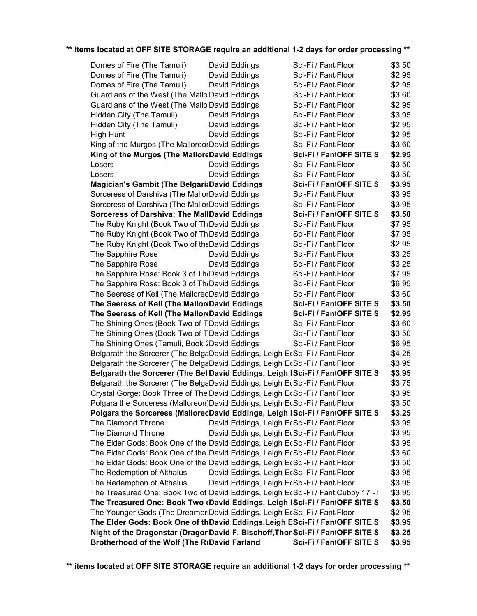| Domes of Fire (The Tamuli)                                                      | David Eddings | Sci-Fi / Fant Floor                        | \$3.50 |
|---------------------------------------------------------------------------------|---------------|--------------------------------------------|--------|
| Domes of Fire (The Tamuli)                                                      | David Eddings | Sci-Fi / Fant Floor                        | \$2.95 |
| Domes of Fire (The Tamuli)                                                      | David Eddings | Sci-Fi / Fant Floor                        | \$2.95 |
| Guardians of the West (The Mallo David Eddings                                  |               | Sci-Fi / Fant Floor                        | \$3.60 |
| Guardians of the West (The Mallo David Eddings                                  |               | Sci-Fi / Fant Floor                        | \$2.95 |
| Hidden City (The Tamuli)                                                        | David Eddings | Sci-Fi / Fant Floor                        | \$3.95 |
| Hidden City (The Tamuli)                                                        | David Eddings | Sci-Fi / Fant Floor                        | \$2.95 |
| <b>High Hunt</b>                                                                | David Eddings | Sci-Fi / Fant Floor                        | \$2.95 |
| King of the Murgos (The MalloreorDavid Eddings                                  |               | Sci-Fi / Fant Floor                        | \$3.60 |
| King of the Murgos (The MalloreDavid Eddings                                    |               | Sci-Fi / FantOFF SITE S                    | \$2.95 |
| Losers                                                                          | David Eddings | Sci-Fi / Fant Floor                        | \$3.50 |
| Losers                                                                          | David Eddings | Sci-Fi / Fant Floor                        | \$3.50 |
| <b>Magician's Gambit (The Belgari:David Eddings</b>                             |               | Sci-Fi / FantOFF SITE S                    | \$3.95 |
| Sorceress of Darshiva (The MallorDavid Eddings                                  |               | Sci-Fi / Fant Floor                        | \$3.95 |
| Sorceress of Darshiva (The MallorDavid Eddings                                  |               | Sci-Fi / Fant Floor                        | \$3.95 |
| <b>Sorceress of Darshiva: The MallDavid Eddings</b>                             |               | Sci-Fi / FantOFF SITE S                    | \$3.50 |
| The Ruby Knight (Book Two of Th David Eddings                                   |               | Sci-Fi / Fant Floor                        | \$7.95 |
| The Ruby Knight (Book Two of ThDavid Eddings                                    |               | Sci-Fi / Fant Floor                        | \$7.95 |
| The Ruby Knight (Book Two of the David Eddings                                  |               | Sci-Fi / Fant Floor                        | \$2.95 |
| The Sapphire Rose                                                               | David Eddings | Sci-Fi / Fant Floor                        | \$3.25 |
| The Sapphire Rose                                                               | David Eddings | Sci-Fi / Fant Floor                        | \$3.25 |
| The Sapphire Rose: Book 3 of TheDavid Eddings                                   |               | Sci-Fi / Fant Floor                        | \$7.95 |
| The Sapphire Rose: Book 3 of TheDavid Eddings                                   |               | Sci-Fi / Fant Floor                        | \$6.95 |
| The Seeress of Kell (The MalloreoDavid Eddings                                  |               | Sci-Fi / Fant Floor                        | \$3.60 |
| The Seeress of Kell (The Mallor David Eddings                                   |               | Sci-Fi / FantOFF SITE S                    | \$3.50 |
| The Seeress of Kell (The Mallor David Eddings                                   |               | Sci-Fi / FantOFF SITE S                    | \$2.95 |
| The Shining Ones (Book Two of TDavid Eddings                                    |               | Sci-Fi / Fant Floor                        | \$3.60 |
| The Shining Ones (Book Two of TDavid Eddings                                    |               | Sci-Fi / Fant Floor                        | \$3.50 |
| The Shining Ones (Tamuli, Book 2David Eddings                                   |               | Sci-Fi / Fant Floor                        | \$6.95 |
| Belgarath the Sorcerer (The BelgaDavid Eddings, Leigh EcSci-Fi / Fant Floor     |               |                                            | \$4.25 |
| Belgarath the Sorcerer (The BelgaDavid Eddings, Leigh EcSci-Fi / Fant Floor     |               |                                            | \$3.95 |
| Belgarath the Sorcerer (The Bel David Eddings, Leigh ISci-Fi / FantOFF SITE S   |               |                                            | \$3.95 |
| Belgarath the Sorcerer (The BelgaDavid Eddings, Leigh EcSci-Fi / Fant Floor     |               |                                            | \$3.75 |
| Crystal Gorge: Book Three of The David Eddings, Leigh EcSci-Fi / Fant Floor     |               |                                            | \$3.95 |
| Polgara the Sorceress (Malloreon)David Eddings, Leigh EcSci-Fi / Fant Floor     |               |                                            | \$3.50 |
| Polgara the Sorceress (MallorecDavid Eddings, Leigh ISci-Fi / FantOFF SITE S    |               |                                            | \$3.25 |
| The Diamond Throne                                                              |               | David Eddings, Leigh EcSci-Fi / Fant Floor | \$3.95 |
| The Diamond Throne                                                              |               | David Eddings, Leigh EcSci-Fi / Fant Floor | \$3.95 |
| The Elder Gods: Book One of the David Eddings, Leigh EcSci-Fi / Fant Floor      |               |                                            | \$3.95 |
| The Elder Gods: Book One of the David Eddings, Leigh EcSci-Fi / Fant:Floor      |               |                                            | \$3.60 |
| The Elder Gods: Book One of the David Eddings, Leigh EcSci-Fi / Fant Floor      |               |                                            | \$3.50 |
| The Redemption of Althalus                                                      |               | David Eddings, Leigh EcSci-Fi / Fant Floor | \$3.95 |
| The Redemption of Althalus                                                      |               | David Eddings, Leigh EcSci-Fi / Fant Floor | \$3.95 |
| The Treasured One: Book Two of David Eddings, Leigh EcSci-Fi / Fant:Cubby 17 -: |               |                                            | \$3.95 |
| The Treasured One: Book Two (David Eddings, Leigh ISci-Fi / FantOFF SITE S      |               |                                            | \$3.50 |
| The Younger Gods (The Dreamer:David Eddings, Leigh EcSci-Fi / Fant:Floor        |               |                                            | \$2.95 |
| The Elder Gods: Book One of thDavid Eddings, Leigh ESci-Fi / FantOFF SITE S     |               |                                            | \$3.95 |
| Night of the Dragonstar (DragonDavid F. Bischoff, ThonSci-Fi / FantOFF SITE S   |               |                                            | \$3.25 |
| Brotherhood of the Wolf (The RiDavid Farland                                    |               | Sci-Fi / FantOFF SITE S                    | \$3.95 |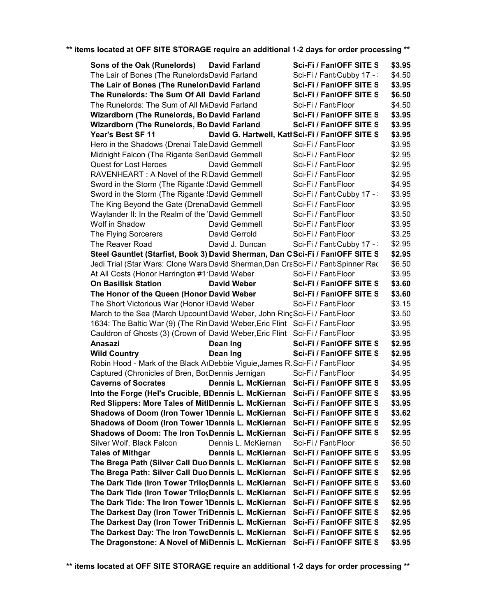| Sons of the Oak (Runelords)                                                        | <b>David Farland</b> | Sci-Fi / FantOFF SITE S                         | \$3.95 |
|------------------------------------------------------------------------------------|----------------------|-------------------------------------------------|--------|
| The Lair of Bones (The Runelords David Farland                                     |                      | Sci-Fi / Fant Cubby 17 - :                      | \$4.50 |
| The Lair of Bones (The RunelordDavid Farland                                       |                      | Sci-Fi / FantOFF SITE S                         | \$3.95 |
| The Runelords: The Sum Of All David Farland                                        |                      | Sci-Fi / FantOFF SITE S                         | \$6.50 |
| The Runelords: The Sum of All McDavid Farland                                      |                      | Sci-Fi / Fant Floor                             | \$4.50 |
| Wizardborn (The Runelords, Bo David Farland                                        |                      | Sci-Fi / FantOFF SITE S                         | \$3.95 |
| Wizardborn (The Runelords, Bo David Farland                                        |                      | Sci-Fi / FantOFF SITE S                         | \$3.95 |
| Year's Best SF 11                                                                  |                      | David G. Hartwell, Katl Sci-Fi / FantOFF SITE S | \$3.95 |
| Hero in the Shadows (Drenai Tale David Gemmell                                     |                      | Sci-Fi / Fant Floor                             | \$3.95 |
| Midnight Falcon (The Rigante SeriDavid Gemmell                                     |                      | Sci-Fi / Fant Floor                             | \$2.95 |
| <b>Quest for Lost Heroes</b>                                                       | David Gemmell        | Sci-Fi / Fant Floor                             | \$2.95 |
| RAVENHEART: A Novel of the RiDavid Gemmell                                         |                      | Sci-Fi / Fant Floor                             | \$2.95 |
| Sword in the Storm (The Rigante <i>Savid Gemmell</i>                               |                      | Sci-Fi / Fant Floor                             | \$4.95 |
| Sword in the Storm (The Rigante {David Gemmell                                     |                      | Sci-Fi / Fant Cubby 17 - :                      | \$3.95 |
| The King Beyond the Gate (DrenaDavid Gemmell                                       |                      | Sci-Fi / Fant Floor                             | \$3.95 |
| Waylander II: In the Realm of the 'David Gemmell                                   |                      | Sci-Fi / Fant Floor                             | \$3.50 |
| Wolf in Shadow                                                                     | David Gemmell        | Sci-Fi / Fant Floor                             | \$3.95 |
| The Flying Sorcerers                                                               | David Gerrold        | Sci-Fi / Fant Floor                             | \$3.25 |
| The Reaver Road                                                                    | David J. Duncan      | Sci-Fi / Fant Cubby 17 - :                      | \$2.95 |
| Steel Gauntlet (Starfist, Book 3) David Sherman, Dan CSci-Fi / FantOFF SITE S      |                      |                                                 | \$2.95 |
| Jedi Trial (Star Wars: Clone Wars David Sherman, Dan CraSci-Fi / Fant: Spinner Rac |                      |                                                 | \$6.50 |
| At All Costs (Honor Harrington #1 David Weber                                      |                      | Sci-Fi / Fant Floor                             | \$3.95 |
| <b>On Basilisk Station</b>                                                         | David Weber          | Sci-Fi / FantOFF SITE S                         |        |
|                                                                                    |                      |                                                 | \$3.60 |
| The Honor of the Queen (Honor David Weber                                          |                      | Sci-Fi / FantOFF SITE S                         | \$3.60 |
| The Short Victorious War (Honor IDavid Weber                                       |                      | Sci-Fi / Fant Floor                             | \$3.15 |
| March to the Sea (March Upcount David Weber, John RingSci-Fi / Fant Floor          |                      |                                                 | \$3.50 |
| 1634: The Baltic War (9) (The Rin David Weber, Eric Flint Sci-Fi / Fant Floor      |                      |                                                 | \$3.95 |
| Cauldron of Ghosts (3) (Crown of David Weber, Eric Flint Sci-Fi / Fant Floor       |                      |                                                 | \$3.95 |
| Anasazi                                                                            | Dean Ing             | Sci-Fi / FantOFF SITE S                         | \$2.95 |
| <b>Wild Country</b>                                                                | Dean Ing             | Sci-Fi / FantOFF SITE S                         | \$2.95 |
| Robin Hood - Mark of the Black ArDebbie Viguie, James R. Sci-Fi / Fant Floor       |                      |                                                 | \$4.95 |
| Captured (Chronicles of Bren, BocDennis Jernigan                                   |                      | Sci-Fi / Fant Floor                             | \$4.95 |
| <b>Caverns of Socrates</b>                                                         |                      | Dennis L. McKiernan Sci-Fi / FantOFF SITE S     | \$3.95 |
| Into the Forge (Hel's Crucible, BDennis L. McKiernan Sci-Fi / FantOFF SITE S       |                      |                                                 | \$3.95 |
| Red Slippers: More Tales of MitlDennis L. McKiernan Sci-Fi / FantOFF SITE S        |                      |                                                 | \$3.95 |
| Shadows of Doom (Iron Tower IDennis L. McKiernan                                   |                      | Sci-Fi / FantOFF SITE S                         | \$3.62 |
| <b>Shadows of Doom (Iron Tower 1Dennis L. McKiernan</b>                            |                      | Sci-Fi / FantOFF SITE S                         | \$2.95 |
| <b>Shadows of Doom: The Iron TovDennis L. McKiernan</b>                            |                      | Sci-Fi / FantOFF SITE S                         | \$2.95 |
| Silver Wolf, Black Falcon                                                          | Dennis L. McKiernan  | Sci-Fi / Fant Floor                             | \$6.50 |
| <b>Tales of Mithgar</b>                                                            | Dennis L. McKiernan  | Sci-Fi / FantOFF SITE S                         | \$3.95 |
| The Brega Path (Silver Call Duo Dennis L. McKiernan                                |                      | Sci-Fi / FantOFF SITE S                         | \$2.98 |
| The Brega Path: Silver Call Duo Dennis L. McKiernan                                |                      | Sci-Fi / FantOFF SITE S                         | \$2.95 |
| The Dark Tide (Iron Tower Trilo(Dennis L. McKiernan                                |                      | Sci-Fi / FantOFF SITE S                         | \$3.60 |
| The Dark Tide (Iron Tower Trilo(Dennis L. McKiernan                                |                      | Sci-Fi / FantOFF SITE S                         | \$2.95 |
| The Dark Tide: The Iron Tower IDennis L. McKiernan                                 |                      | Sci-Fi / FantOFF SITE S                         | \$2.95 |
| The Darkest Day (Iron Tower TriDennis L. McKiernan                                 |                      | Sci-Fi / FantOFF SITE S                         | \$2.95 |
| The Darkest Day (Iron Tower TriDennis L. McKiernan                                 |                      | Sci-Fi / FantOFF SITE S                         | \$2.95 |
| The Darkest Day: The Iron ToweDennis L. McKiernan                                  |                      | Sci-Fi / FantOFF SITE S                         | \$2.95 |
| The Dragonstone: A Novel of MiDennis L. McKiernan                                  |                      | Sci-Fi / FantOFF SITE S                         | \$3.95 |
|                                                                                    |                      |                                                 |        |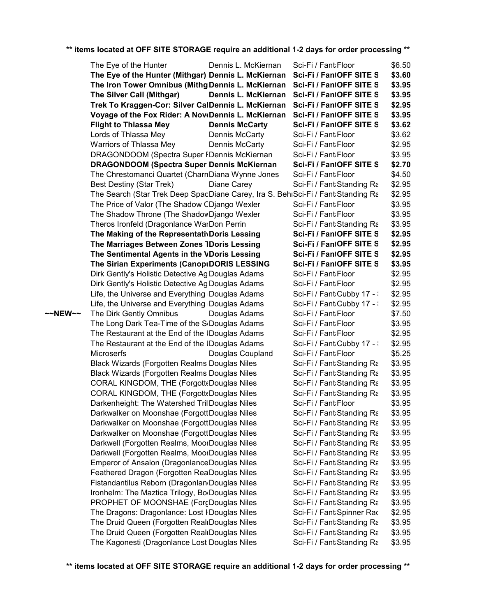|         | The Eye of the Hunter                                                            | Dennis L. McKiernan   | Sci-Fi / Fant Floor        | \$6.50 |
|---------|----------------------------------------------------------------------------------|-----------------------|----------------------------|--------|
|         | The Eye of the Hunter (Mithgar) Dennis L. McKiernan                              |                       | Sci-Fi / FantOFF SITE S    | \$3.60 |
|         | The Iron Tower Omnibus (Mithg Dennis L. McKiernan Sci-Fi / FantOFF SITE S        |                       |                            | \$3.95 |
|         | The Silver Call (Mithgar)                                                        | Dennis L. McKiernan   | Sci-Fi / FantOFF SITE S    | \$3.95 |
|         | Trek To Kraggen-Cor: Silver CalDennis L. McKiernan                               |                       | Sci-Fi / FantOFF SITE S    | \$2.95 |
|         | Voyage of the Fox Rider: A NoveDennis L. McKiernan                               |                       | Sci-Fi / FantOFF SITE S    | \$3.95 |
|         | <b>Flight to Thlassa Mey</b>                                                     | <b>Dennis McCarty</b> | Sci-Fi / FantOFF SITE S    | \$3.62 |
|         | Lords of Thlassa Mey                                                             | Dennis McCarty        | Sci-Fi / Fant Floor        | \$3.62 |
|         | Warriors of Thlassa Mey                                                          | Dennis McCarty        | Sci-Fi / Fant Floor        | \$2.95 |
|         | DRAGONDOOM (Spectra Super FDennis McKiernan                                      |                       | Sci-Fi / Fant Floor        | \$3.95 |
|         | DRAGONDOOM (Spectra Super Dennis McKiernan                                       |                       | Sci-Fi / FantOFF SITE S    | \$2.70 |
|         | The Chrestomanci Quartet (CharnDiana Wynne Jones                                 |                       | Sci-Fi / Fant Floor        | \$4.50 |
|         | <b>Best Destiny (Star Trek)</b>                                                  | Diane Carey           | Sci-Fi / Fant:Standing Ra  | \$2.95 |
|         | The Search (Star Trek Deep SpacDiane Carey, Ira S. BehiSci-Fi / Fant Standing Ra |                       |                            | \$2.95 |
|         | The Price of Valor (The Shadow CDjango Wexler                                    |                       | Sci-Fi / Fant Floor        | \$3.95 |
|         | The Shadow Throne (The ShadowDjango Wexler                                       |                       | Sci-Fi / Fant Floor        | \$3.95 |
|         | Theros Ironfeld (Dragonlance WarDon Perrin                                       |                       | Sci-Fi / Fant Standing Ra  | \$3.95 |
|         | The Making of the RepresentativDoris Lessing                                     |                       | Sci-Fi / FantOFF SITE S    | \$2.95 |
|         | The Marriages Between Zones IDoris Lessing                                       |                       | Sci-Fi / FantOFF SITE S    | \$2.95 |
|         | The Sentimental Agents in the VDoris Lessing                                     |                       | Sci-Fi / FantOFF SITE S    | \$2.95 |
|         | The Sirian Experiments (Canop DORIS LESSING                                      |                       | Sci-Fi / FantOFF SITE S    | \$3.95 |
|         | Dirk Gently's Holistic Detective Ag Douglas Adams                                |                       | Sci-Fi / Fant Floor        | \$2.95 |
|         | Dirk Gently's Holistic Detective Ag Douglas Adams                                |                       | Sci-Fi / Fant Floor        | \$2.95 |
|         | Life, the Universe and Everything Douglas Adams                                  |                       | Sci-Fi / Fant Cubby 17 - : | \$2.95 |
|         | Life, the Universe and Everything Douglas Adams                                  |                       | Sci-Fi / Fant Cubby 17 - : | \$2.95 |
| ~~NEW~~ | The Dirk Gently Omnibus                                                          | Douglas Adams         | Sci-Fi / Fant Floor        | \$7.50 |
|         | The Long Dark Tea-Time of the ScDouglas Adams                                    |                       | Sci-Fi / Fant Floor        | \$3.95 |
|         | The Restaurant at the End of the IDouglas Adams                                  |                       | Sci-Fi / Fant Floor        | \$2.95 |
|         | The Restaurant at the End of the IDouglas Adams                                  |                       | Sci-Fi / Fant Cubby 17 - : | \$2.95 |
|         | Microserfs                                                                       | Douglas Coupland      | Sci-Fi / Fant Floor        | \$5.25 |
|         | Black Wizards (Forgotten Realms Douglas Niles                                    |                       | Sci-Fi / Fant Standing Ra  | \$3.95 |
|         | <b>Black Wizards (Forgotten Realms Douglas Niles</b>                             |                       | Sci-Fi / Fant Standing Ra  | \$3.95 |
|         | CORAL KINGDOM, THE (Forgott Douglas Niles                                        |                       | Sci-Fi / Fant Standing Ra  | \$3.95 |
|         | CORAL KINGDOM, THE (Forgott Douglas Niles                                        |                       | Sci-Fi / Fant:Standing Ra  | \$3.95 |
|         | Darkenheight: The Watershed TrilDouglas Niles                                    |                       | Sci-Fi / Fant Floor        | \$3.95 |
|         | Darkwalker on Moonshae (ForgottDouglas Niles                                     |                       | Sci-Fi / Fant:Standing Ra  | \$3.95 |
|         | Darkwalker on Moonshae (ForgottDouglas Niles                                     |                       | Sci-Fi / Fant:Standing Ra  | \$3.95 |
|         | Darkwalker on Moonshae (ForgottDouglas Niles                                     |                       | Sci-Fi / Fant:Standing Ra  | \$3.95 |
|         | Darkwell (Forgotten Realms, MoorDouglas Niles                                    |                       | Sci-Fi / Fant:Standing Ra  | \$3.95 |
|         | Darkwell (Forgotten Realms, MoorDouglas Niles                                    |                       | Sci-Fi / Fant:Standing Ra  | \$3.95 |
|         | Emperor of Ansalon (DragonlanceDouglas Niles                                     |                       | Sci-Fi / Fant:Standing Ra  | \$3.95 |
|         | Feathered Dragon (Forgotten ReaDouglas Niles                                     |                       | Sci-Fi / Fant:Standing Ra  | \$3.95 |
|         | Fistandantilus Reborn (DragonlandDouglas Niles                                   |                       | Sci-Fi / Fant:Standing Ra  | \$3.95 |
|         | Ironhelm: The Maztica Trilogy, Bo Douglas Niles                                  |                       | Sci-Fi / Fant:Standing Ra  | \$3.95 |
|         | PROPHET OF MOONSHAE (ForcDouglas Niles                                           |                       | Sci-Fi / Fant:Standing Ra  | \$3.95 |
|         | The Dragons: Dragonlance: Lost I Douglas Niles                                   |                       | Sci-Fi / Fant:Spinner Rac  | \$2.95 |
|         | The Druid Queen (Forgotten Real Douglas Niles                                    |                       | Sci-Fi / Fant:Standing Ra  | \$3.95 |
|         | The Druid Queen (Forgotten RealrDouglas Niles                                    |                       | Sci-Fi / Fant:Standing Ra  | \$3.95 |
|         | The Kagonesti (Dragonlance Lost Douglas Niles                                    |                       | Sci-Fi / Fant Standing Ra  | \$3.95 |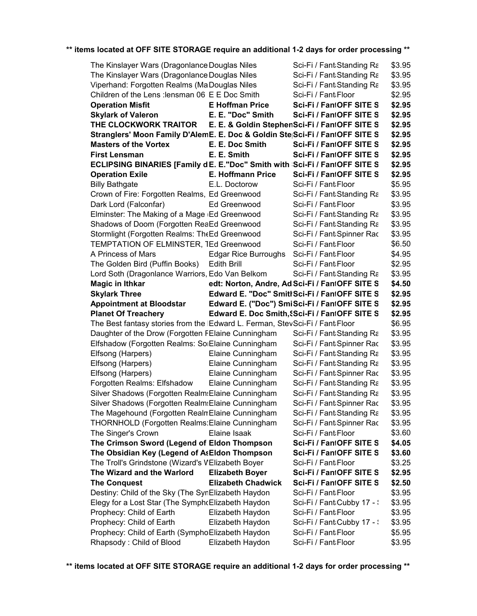| The Kinslayer Wars (Dragonlance Douglas Niles                                                           |                             |                                                        |                  |
|---------------------------------------------------------------------------------------------------------|-----------------------------|--------------------------------------------------------|------------------|
|                                                                                                         |                             | Sci-Fi / Fant:Standing Ra                              | \$3.95           |
| The Kinslayer Wars (Dragonlance Douglas Niles                                                           |                             | Sci-Fi / Fant:Standing Ra                              | \$3.95<br>\$3.95 |
| Viperhand: Forgotten Realms (MaDouglas Niles<br>Children of the Lens : lensman 06 E E Doc Smith         |                             | Sci-Fi / Fant:Standing Ra                              | \$2.95           |
|                                                                                                         | <b>E</b> Hoffman Price      | Sci-Fi / Fant Floor                                    | \$2.95           |
| <b>Operation Misfit</b>                                                                                 | E. E. "Doc" Smith           | Sci-Fi / FantOFF SITE S<br>Sci-Fi / FantOFF SITE S     |                  |
| <b>Skylark of Valeron</b>                                                                               |                             |                                                        | \$2.95           |
| THE CLOCKWORK TRAITOR<br>Stranglers' Moon Family D'AlemE. E. Doc & Goldin Ste Sci-Fi / FantOFF SITE S   |                             | E. E. & Goldin StephenSci-Fi / FantOFF SITE S          | \$2.95<br>\$2.95 |
| <b>Masters of the Vortex</b>                                                                            | E. E. Doc Smith             | Sci-Fi / FantOFF SITE S                                | \$2.95           |
| <b>First Lensman</b>                                                                                    | E. E. Smith                 | Sci-Fi / FantOFF SITE S                                | \$2.95           |
| ECLIPSING BINARIES [Family dE. E."Doc" Smith with Sci-Fi / FantOFF SITE S                               |                             |                                                        | \$2.95           |
| <b>Operation Exile</b>                                                                                  | E. Hoffmann Price           | Sci-Fi / FantOFF SITE S                                | \$2.95           |
| <b>Billy Bathgate</b>                                                                                   | E.L. Doctorow               | Sci-Fi / Fant Floor                                    | \$5.95           |
| Crown of Fire: Forgotten Realms, Ed Greenwood                                                           |                             | Sci-Fi / Fant Standing Ra                              | \$3.95           |
| Dark Lord (Falconfar)                                                                                   | Ed Greenwood                | Sci-Fi / Fant Floor                                    | \$3.95           |
| Elminster: The Making of a Mage (Ed Greenwood                                                           |                             | Sci-Fi / Fant:Standing Ra                              | \$3.95           |
| Shadows of Doom (Forgotten ReaEd Greenwood                                                              |                             | Sci-Fi / Fant Standing Ra                              | \$3.95           |
| Stormlight (Forgotten Realms: TheEd Greenwood                                                           |                             | Sci-Fi / Fant:Spinner Rac                              | \$3.95           |
| TEMPTATION OF ELMINSTER, TEd Greenwood                                                                  |                             | Sci-Fi / Fant Floor                                    | \$6.50           |
| A Princess of Mars                                                                                      | <b>Edgar Rice Burroughs</b> | Sci-Fi / Fant Floor                                    | \$4.95           |
| The Golden Bird (Puffin Books)                                                                          | <b>Edith Brill</b>          | Sci-Fi / Fant Floor                                    | \$2.95           |
| Lord Soth (Dragonlance Warriors, Edo Van Belkom                                                         |                             | Sci-Fi / Fant:Standing Ra                              | \$3.95           |
| <b>Magic in Ithkar</b>                                                                                  |                             | edt: Norton, Andre, Ad Sci-Fi / FantOFF SITE S         | \$4.50           |
| <b>Skylark Three</b>                                                                                    |                             | Edward E. "Doc" Smitt Sci-Fi / FantOFF SITE S          | \$2.95           |
| <b>Appointment at Bloodstar</b>                                                                         |                             | Edward E. ("Doc") SmiSci-Fi / FantOFF SITE S           | \$2.95           |
|                                                                                                         |                             |                                                        |                  |
|                                                                                                         |                             |                                                        |                  |
| <b>Planet Of Treachery</b>                                                                              |                             | Edward E. Doc Smith, Sci-Fi / FantOFF SITE S           | \$2.95<br>\$6.95 |
| The Best fantasy stories from the IEdward L. Ferman, StevSci-Fi / Fant Floor                            |                             |                                                        | \$3.95           |
| Daughter of the Drow (Forgotten FEIaine Cunningham<br>Elfshadow (Forgotten Realms: SoiElaine Cunningham |                             | Sci-Fi / Fant:Standing Ra<br>Sci-Fi / Fant:Spinner Rac | \$3.95           |
|                                                                                                         | Elaine Cunningham           | Sci-Fi / Fant:Standing Ra                              | \$3.95           |
| Elfsong (Harpers)<br>Elfsong (Harpers)                                                                  | Elaine Cunningham           | Sci-Fi / Fant Standing Ra                              | \$3.95           |
| Elfsong (Harpers)                                                                                       | Elaine Cunningham           | Sci-Fi / Fant:Spinner Rac                              | \$3.95           |
| Forgotten Realms: Elfshadow                                                                             | Elaine Cunningham           | Sci-Fi / Fant:Standing Ra                              | \$3.95           |
| Silver Shadows (Forgotten Realm: Elaine Cunningham                                                      |                             | Sci-Fi / Fant Standing Ra                              | \$3.95           |
| Silver Shadows (Forgotten Realm: Elaine Cunningham                                                      |                             | Sci-Fi / Fant:Spinner Rac                              | \$3.95           |
| The Magehound (Forgotten Realn Elaine Cunningham                                                        |                             | Sci-Fi / Fant Standing Ra                              | \$3.95           |
| THORNHOLD (Forgotten Realms: Elaine Cunningham                                                          |                             | Sci-Fi / Fant:Spinner Rac                              | \$3.95           |
| The Singer's Crown                                                                                      | Elaine Isaak                | Sci-Fi / Fant Floor                                    | \$3.60           |
| The Crimson Sword (Legend of Eldon Thompson                                                             |                             | Sci-Fi / FantOFF SITE S                                | \$4.05           |
| The Obsidian Key (Legend of AsEldon Thompson                                                            |                             | Sci-Fi / FantOFF SITE S                                | \$3.60           |
| The Troll's Grindstone (Wizard's VElizabeth Boyer                                                       |                             | Sci-Fi / Fant Floor                                    | \$3.25           |
| The Wizard and the Warlord                                                                              | <b>Elizabeth Boyer</b>      | Sci-Fi / FantOFF SITE S                                | \$2.95           |
| <b>The Conquest</b>                                                                                     | <b>Elizabeth Chadwick</b>   | Sci-Fi / FantOFF SITE S                                | \$2.50           |
| Destiny: Child of the Sky (The SynElizabeth Haydon                                                      |                             | Sci-Fi / Fant Floor                                    | \$3.95           |
| Elegy for a Lost Star (The Symph Elizabeth Haydon                                                       |                             | Sci-Fi / Fant Cubby 17 - :                             | \$3.95           |
| Prophecy: Child of Earth                                                                                | Elizabeth Haydon            | Sci-Fi / Fant Floor                                    | \$3.95           |
| Prophecy: Child of Earth                                                                                | Elizabeth Haydon            | Sci-Fi / Fant Cubby 17 - :                             | \$3.95           |
| Prophecy: Child of Earth (SymphoElizabeth Haydon<br>Rhapsody: Child of Blood                            | Elizabeth Haydon            | Sci-Fi / Fant Floor<br>Sci-Fi / Fant Floor             | \$5.95<br>\$3.95 |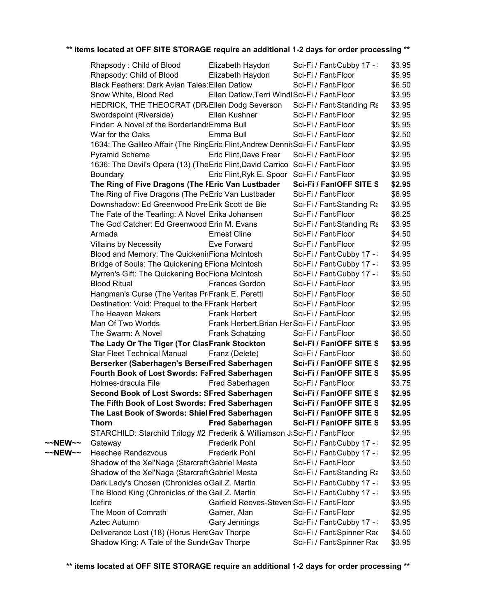|         | Rhapsody: Child of Blood                                                         | Elizabeth Haydon                              | Sci-Fi / Fant Cubby 17 - : | \$3.95 |  |
|---------|----------------------------------------------------------------------------------|-----------------------------------------------|----------------------------|--------|--|
|         | Rhapsody: Child of Blood                                                         | Elizabeth Haydon                              | Sci-Fi / Fant Floor        | \$5.95 |  |
|         | <b>Black Feathers: Dark Avian Tales: Ellen Datlow</b>                            |                                               | Sci-Fi / Fant Floor        | \$6.50 |  |
|         | Snow White, Blood Red                                                            | Ellen Datlow, Terri Windl Sci-Fi / Fant Floor |                            | \$3.95 |  |
|         | HEDRICK, THE THEOCRAT (DR/Ellen Dodg Severson                                    |                                               | Sci-Fi / Fant Standing Ra  | \$3.95 |  |
|         | Swordspoint (Riverside)                                                          | Ellen Kushner                                 | Sci-Fi / Fant Floor        | \$2.95 |  |
|         | Finder: A Novel of the Borderland Emma Bull                                      |                                               | Sci-Fi / Fant Floor        | \$5.95 |  |
|         | War for the Oaks                                                                 | Emma Bull                                     | Sci-Fi / Fant Floor        | \$2.50 |  |
|         | 1634: The Galileo Affair (The RingEric Flint, Andrew Dennis Sci-Fi / Fant Floor  |                                               |                            | \$3.95 |  |
|         | <b>Pyramid Scheme</b>                                                            | Eric Flint, Dave Freer                        | Sci-Fi / Fant Floor        | \$2.95 |  |
|         | 1636: The Devil's Opera (13) (The Eric Flint, David Carrico Sci-Fi / Fant: Floor |                                               |                            | \$3.95 |  |
|         | Boundary                                                                         | Eric Flint, Ryk E. Spoor Sci-Fi / Fant Floor  |                            | \$3.95 |  |
|         | The Ring of Five Dragons (The FEric Van Lustbader                                |                                               | Sci-Fi / FantOFF SITE S    | \$2.95 |  |
|         | The Ring of Five Dragons (The PeEric Van Lustbader                               |                                               | Sci-Fi / Fant Floor        | \$6.95 |  |
|         | Downshadow: Ed Greenwood Pre Erik Scott de Bie                                   |                                               | Sci-Fi / Fant:Standing Ra  | \$3.95 |  |
|         | The Fate of the Tearling: A Novel Erika Johansen                                 |                                               | Sci-Fi / Fant Floor        | \$6.25 |  |
|         | The God Catcher: Ed Greenwood Erin M. Evans                                      |                                               | Sci-Fi / Fant Standing Ra  | \$3.95 |  |
|         | Armada                                                                           | <b>Ernest Cline</b>                           | Sci-Fi / Fant Floor        | \$4.50 |  |
|         | <b>Villains by Necessity</b>                                                     | Eve Forward                                   | Sci-Fi / Fant Floor        | \$2.95 |  |
|         | Blood and Memory: The QuickenirFiona McIntosh                                    |                                               | Sci-Fi / Fant Cubby 17 - : | \$4.95 |  |
|         | Bridge of Souls: The Quickening EFiona McIntosh                                  |                                               | Sci-Fi / Fant Cubby 17 - : | \$3.95 |  |
|         | Myrren's Gift: The Quickening BocFiona McIntosh                                  |                                               | Sci-Fi / Fant Cubby 17 - : | \$5.50 |  |
|         | <b>Blood Ritual</b>                                                              | Frances Gordon                                | Sci-Fi / Fant Floor        | \$3.95 |  |
|         | Hangman's Curse (The Veritas PriFrank E. Peretti                                 |                                               | Sci-Fi / Fant Floor        | \$6.50 |  |
|         | Destination: Void: Prequel to the FFrank Herbert                                 |                                               | Sci-Fi / Fant Floor        | \$2.95 |  |
|         | The Heaven Makers                                                                | <b>Frank Herbert</b>                          | Sci-Fi / Fant Floor        | \$2.95 |  |
|         | Man Of Two Worlds                                                                | Frank Herbert, Brian Her Sci-Fi / Fant Floor  |                            | \$3.95 |  |
|         | The Swarm: A Novel                                                               | <b>Frank Schatzing</b>                        | Sci-Fi / Fant Floor        | \$6.50 |  |
|         | The Lady Or The Tiger (Tor ClasFrank Stockton                                    |                                               | Sci-Fi / FantOFF SITE S    | \$3.95 |  |
|         | <b>Star Fleet Technical Manual</b>                                               | Franz (Delete)                                | Sci-Fi / Fant Floor        | \$6.50 |  |
|         | Berserker (Saberhagen's BerserFred Saberhagen                                    |                                               | Sci-Fi / FantOFF SITE S    | \$2.95 |  |
|         | Fourth Book of Lost Swords: FaFred Saberhagen                                    |                                               | Sci-Fi / FantOFF SITE S    | \$5.95 |  |
|         | Holmes-dracula File                                                              | Fred Saberhagen                               | Sci-Fi / Fant:Floor        | \$3.75 |  |
|         | Second Book of Lost Swords: SFred Saberhagen                                     |                                               | Sci-Fi / FantOFF SITE S    | \$2.95 |  |
|         | The Fifth Book of Lost Swords: Fred Saberhagen                                   |                                               | Sci-Fi / FantOFF SITE S    | \$2.95 |  |
|         | The Last Book of Swords: Shiel Fred Saberhagen                                   |                                               | Sci-Fi / FantOFF SITE S    | \$2.95 |  |
|         | <b>Thorn</b>                                                                     | <b>Fred Saberhagen</b>                        | Sci-Fi / FantOFF SITE S    | \$3.95 |  |
|         | STARCHILD: Starchild Trilogy #2 Frederik & Williamson J:Sci-Fi / Fant:Floor      |                                               |                            | \$2.95 |  |
| ~~NEW~~ | Gateway                                                                          | <b>Frederik Pohl</b>                          | Sci-Fi / Fant Cubby 17 - \ | \$2.95 |  |
| ~~NEW~~ | <b>Heechee Rendezvous</b>                                                        | <b>Frederik Pohl</b>                          | Sci-Fi / Fant Cubby 17 - : | \$2.95 |  |
|         | Shadow of the Xel'Naga (StarcraftGabriel Mesta                                   |                                               | Sci-Fi / Fant Floor        | \$3.50 |  |
|         | Shadow of the Xel'Naga (Starcraft Gabriel Mesta                                  |                                               | Sci-Fi / Fant:Standing Ra  | \$3.50 |  |
|         | Dark Lady's Chosen (Chronicles oGail Z. Martin                                   |                                               | Sci-Fi / Fant Cubby 17 - : | \$3.95 |  |
|         | The Blood King (Chronicles of the Gail Z. Martin                                 |                                               | Sci-Fi / Fant Cubby 17 - \ | \$3.95 |  |
|         | Icefire                                                                          | Garfield Reeves-Steven: Sci-Fi / Fant: Floor  |                            | \$3.95 |  |
|         | The Moon of Comrath                                                              | Garner, Alan                                  | Sci-Fi / Fant Floor        | \$2.95 |  |
|         | Aztec Autumn                                                                     | <b>Gary Jennings</b>                          | Sci-Fi / Fant Cubby 17 - \ | \$3.95 |  |
|         | Deliverance Lost (18) (Horus HereGav Thorpe                                      |                                               | Sci-Fi / Fant:Spinner Rac  | \$4.50 |  |
|         | Shadow King: A Tale of the SundeGav Thorpe                                       |                                               | Sci-Fi / Fant:Spinner Rac  | \$3.95 |  |
|         |                                                                                  |                                               |                            |        |  |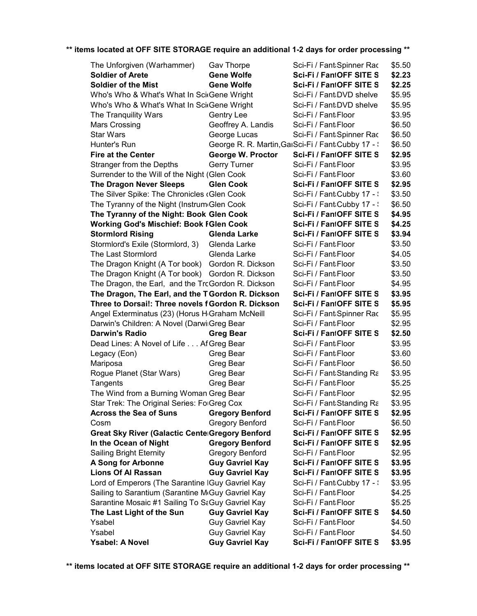| The Unforgiven (Warhammer)                                   | Gav Thorpe                         | Sci-Fi / Fant Spinner Rac                           | \$5.50           |
|--------------------------------------------------------------|------------------------------------|-----------------------------------------------------|------------------|
| <b>Soldier of Arete</b>                                      | <b>Gene Wolfe</b>                  | Sci-Fi / FantOFF SITE S                             | \$2.23           |
| <b>Soldier of the Mist</b>                                   | <b>Gene Wolfe</b>                  | Sci-Fi / FantOFF SITE S                             | \$2.25           |
| Who's Who & What's What In Sci Gene Wright                   |                                    | Sci-Fi / Fant:DVD shelve                            | \$5.95           |
| Who's Who & What's What In Sci Gene Wright                   |                                    | Sci-Fi / Fant:DVD shelve                            | \$5.95           |
| The Tranquility Wars                                         | Gentry Lee                         | Sci-Fi / Fant:Floor                                 | \$3.95           |
| <b>Mars Crossing</b>                                         | Geoffrey A. Landis                 | Sci-Fi / Fant Floor                                 | \$6.50           |
| <b>Star Wars</b>                                             | George Lucas                       | Sci-Fi / Fant Spinner Rac                           | \$6.50           |
| Hunter's Run                                                 |                                    | George R. R. Martin, GaiSci-Fi / Fant: Cubby 17 - : | \$6.50           |
| <b>Fire at the Center</b>                                    | George W. Proctor                  | Sci-Fi / FantOFF SITE S                             | \$2.95           |
| Stranger from the Depths                                     | <b>Gerry Turner</b>                | Sci-Fi / Fant Floor                                 | \$3.95           |
| Surrender to the Will of the Night (Glen Cook                |                                    | Sci-Fi / Fant Floor                                 | \$3.60           |
| <b>The Dragon Never Sleeps</b>                               | <b>Glen Cook</b>                   | Sci-Fi / FantOFF SITE S                             | \$2.95           |
| The Silver Spike: The Chronicles (Glen Cook                  |                                    | Sci-Fi / Fant Cubby 17 - :                          | \$3.50           |
| The Tyranny of the Night (Instrum Glen Cook                  |                                    | Sci-Fi / Fant Cubby 17 - :                          | \$6.50           |
| The Tyranny of the Night: Book Glen Cook                     |                                    | Sci-Fi / FantOFF SITE S                             | \$4.95           |
| <b>Working God's Mischief: Book FGlen Cook</b>               |                                    | Sci-Fi / FantOFF SITE S                             | \$4.25           |
| <b>Stormlord Rising</b>                                      | <b>Glenda Larke</b>                | Sci-Fi / FantOFF SITE S                             | \$3.94           |
| Stormlord's Exile (Stormlord, 3)                             | Glenda Larke                       | Sci-Fi / Fant Floor                                 | \$3.50           |
| The Last Stormlord                                           | Glenda Larke                       | Sci-Fi / Fant Floor                                 | \$4.05           |
| The Dragon Knight (A Tor book) Gordon R. Dickson             |                                    | Sci-Fi / Fant Floor                                 | \$3.50           |
| The Dragon Knight (A Tor book) Gordon R. Dickson             |                                    | Sci-Fi / Fant Floor                                 | \$3.50           |
| The Dragon, the Earl, and the TrcGordon R. Dickson           |                                    | Sci-Fi / Fant Floor                                 | \$4.95           |
| The Dragon, The Earl, and the T Gordon R. Dickson            |                                    | Sci-Fi / FantOFF SITE S                             | \$3.95           |
| Three to Dorsai!: Three novels fGordon R. Dickson            |                                    | Sci-Fi / FantOFF SITE S                             | \$5.95           |
| Angel Exterminatus (23) (Horus H <sub>'</sub> Graham McNeill |                                    | Sci-Fi / Fant:Spinner Rac                           | \$5.95           |
| Darwin's Children: A Novel (DarwilGreg Bear                  |                                    | Sci-Fi / Fant Floor                                 | \$2.95           |
| <b>Darwin's Radio</b>                                        | <b>Greg Bear</b>                   | Sci-Fi / FantOFF SITE S                             | \$2.50           |
| Dead Lines: A Novel of Life Af Greg Bear                     |                                    | Sci-Fi / Fant:Floor                                 | \$3.95           |
| Legacy (Eon)                                                 | Greg Bear                          | Sci-Fi / Fant Floor                                 | \$3.60           |
| Mariposa                                                     | Greg Bear                          | Sci-Fi / Fant Floor                                 | \$6.50           |
| Rogue Planet (Star Wars)                                     | Greg Bear                          | Sci-Fi / Fant Standing Ra                           | \$3.95           |
| Tangents                                                     | Greg Bear                          | Sci-Fi / Fant Floor                                 | \$5.25           |
| The Wind from a Burning Woman Greg Bear                      |                                    | Sci-Fi / Fant Floor                                 | \$2.95           |
| Star Trek: The Original Series: FolGreg Cox                  |                                    | Sci-Fi / Fant Standing Ra                           | \$3.95           |
| <b>Across the Sea of Suns</b>                                | <b>Gregory Benford</b>             | Sci-Fi / FantOFF SITE S                             | \$2.95           |
| Cosm                                                         | <b>Gregory Benford</b>             | Sci-Fi / Fant Floor                                 | \$6.50           |
| <b>Great Sky River (Galactic Cente Gregory Benford</b>       |                                    | Sci-Fi / FantOFF SITE S                             | \$2.95           |
| In the Ocean of Night                                        | <b>Gregory Benford</b>             | Sci-Fi / FantOFF SITE S                             | \$2.95           |
| <b>Sailing Bright Eternity</b>                               | <b>Gregory Benford</b>             | Sci-Fi / Fant Floor                                 | \$2.95           |
| A Song for Arbonne                                           | <b>Guy Gavriel Kay</b>             | Sci-Fi / FantOFF SITE S                             | \$3.95           |
| <b>Lions Of Al Rassan</b>                                    | <b>Guy Gavriel Kay</b>             | Sci-Fi / FantOFF SITE S                             | \$3.95           |
| Lord of Emperors (The Sarantine IGuy Gavriel Kay             |                                    | Sci-Fi / Fant Cubby 17 - :                          | \$3.95           |
| Sailing to Sarantium (Sarantine McGuy Gavriel Kay            |                                    | Sci-Fi / Fant Floor                                 | \$4.25           |
| Sarantine Mosaic #1 Sailing To SaGuy Gavriel Kay             |                                    | Sci-Fi / Fant Floor                                 | \$5.25           |
| The Last Light of the Sun<br>Ysabel                          | <b>Guy Gavriel Kay</b>             | Sci-Fi / FantOFF SITE S<br>Sci-Fi / Fant Floor      | \$4.50<br>\$4.50 |
| Ysabel                                                       | Guy Gavriel Kay<br>Guy Gavriel Kay | Sci-Fi / Fant Floor                                 | \$4.50           |
| Ysabel: A Novel                                              | <b>Guy Gavriel Kay</b>             | Sci-Fi / FantOFF SITE S                             | \$3.95           |
|                                                              |                                    |                                                     |                  |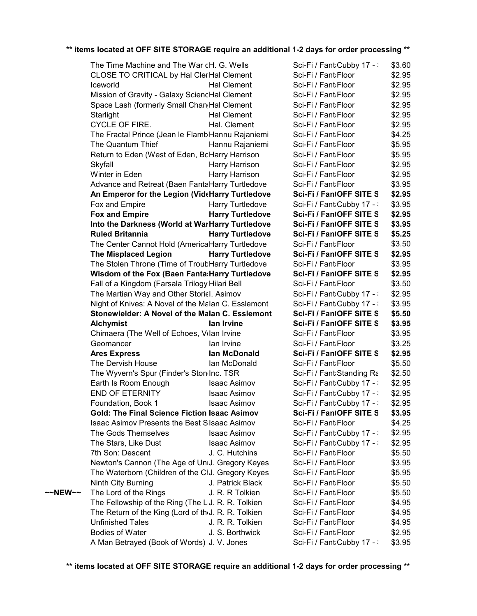CYCLE OF FIRE. **Blue Hal.** Clement Sci-Fi / Fant:Floor \$2.95 **OFF SITE STORAGE \$3.95 Alchymist Ian Irvine Sci-Fi / Fantasy OFF SITE STORAGE \$2.95 Ares Express Ian McDonald Sci-Fi / Fantasy** END OF ETERNITY Isaac Asimov Sci-Fi / Fant،Cubby 17 -  $\frac{1}{2}$  \$2.95 **~~NEW~~** The Lord of the Rings J. R. R Tolkien Sci-Fi / FantaFloor \$5.50 The Time Machine and The War cH. G. Wells Sci-Fi / Fantacubby 17 - Sci-Fi / Fantasy Cubby 17 - Sci-Fi April 20 CLOSE TO CRITICAL by Hal ClerHal Clement Sci-Fi / FantaFloor Iceworld **Hal Clement** Sci-Fi / FantiFloor Mission of Gravity - Galaxy SciencHal Clement Sci-Fi / FantaFloor Space Lash (formerly Small Chand Hal Clement Sci-Fi / Fanta Floor Starlight **Hal Clement** Sci-Fi / Fanti Floor The Fractal Prince (Jean le Flamb Hannu Rajaniemi Sci-Fi / FantaFloor The Quantum Thief Hannu Rajaniemi Sci-Fi / FantaFloor Return to Eden (West of Eden, BoHarry Harrison Sci-Fi / FantaFloor Skyfall **Harry Harrison** Sci-Fi / FantaFloor Winter in Eden **Harry Harrison** Sci-Fi / Fanta Floor Advance and Retreat (Baen FantaHarry Turtledove Sci-Fi / FantaFloor **An Emperor for the Legion (VideHarry Turtledove** Fox and Empire **Harry Turtledove** Sci-Fi / FantiCubby 17 - Sci-Fi April 2022 **Fox and Empire <b>Series Harry Turtledove Into the Darkness (World at WarHarry Turtledove Ruled Britannia Harry Turtledove** The Center Cannot Hold (America Harry Turtledove Sci-Fi / Fanta Floor **The Misplaced Legion by Harry Turtledove** The Stolen Throne (Time of TroubHarry Turtledove Sci-Fi / FantaFloor **Wisdom of the Fox (Baen Fanta: Harry Turtledove** Fall of a Kingdom (Farsala Trilogy Hilari Bell Sci-Fi / Fanta Floor The Martian Way and Other Storiel. Asimov Sci-Fi / Fant Cubby 17 - Sci-Fi April 2022 Night of Knives: A Novel of the Malan C. Esslemont Sci-Fi / Fanta Cubby 17 - Sci-Fi April 2022 **Stonewielder: A Novel of the Malan C. Esslemont** Chimaera (The Well of Echoes, Volan Irvine Sci-Fi / Fanta Floor Geomancer **Ian Irvine** Sci-Fi / Fanti Floor The Dervish House The Ian McDonald Sci-Fi / Fant Floor The Wyvern's Spur (Finder's Stondnc. TSR Sci-Fi / Fantastanding Rack Brown Brown - Forgotten Rack B Earth Is Room Enough Isaac Asimov Sci-Fi / FantaCubby 17 - Sci-Fi April 2022 Foundation, Book 1 Isaac Asimov Sci-Fi / Fant Cubby 17 - Sci-Fi April 2022 **Gold: The Final Science Fiction Isaac Asimov** Isaac Asimov Presents the Best SIsaac Asimov Sci-Fi / FantaFloor The Gods Themselves Isaac Asimov Sci-Fi / FantiCubby 17 - Sci-Fi April 2022 The Stars, Like Dust Isaac Asimov Sci-Fi / FantiCubby 17 - Sci-Fi / FantiCubby 17 - Sci-Fi April 202 7th Son: Descent J. C. Hutchins Sci-Fi / FantaFloor Newton's Cannon (The Age of UniJ. Gregory Keyes Sci-Fi / FantaFloor The Waterborn (Children of the ClJ. Gregory Keyes Sci-Fi / FantaFloor Ninth City Burning **J. Patrick Black** Sci-Fi / FantaFloor The Fellowship of the Ring (The LJ. R. R. Tolkien Sci-Fi / Fanta Floor The Return of the King (Lord of the J. R. R. Tolkien Sci-Fi / Fant Floor Unfinished Tales **J. R. R. Tolkien** Sci-Fi / Fanti Floor Bodies of Water **J. S. Borthwick** Sci-Fi / FantaFloor A Man Betrayed (Book of Words) J. V. Jones Sci-Fi / Fant:Cubby 17 - Sci-Fi / Fant:Cubby 17 - Sci-Fi / Fant:Cubby 17

\$3.60 \$2.95 \$2.95 \$2.95 \$2.95 \$2.95 \$4.25 \$5.95 \$5.95 \$2.95 \$2.95 \$3.95 **Sci-Fi/FantOFF SITE S \$2.95** \$3.95 Sci-Fi / FantOFF SITE S \$2.95 **Sci-Fi/FantOFF SITE S \$3.95 Sci-Fi/FantOFF SITE S \$5.25** \$3.50 Sci-Fi / FantOFF SITE S \$2.95 \$3.95 Sci-Fi / FantOFF SITE S \$2.95 \$3.50 \$2.95 \$3.95 Sci-Fi / Fan1OFF SITE S \$5.50 \$3.95 \$3.25 \$5.50 \$2.50 \$2.95 \$2.95 **Sci-Fi/FantOFF SITE S \$3.95** \$4.25 \$2.95 \$2.95 \$5.50 \$3.95 \$5.95 \$5.50 \$4.95 \$4.95 \$4.95 \$2.95 \$3.95 Sci-Fi / FantaFloor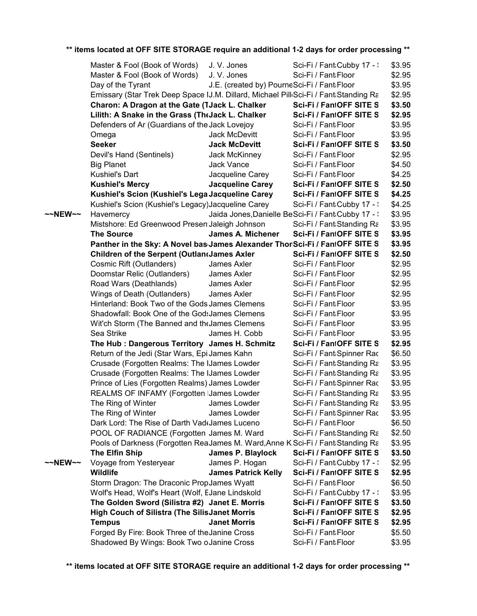|         | Master & Fool (Book of Words)                                                                   | J.V. Jones                                  | Sci-Fi / Fant:Cubby 17 - :                          | \$3.95           |
|---------|-------------------------------------------------------------------------------------------------|---------------------------------------------|-----------------------------------------------------|------------------|
|         | Master & Fool (Book of Words)                                                                   | J.V. Jones                                  | Sci-Fi / Fant Floor                                 | \$2.95           |
|         | Day of the Tyrant                                                                               | J.E. (created by) PourneSci-Fi / FantaFloor |                                                     | \$3.95           |
|         | Emissary (Star Trek Deep Space IJ.M. Dillard, Michael Pill Sci-Fi / Fant Standing Ra            |                                             |                                                     | \$2.95           |
|         | Charon: A Dragon at the Gate (TJack L. Chalker                                                  |                                             | Sci-Fi / FantOFF SITE S                             | \$3.50           |
|         | Lilith: A Snake in the Grass (The Jack L. Chalker                                               |                                             | Sci-Fi / FantOFF SITE S                             | \$2.95           |
|         | Defenders of Ar (Guardians of the Jack Lovejoy                                                  |                                             | Sci-Fi / Fant Floor                                 | \$3.95           |
|         | Omega                                                                                           | Jack McDevitt                               | Sci-Fi / Fant Floor                                 | \$3.95           |
|         | <b>Seeker</b>                                                                                   | <b>Jack McDevitt</b>                        | Sci-Fi / FantOFF SITE S                             | \$3.50           |
|         | Devil's Hand (Sentinels)                                                                        | Jack McKinney                               | Sci-Fi / Fant Floor                                 | \$2.95           |
|         | <b>Big Planet</b>                                                                               | Jack Vance                                  | Sci-Fi / Fant Floor                                 | \$4.50           |
|         | Kushiel's Dart                                                                                  | Jacqueline Carey                            | Sci-Fi / Fant Floor                                 | \$4.25           |
|         | <b>Kushiel's Mercy</b>                                                                          | <b>Jacqueline Carey</b>                     | Sci-Fi / FantOFF SITE S                             | \$2.50           |
|         | Kushiel's Scion (Kushiel's Lega Jacqueline Carey                                                |                                             | Sci-Fi / FantOFF SITE S                             | \$4.25           |
|         | Kushiel's Scion (Kushiel's Legacy) Jacqueline Carey                                             |                                             | Sci-Fi / Fant Cubby 17 - :                          | \$4.25           |
| ~~NEW~~ | Havemercy                                                                                       |                                             | Jaida Jones, Danielle BeSci-Fi / Fant: Cubby 17 - : | \$3.95           |
|         | Mistshore: Ed Greenwood Presen Jaleigh Johnson                                                  |                                             | Sci-Fi / Fant:Standing Ra                           | \$3.95           |
|         | <b>The Source</b>                                                                               | James A. Michener                           | Sci-Fi / FantOFF SITE S                             | \$3.95           |
|         | Panther in the Sky: A Novel bas James Alexander ThonSci-Fi / FantOFF SITE S                     |                                             |                                                     | \$3.95           |
|         | <b>Children of the Serpent (Outlandames Axler</b>                                               |                                             | Sci-Fi / FantOFF SITE S                             | \$2.50           |
|         | Cosmic Rift (Outlanders)                                                                        | James Axler                                 | Sci-Fi / Fant Floor                                 | \$2.95           |
|         | Doomstar Relic (Outlanders)                                                                     | James Axler                                 | Sci-Fi / Fant Floor                                 | \$2.95           |
|         | Road Wars (Deathlands)                                                                          | James Axler                                 | Sci-Fi / Fant Floor                                 | \$2.95           |
|         | Wings of Death (Outlanders)                                                                     | James Axler                                 | Sci-Fi / Fant Floor                                 | \$2.95           |
|         | Hinterland: Book Two of the Gods James Clemens<br>Shadowfall: Book One of the GodsJames Clemens |                                             | Sci-Fi / Fant Floor<br>Sci-Fi / Fant Floor          | \$3.95<br>\$3.95 |
|         |                                                                                                 |                                             | Sci-Fi / Fant Floor                                 | \$3.95           |
|         | Wit'ch Storm (The Banned and the James Clemens<br>Sea Strike                                    | James H. Cobb                               | Sci-Fi / Fant Floor                                 | \$3.95           |
|         | The Hub : Dangerous Territory James H. Schmitz                                                  |                                             | Sci-Fi / FantOFF SITE S                             | \$2.95           |
|         | Return of the Jedi (Star Wars, Epi James Kahn                                                   |                                             | Sci-Fi / Fant:Spinner Rac                           | \$6.50           |
|         | Crusade (Forgotten Realms: The IJames Lowder                                                    |                                             | Sci-Fi / Fant Standing Ra                           | \$3.95           |
|         | Crusade (Forgotten Realms: The IJames Lowder                                                    |                                             | Sci-Fi / Fant Standing Ra                           | \$3.95           |
|         | Prince of Lies (Forgotten Realms) James Lowder                                                  |                                             | Sci-Fi / Fant Spinner Rac                           | \$3.95           |
|         | REALMS OF INFAMY (Forgotten IJames Lowder                                                       |                                             | Sci-Fi / Fant Standing Ra                           | \$3.95           |
|         | The Ring of Winter                                                                              | James Lowder                                | Sci-Fi / Fant:Standing Ra                           | \$3.95           |
|         | The Ring of Winter                                                                              | James Lowder                                | Sci-Fi / Fant:Spinner Rac                           | \$3.95           |
|         | Dark Lord: The Rise of Darth Vad(James Luceno                                                   |                                             | Sci-Fi / Fant Floor                                 | \$6.50           |
|         | POOL OF RADIANCE (Forgotten James M. Ward                                                       |                                             | Sci-Fi / Fant:Standing Ra                           | \$2.50           |
|         | Pools of Darkness (Forgotten ReaJames M. Ward, Anne K Sci-Fi / Fant Standing Ra                 |                                             |                                                     | \$3.95           |
|         | The Elfin Ship                                                                                  | James P. Blaylock                           | Sci-Fi / FantOFF SITE S                             | \$3.50           |
| ~~NEW~~ | Voyage from Yesteryear                                                                          | James P. Hogan                              | Sci-Fi / Fant Cubby 17 - :                          | \$2.95           |
|         | <b>Wildlife</b>                                                                                 | <b>James Patrick Kelly</b>                  | Sci-Fi / FantOFF SITE S                             | \$2.95           |
|         | Storm Dragon: The Draconic PropJames Wyatt                                                      |                                             | Sci-Fi / Fant Floor                                 | \$6.50           |
|         | Wolf's Head, Wolf's Heart (Wolf, EJane Lindskold                                                |                                             | Sci-Fi / Fant Cubby 17 - \                          | \$3.95           |
|         | The Golden Sword (Silistra #2) Janet E. Morris                                                  |                                             | Sci-Fi / FantOFF SITE S                             | \$3.50           |
|         | <b>High Couch of Silistra (The SilisJanet Morris</b>                                            |                                             | Sci-Fi / FantOFF SITE S                             | \$2.95           |
|         | <b>Tempus</b>                                                                                   | <b>Janet Morris</b>                         | Sci-Fi / FantOFF SITE S                             | \$2.95           |
|         | Forged By Fire: Book Three of the Janine Cross                                                  |                                             | Sci-Fi / Fant Floor                                 | \$5.50           |
|         | Shadowed By Wings: Book Two oJanine Cross                                                       |                                             | Sci-Fi / Fant Floor                                 | \$3.95           |
|         |                                                                                                 |                                             |                                                     |                  |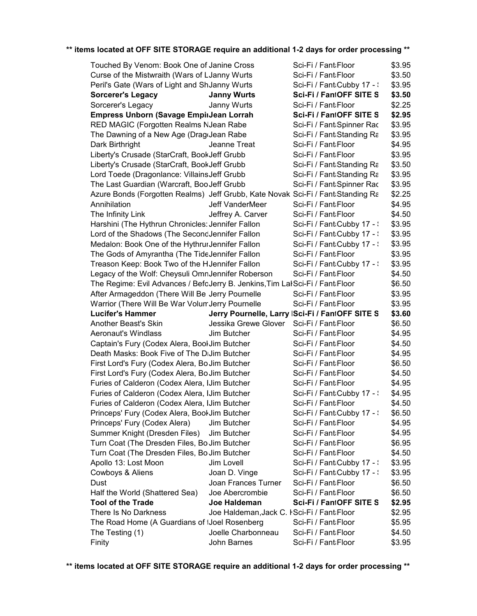|                                                                                 | Touched By Venom: Book One of Janine Cross | Sci-Fi / Fant Floor                             | \$3.95           |
|---------------------------------------------------------------------------------|--------------------------------------------|-------------------------------------------------|------------------|
| Curse of the Mistwraith (Wars of LJanny Wurts                                   |                                            | Sci-Fi / Fant Floor                             | \$3.50           |
| Peril's Gate (Wars of Light and ShJanny Wurts                                   |                                            | Sci-Fi / Fant:Cubby 17 - :                      | \$3.95           |
| <b>Sorcerer's Legacy</b>                                                        | <b>Janny Wurts</b>                         | Sci-Fi / FantOFF SITE S                         | \$3.50           |
| Sorcerer's Legacy                                                               | Janny Wurts                                | Sci-Fi / Fant Floor                             | \$2.25           |
| Empress Unborn (Savage EmpirJean Lorrah                                         |                                            | Sci-Fi / FantOFF SITE S                         | \$2.95           |
| RED MAGIC (Forgotten Realms NJean Rabe                                          |                                            | Sci-Fi / Fant:Spinner Rac                       | \$3.95           |
| The Dawning of a New Age (Drag Jean Rabe                                        |                                            | Sci-Fi / Fant: Standing Ra                      | \$3.95           |
| Dark Birthright                                                                 | Jeanne Treat                               | Sci-Fi / Fant Floor                             | \$4.95           |
| Liberty's Crusade (StarCraft, BookJeff Grubb                                    |                                            | Sci-Fi / Fant:Floor                             | \$3.95           |
| Liberty's Crusade (StarCraft, BookJeff Grubb                                    |                                            | Sci-Fi / Fant:Standing Ra                       | \$3.50           |
| Lord Toede (Dragonlance: Villains Jeff Grubb                                    |                                            | Sci-Fi / Fant: Standing Ra                      | \$3.95           |
| The Last Guardian (Warcraft, BooJeff Grubb                                      |                                            | Sci-Fi / Fant Spinner Rac                       | \$3.95           |
| Azure Bonds (Forgotten Realms) Jeff Grubb, Kate Novak Sci-Fi / Fant Standing Ra |                                            |                                                 | \$2.25           |
| Annihilation                                                                    | Jeff VanderMeer                            | Sci-Fi / Fant Floor                             | \$4.95           |
| The Infinity Link                                                               | Jeffrey A. Carver                          | Sci-Fi / Fant Floor                             | \$4.50           |
| Harshini (The Hythrun Chronicles: Jennifer Fallon                               |                                            | Sci-Fi / Fant:Cubby 17 - :                      | \$3.95           |
| Lord of the Shadows (The SecondJennifer Fallon                                  |                                            | Sci-Fi / Fant:Cubby 17 - :                      | \$3.95           |
| Medalon: Book One of the HythrurJennifer Fallon                                 |                                            | Sci-Fi / Fant:Cubby 17 - :                      | \$3.95           |
| The Gods of Amyrantha (The TideJennifer Fallon                                  |                                            | Sci-Fi / Fant Floor                             | \$3.95           |
| Treason Keep: Book Two of the HJennifer Fallon                                  |                                            | Sci-Fi / Fant Cubby 17 - \                      | \$3.95           |
| Legacy of the Wolf: Cheysuli OmnJennifer Roberson                               |                                            | Sci-Fi / Fant Floor                             | \$4.50           |
| The Regime: Evil Advances / BefoJerry B. Jenkins, Tim LalSci-Fi / Fant Floor    |                                            |                                                 | \$6.50           |
| After Armageddon (There Will Be Jerry Pournelle                                 |                                            | Sci-Fi / Fant Floor                             | \$3.95           |
| Warrior (There Will Be War VolumJerry Pournelle                                 |                                            | Sci-Fi / Fant Floor                             | \$3.95           |
|                                                                                 |                                            |                                                 |                  |
| <b>Lucifer's Hammer</b>                                                         |                                            | Jerry Pournelle, Larry  Sci-Fi / FantOFF SITE S | \$3.60           |
| Another Beast's Skin                                                            | Jessika Grewe Glover                       | Sci-Fi / Fant:Floor                             | \$6.50           |
| <b>Aeronaut's Windlass</b>                                                      | Jim Butcher                                | Sci-Fi / Fant Floor                             | \$4.95           |
| Captain's Fury (Codex Alera, Bool Jim Butcher                                   |                                            | Sci-Fi / Fant Floor                             | \$4.50           |
| Death Masks: Book Five of The DiJim Butcher                                     |                                            | Sci-Fi / Fant Floor                             | \$4.95           |
| First Lord's Fury (Codex Alera, Bo Jim Butcher                                  |                                            | Sci-Fi / Fant Floor                             | \$6.50           |
| First Lord's Fury (Codex Alera, Bo Jim Butcher                                  |                                            | Sci-Fi / Fant Floor                             | \$4.50           |
| Furies of Calderon (Codex Alera, IJim Butcher                                   |                                            | Sci-Fi / Fant Floor                             | \$4.95           |
| Furies of Calderon (Codex Alera, IJim Butcher                                   |                                            | Sci-Fi / Fant Cubby 17 - :                      | \$4.95           |
| Furies of Calderon (Codex Alera, IJim Butcher                                   |                                            | Sci-Fi / Fant Floor                             | \$4.50           |
| Princeps' Fury (Codex Alera, BookJim Butcher                                    |                                            | Sci-Fi / Fant Cubby 17 - \                      | \$6.50           |
| Princeps' Fury (Codex Alera)                                                    | Jim Butcher                                | Sci-Fi / Fant Floor                             | \$4.95           |
| Summer Knight (Dresden Files)                                                   | Jim Butcher                                | Sci-Fi / Fant Floor                             | \$4.95           |
| Turn Coat (The Dresden Files, BoJim Butcher                                     |                                            | Sci-Fi / Fant Floor                             | \$6.95           |
| Turn Coat (The Dresden Files, BoJim Butcher                                     |                                            | Sci-Fi / Fant Floor                             | \$4.50           |
| Apollo 13: Lost Moon                                                            | Jim Lovell                                 | Sci-Fi / Fant Cubby 17 - \                      | \$3.95           |
| Cowboys & Aliens                                                                | Joan D. Vinge                              | Sci-Fi / Fant Cubby 17 - :                      | \$3.95           |
| Dust                                                                            | Joan Frances Turner                        | Sci-Fi / Fant Floor                             | \$6.50           |
| Half the World (Shattered Sea)                                                  | Joe Abercrombie                            | Sci-Fi / Fant Floor                             | \$6.50           |
| <b>Tool of the Trade</b>                                                        | Joe Haldeman                               | Sci-Fi / FantOFF SITE S                         | \$2.95           |
| There Is No Darkness                                                            | Joe Haldeman, Jack C. FSci-Fi / Fant Floor |                                                 | \$2.95           |
| The Road Home (A Guardians of IJoel Rosenberg                                   |                                            | Sci-Fi / Fant Floor                             | \$5.95           |
| The Testing (1)<br>Finity                                                       | Joelle Charbonneau<br>John Barnes          | Sci-Fi / Fant Floor<br>Sci-Fi / Fant Floor      | \$4.50<br>\$3.95 |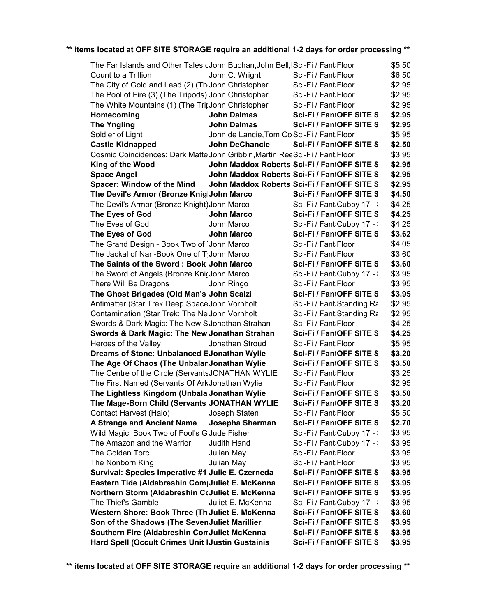| The Far Islands and Other Tales cJohn Buchan, John Bell, ISci-Fi / Fant Floor |                                             |                                             | \$5.50 |
|-------------------------------------------------------------------------------|---------------------------------------------|---------------------------------------------|--------|
| Count to a Trillion                                                           | John C. Wright                              | Sci-Fi / Fant Floor                         | \$6.50 |
| The City of Gold and Lead (2) (The John Christopher                           |                                             | Sci-Fi / Fant Floor                         | \$2.95 |
| The Pool of Fire (3) (The Tripods) John Christopher                           |                                             | Sci-Fi / Fant Floor                         | \$2.95 |
| The White Mountains (1) (The TripJohn Christopher                             |                                             | Sci-Fi / Fant Floor                         | \$2.95 |
| Homecoming                                                                    | <b>John Dalmas</b>                          | Sci-Fi / FantOFF SITE S                     | \$2.95 |
| <b>The Yngling</b>                                                            | <b>John Dalmas</b>                          | Sci-Fi / FantOFF SITE S                     | \$2.95 |
| Soldier of Light                                                              | John de Lancie, Tom Co Sci-Fi / Fant: Floor |                                             | \$5.95 |
| <b>Castle Kidnapped</b>                                                       | <b>John DeChancie</b>                       | Sci-Fi / FantOFF SITE S                     | \$2.50 |
| Cosmic Coincidences: Dark Matte John Gribbin, Martin ReeSci-Fi / Fant:Floor   |                                             |                                             | \$3.95 |
| King of the Wood                                                              |                                             | John Maddox Roberts Sci-Fi / FantOFF SITE S | \$2.95 |
| <b>Space Angel</b>                                                            |                                             | John Maddox Roberts Sci-Fi / FantOFF SITE S | \$2.95 |
| <b>Spacer: Window of the Mind</b>                                             |                                             | John Maddox Roberts Sci-Fi / FantOFF SITE S | \$2.95 |
| The Devil's Armor (Bronze KniglJohn Marco                                     |                                             | Sci-Fi / FantOFF SITE S                     | \$4.50 |
| The Devil's Armor (Bronze Knight) John Marco                                  |                                             | Sci-Fi / Fant Cubby 17 - :                  | \$4.25 |
| The Eyes of God                                                               | <b>John Marco</b>                           | Sci-Fi / FantOFF SITE S                     | \$4.25 |
| The Eyes of God                                                               | John Marco                                  | Sci-Fi / Fant Cubby 17 - :                  | \$4.25 |
| The Eyes of God                                                               | <b>John Marco</b>                           | Sci-Fi / FantOFF SITE S                     | \$3.62 |
| The Grand Design - Book Two of John Marco                                     |                                             | Sci-Fi / Fant Floor                         | \$4.05 |
| The Jackal of Nar-Book One of TJohn Marco                                     |                                             | Sci-Fi / Fant Floor                         | \$3.60 |
| The Saints of the Sword: Book John Marco                                      |                                             | Sci-Fi / FantOFF SITE S                     | \$3.60 |
| The Sword of Angels (Bronze KnicJohn Marco                                    |                                             | Sci-Fi / Fant Cubby 17 - :                  | \$3.95 |
| There Will Be Dragons                                                         | John Ringo                                  | Sci-Fi / Fant Floor                         | \$3.95 |
| The Ghost Brigades (Old Man's John Scalzi                                     |                                             | Sci-Fi / FantOFF SITE S                     | \$3.95 |
| Antimatter (Star Trek Deep Space John Vornholt                                |                                             | Sci-Fi / Fant Standing Ra                   | \$2.95 |
| Contamination (Star Trek: The Ne John Vornholt                                |                                             | Sci-Fi / Fant Standing Ra                   | \$2.95 |
| Swords & Dark Magic: The New SJonathan Strahan                                |                                             | Sci-Fi / Fant Floor                         | \$4.25 |
| Swords & Dark Magic: The New Jonathan Strahan                                 |                                             | Sci-Fi / FantOFF SITE S                     | \$4.25 |
| Heroes of the Valley                                                          | Jonathan Stroud                             | Sci-Fi / Fant Floor                         | \$5.95 |
| Dreams of Stone: Unbalanced EJonathan Wylie                                   |                                             | Sci-Fi / FantOFF SITE S                     | \$3.20 |
| The Age Of Chaos (The UnbalanJonathan Wylie                                   |                                             | Sci-Fi / FantOFF SITE S                     | \$3.50 |
| The Centre of the Circle (ServantsJONATHAN WYLIE                              |                                             | Sci-Fi / Fant Floor                         | \$3.25 |
| The First Named (Servants Of ArkJonathan Wylie                                |                                             | Sci-Fi / Fant Floor                         | \$2.95 |
| The Lightless Kingdom (Unbala Jonathan Wylie                                  |                                             | Sci-Fi / FantOFF SITE S                     | \$3.50 |
| The Mage-Born Child (Servants JONATHAN WYLIE                                  |                                             | Sci-Fi / FantOFF SITE S                     | \$3.20 |
| Contact Harvest (Halo)                                                        | Joseph Staten                               | Sci-Fi / Fant:Floor                         | \$5.50 |
| <b>A Strange and Ancient Name</b>                                             | <b>Josepha Sherman</b>                      | Sci-Fi / FantOFF SITE S                     | \$2.70 |
| Wild Magic: Book Two of Fool's GJude Fisher                                   |                                             | Sci-Fi / Fant Cubby 17 - :                  | \$3.95 |
| The Amazon and the Warrior                                                    | Judith Hand                                 | Sci-Fi / Fant Cubby 17 - :                  | \$3.95 |
| The Golden Torc                                                               | Julian May                                  | Sci-Fi / Fant Floor                         | \$3.95 |
| The Nonborn King                                                              | Julian May                                  | Sci-Fi / Fant Floor                         | \$3.95 |
| Survival: Species Imperative #1 Julie E. Czerneda                             |                                             | Sci-Fi / FantOFF SITE S                     | \$3.95 |
| Eastern Tide (Aldabreshin CompJuliet E. McKenna                               |                                             | Sci-Fi / FantOFF SITE S                     | \$3.95 |
| Northern Storm (Aldabreshin CcJuliet E. McKenna                               |                                             | Sci-Fi / FantOFF SITE S                     | \$3.95 |
| The Thief's Gamble                                                            | Juliet E. McKenna                           | Sci-Fi / Fant Cubby 17 - :                  | \$3.95 |
| Western Shore: Book Three (Th Juliet E. McKenna                               |                                             | Sci-Fi / FantOFF SITE S                     | \$3.60 |
| Son of the Shadows (The SevenJuliet Marillier                                 |                                             | Sci-Fi / FantOFF SITE S                     | \$3.95 |
| Southern Fire (Aldabreshin Con Juliet McKenna                                 |                                             | Sci-Fi / FantOFF SITE S                     | \$3.95 |
| <b>Hard Spell (Occult Crimes Unit IJustin Gustainis</b>                       |                                             | Sci-Fi / FantOFF SITE S                     | \$3.95 |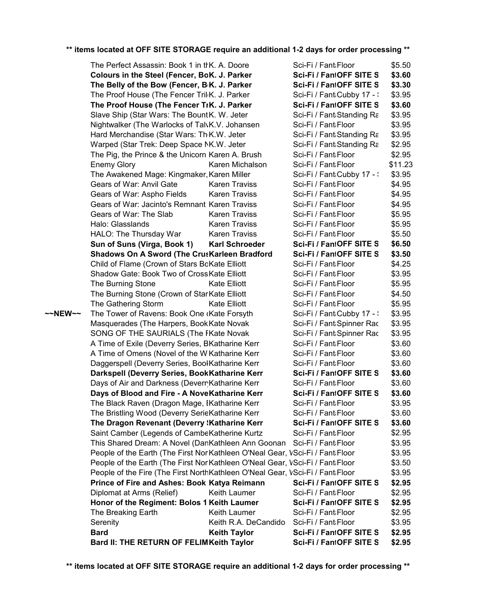|         | The Perfect Assassin: Book 1 in thK. A. Doore                                 |                       | Sci-Fi / Fant Floor        | \$5.50  |  |
|---------|-------------------------------------------------------------------------------|-----------------------|----------------------------|---------|--|
|         | Colours in the Steel (Fencer, BoK. J. Parker                                  |                       | Sci-Fi / FantOFF SITE S    | \$3.60  |  |
|         | The Belly of the Bow (Fencer, B <sub>'</sub> K. J. Parker                     |                       | Sci-Fi / FantOFF SITE S    | \$3.30  |  |
|         | The Proof House (The Fencer Tril <sub>'</sub> K. J. Parker                    |                       | Sci-Fi / Fant Cubby 17 - : | \$3.95  |  |
|         | The Proof House (The Fencer TrK. J. Parker                                    |                       | Sci-Fi / FantOFF SITE S    | \$3.60  |  |
|         | Slave Ship (Star Wars: The BountK. W. Jeter                                   |                       | Sci-Fi / Fant:Standing Ra  | \$3.95  |  |
|         | Nightwalker (The Warlocks of TalvK.V. Johansen                                |                       | Sci-Fi / Fant Floor        | \$3.95  |  |
|         | Hard Merchandise (Star Wars: Th <sub>'</sub> K.W. Jeter                       |                       | Sci-Fi / Fant Standing Ra  | \$3.95  |  |
|         | Warped (Star Trek: Deep Space NK.W. Jeter                                     |                       | Sci-Fi / Fant Standing Ra  | \$2.95  |  |
|         | The Pig, the Prince & the Unicorn Karen A. Brush                              |                       | Sci-Fi / Fant Floor        | \$2.95  |  |
|         | <b>Enemy Glory</b>                                                            | Karen Michalson       | Sci-Fi / Fant Floor        | \$11.23 |  |
|         | The Awakened Mage: Kingmaker, Karen Miller                                    |                       | Sci-Fi / Fant Cubby 17 - : | \$3.95  |  |
|         | Gears of War: Anvil Gate                                                      | <b>Karen Traviss</b>  | Sci-Fi / Fant Floor        | \$4.95  |  |
|         | Gears of War: Aspho Fields                                                    | <b>Karen Traviss</b>  | Sci-Fi / Fant Floor        | \$4.95  |  |
|         | Gears of War: Jacinto's Remnant Karen Traviss                                 |                       | Sci-Fi / Fant Floor        | \$4.95  |  |
|         | Gears of War: The Slab                                                        | <b>Karen Traviss</b>  | Sci-Fi / Fant Floor        | \$5.95  |  |
|         | Halo: Glasslands                                                              | <b>Karen Traviss</b>  | Sci-Fi / Fant Floor        | \$5.95  |  |
|         | HALO: The Thursday War                                                        | <b>Karen Traviss</b>  | Sci-Fi / Fant Floor        | \$5.50  |  |
|         | Sun of Suns (Virga, Book 1)                                                   | <b>Karl Schroeder</b> | Sci-Fi / FantOFF SITE S    | \$6.50  |  |
|         | <b>Shadows On A Sword (The CrusKarleen Bradford</b>                           |                       | Sci-Fi / FantOFF SITE S    | \$3.50  |  |
|         | Child of Flame (Crown of Stars BoKate Elliott                                 |                       | Sci-Fi / Fant Floor        | \$4.25  |  |
|         | Shadow Gate: Book Two of Cross Kate Elliott                                   |                       | Sci-Fi / Fant Floor        | \$3.95  |  |
|         | The Burning Stone                                                             | Kate Elliott          | Sci-Fi / Fant Floor        | \$5.95  |  |
|         | The Burning Stone (Crown of Star Kate Elliott                                 |                       | Sci-Fi / Fant Floor        | \$4.50  |  |
|         | The Gathering Storm                                                           | <b>Kate Elliott</b>   | Sci-Fi / Fant Floor        | \$5.95  |  |
| ~~NEW~~ | The Tower of Ravens: Book One (Kate Forsyth                                   |                       | Sci-Fi / Fant:Cubby 17 - : | \$3.95  |  |
|         | Masquerades (The Harpers, Book Kate Novak                                     |                       | Sci-Fi / Fant:Spinner Rac  | \$3.95  |  |
|         | SONG OF THE SAURIALS (The FKate Novak                                         |                       | Sci-Fi / Fant:Spinner Rac  | \$3.95  |  |
|         | A Time of Exile (Deverry Series, BKatharine Kerr                              |                       | Sci-Fi / Fant Floor        | \$3.60  |  |
|         | A Time of Omens (Novel of the W Katharine Kerr                                |                       | Sci-Fi / Fant Floor        | \$3.60  |  |
|         | Daggerspell (Deverry Series, BoolKatharine Kerr                               |                       | Sci-Fi / Fant Floor        | \$3.60  |  |
|         | Darkspell (Deverry Series, BookKatharine Kerr                                 |                       | Sci-Fi / FantOFF SITE S    | \$3.60  |  |
|         | Days of Air and Darkness (Devern Katharine Kerr                               |                       | Sci-Fi / Fant Floor        | \$3.60  |  |
|         | Days of Blood and Fire - A NoveKatharine Kerr                                 |                       | Sci-Fi / FantOFF SITE S    | \$3.60  |  |
|         | The Black Raven (Dragon Mage, IKatharine Kerr                                 |                       | Sci-Fi / Fant Floor        | \$3.95  |  |
|         | The Bristling Wood (Deverry SerieKatharine Kerr                               |                       | Sci-Fi / Fant:Floor        | \$3.60  |  |
|         | The Dragon Revenant (Deverry 'Katharine Kerr                                  |                       | Sci-Fi / FantOFF SITE S    | \$3.60  |  |
|         | Saint Camber (Legends of CambeKatherine Kurtz                                 |                       | Sci-Fi / Fant Floor        | \$2.95  |  |
|         | This Shared Dream: A Novel (DanKathleen Ann Goonan                            |                       | Sci-Fi / Fant Floor        | \$3.95  |  |
|         | People of the Earth (The First Nor Kathleen O'Neal Gear, VSci-Fi / Fant Floor |                       |                            | \$3.95  |  |
|         | People of the Earth (The First Nor Kathleen O'Neal Gear, VSci-Fi / Fant Floor |                       |                            | \$3.50  |  |
|         | People of the Fire (The First NorthKathleen O'Neal Gear, VSci-Fi / Fant:Floor |                       |                            | \$3.95  |  |
|         | Prince of Fire and Ashes: Book Katya Reimann                                  |                       | Sci-Fi / FantOFF SITE S    | \$2.95  |  |
|         | Diplomat at Arms (Relief)                                                     | Keith Laumer          | Sci-Fi / Fant Floor        | \$2.95  |  |
|         | Honor of the Regiment: Bolos 1 Keith Laumer                                   |                       | Sci-Fi / FantOFF SITE S    | \$2.95  |  |
|         | The Breaking Earth                                                            | Keith Laumer          | Sci-Fi / Fant Floor        | \$2.95  |  |
|         | Serenity                                                                      | Keith R.A. DeCandido  | Sci-Fi / Fant Floor        | \$3.95  |  |
|         | <b>Bard</b>                                                                   | <b>Keith Taylor</b>   | Sci-Fi / FantOFF SITE S    | \$2.95  |  |
|         |                                                                               |                       |                            |         |  |
|         | Bard II: THE RETURN OF FELIMKeith Taylor                                      |                       | Sci-Fi / FantOFF SITE S    | \$2.95  |  |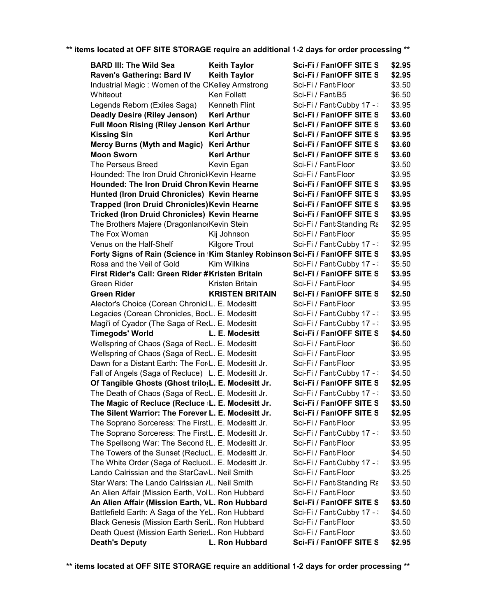| <b>BARD III: The Wild Sea</b>                                                       | <b>Keith Taylor</b>    | Sci-Fi / FantOFF SITE S    | \$2.95 |
|-------------------------------------------------------------------------------------|------------------------|----------------------------|--------|
| Raven's Gathering: Bard IV                                                          | <b>Keith Taylor</b>    | Sci-Fi / FantOFF SITE S    | \$2.95 |
| Industrial Magic: Women of the OKelley Armstrong                                    |                        | Sci-Fi / Fant Floor        | \$3.50 |
| Whiteout                                                                            | Ken Follett            | Sci-Fi / Fant:B5           | \$6.50 |
| Legends Reborn (Exiles Saga)                                                        | Kenneth Flint          | Sci-Fi / Fant Cubby 17 - : | \$3.95 |
| <b>Deadly Desire (Riley Jenson)</b>                                                 | <b>Keri Arthur</b>     | Sci-Fi / FantOFF SITE S    | \$3.60 |
| Full Moon Rising (Riley Jenson Keri Arthur                                          |                        | Sci-Fi / FantOFF SITE S    | \$3.60 |
| <b>Kissing Sin</b>                                                                  | <b>Keri Arthur</b>     | Sci-Fi / FantOFF SITE S    | \$3.95 |
| Mercy Burns (Myth and Magic) Keri Arthur                                            |                        | Sci-Fi / FantOFF SITE S    | \$3.60 |
| <b>Moon Sworn</b>                                                                   | <b>Keri Arthur</b>     | Sci-Fi / FantOFF SITE S    | \$3.60 |
| The Perseus Breed                                                                   | Kevin Egan             | Sci-Fi / Fant Floor        | \$3.50 |
| Hounded: The Iron Druid ChronickKevin Hearne                                        |                        | Sci-Fi / Fant Floor        | \$3.95 |
| Hounded: The Iron Druid Chron Kevin Hearne                                          |                        | Sci-Fi / FantOFF SITE S    | \$3.95 |
| Hunted (Iron Druid Chronicles) Kevin Hearne                                         |                        | Sci-Fi / FantOFF SITE S    | \$3.95 |
| <b>Trapped (Iron Druid Chronicles) Kevin Hearne</b>                                 |                        | Sci-Fi / FantOFF SITE S    | \$3.95 |
| Tricked (Iron Druid Chronicles) Kevin Hearne                                        |                        | Sci-Fi / FantOFF SITE S    | \$3.95 |
| The Brothers Majere (Dragonlanc Kevin Stein                                         |                        | Sci-Fi / Fant Standing Ra  | \$2.95 |
| The Fox Woman                                                                       | Kij Johnson            | Sci-Fi / Fant Floor        | \$5.95 |
| Venus on the Half-Shelf                                                             | <b>Kilgore Trout</b>   | Sci-Fi / Fant Cubby 17 - : | \$2.95 |
| Forty Signs of Rain (Science in <i>Kim Stanley Robinson Sci-Fi / FantOFF SITE S</i> |                        |                            | \$3.95 |
| Rosa and the Veil of Gold                                                           | <b>Kim Wilkins</b>     | Sci-Fi / Fant Cubby 17 - : | \$5.50 |
| First Rider's Call: Green Rider #Kristen Britain                                    |                        | Sci-Fi / FantOFF SITE S    | \$3.95 |
| Green Rider                                                                         | Kristen Britain        | Sci-Fi / Fant Floor        | \$4.95 |
| <b>Green Rider</b>                                                                  | <b>KRISTEN BRITAIN</b> | Sci-Fi / FantOFF SITE S    | \$2.50 |
| Alector's Choice (Corean ChroniclL. E. Modesitt                                     |                        | Sci-Fi / Fant Floor        | \$3.95 |
| Legacies (Corean Chronicles, BocL. E. Modesitt                                      |                        | Sci-Fi / Fant Cubby 17 - : | \$3.95 |
| Magi'i of Cyador (The Saga of RecL. E. Modesitt                                     |                        | Sci-Fi / Fant Cubby 17 - : | \$3.95 |
| <b>Timegods' World</b>                                                              | L. E. Modesitt         | Sci-Fi / FantOFF SITE S    | \$4.50 |
| Wellspring of Chaos (Saga of RecL. E. Modesitt                                      |                        | Sci-Fi / Fant Floor        | \$6.50 |
| Wellspring of Chaos (Saga of RecL. E. Modesitt                                      |                        | Sci-Fi / Fant Floor        | \$3.95 |
| Dawn for a Distant Earth: The For(L. E. Modesitt Jr.                                |                        | Sci-Fi / Fant Floor        | \$3.95 |
| Fall of Angels (Saga of Recluce) L. E. Modesitt Jr.                                 |                        | Sci-Fi / Fant Cubby 17 - : | \$4.50 |
| Of Tangible Ghosts (Ghost trilo(L. E. Modesitt Jr.                                  |                        | Sci-Fi / FantOFF SITE S    | \$2.95 |
| The Death of Chaos (Saga of RecL. E. Modesitt Jr.                                   |                        | Sci-Fi / Fant Cubby 17 - : | \$3.50 |
| The Magic of Recluce (Recluce : L. E. Modesitt Jr.                                  |                        | Sci-Fi / FantOFF SITE S    | \$3.50 |
| The Silent Warrior: The Forever L. E. Modesitt Jr.                                  |                        | Sci-Fi / FantOFF SITE S    | \$2.95 |
| The Soprano Sorceress: The FirstL. E. Modesitt Jr.                                  |                        | Sci-Fi / Fant Floor        | \$3.95 |
| The Soprano Sorceress: The FirstL. E. Modesitt Jr.                                  |                        | Sci-Fi / Fant Cubby 17 - \ | \$3.50 |
| The Spellsong War: The Second IL. E. Modesitt Jr.                                   |                        | Sci-Fi / Fant Floor        | \$3.95 |
| The Towers of the Sunset (ReclucL. E. Modesitt Jr.                                  |                        | Sci-Fi / Fant Floor        | \$4.50 |
| The White Order (Saga of RecluctL. E. Modesitt Jr.                                  |                        | Sci-Fi / Fant Cubby 17 - \ | \$3.95 |
| Lando Calrissian and the StarCaviL. Neil Smith                                      |                        | Sci-Fi / Fant Floor        | \$3.25 |
| Star Wars: The Lando Calrissian /L. Neil Smith                                      |                        | Sci-Fi / Fant Standing Ra  | \$3.50 |
| An Alien Affair (Mission Earth, Vol L. Ron Hubbard                                  |                        | Sci-Fi / Fant Floor        | \$3.50 |
| An Alien Affair (Mission Earth, VL. Ron Hubbard                                     |                        | Sci-Fi / FantOFF SITE S    | \$3.50 |
| Battlefield Earth: A Saga of the YeL. Ron Hubbard                                   |                        | Sci-Fi / Fant Cubby 17 - : | \$4.50 |
| Black Genesis (Mission Earth SeriL. Ron Hubbard                                     |                        | Sci-Fi / Fant Floor        | \$3.50 |
| Death Quest (Mission Earth Serie:L. Ron Hubbard                                     |                        | Sci-Fi / Fant Floor        | \$3.50 |
| <b>Death's Deputy</b>                                                               | L. Ron Hubbard         | Sci-Fi / FantOFF SITE S    | \$2.95 |
|                                                                                     |                        |                            |        |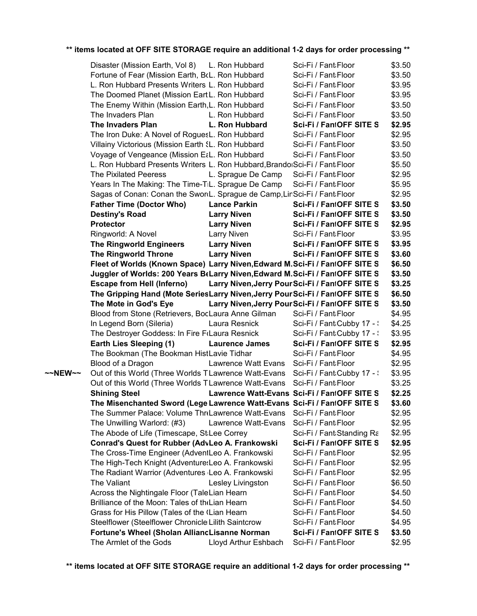|         | Disaster (Mission Earth, Vol 8) L. Ron Hubbard                                 |                                         | Sci-Fi / Fant Floor                             | \$3.50 |
|---------|--------------------------------------------------------------------------------|-----------------------------------------|-------------------------------------------------|--------|
|         | Fortune of Fear (Mission Earth, BcL. Ron Hubbard                               |                                         | Sci-Fi / Fant:Floor                             | \$3.50 |
|         | L. Ron Hubbard Presents Writers L. Ron Hubbard                                 |                                         | Sci-Fi / Fant:Floor                             | \$3.95 |
|         | The Doomed Planet (Mission EartL. Ron Hubbard                                  |                                         | Sci-Fi / Fant:Floor                             | \$3.95 |
|         | The Enemy Within (Mission Earth, L. Ron Hubbard                                |                                         | Sci-Fi / Fant Floor                             | \$3.50 |
|         | The Invaders Plan                                                              | L. Ron Hubbard                          | Sci-Fi / Fant:Floor                             | \$3.50 |
|         | The Invaders Plan                                                              | L. Ron Hubbard                          | Sci-Fi / FantOFF SITE S                         | \$2.95 |
|         | The Iron Duke: A Novel of RoguesL. Ron Hubbard                                 |                                         | Sci-Fi / Fant:Floor                             | \$2.95 |
|         | Villainy Victorious (Mission Earth SL. Ron Hubbard                             |                                         | Sci-Fi / Fant Floor                             | \$3.50 |
|         | Voyage of Vengeance (Mission E¿L. Ron Hubbard                                  |                                         | Sci-Fi / Fant Floor                             | \$3.50 |
|         | L. Ron Hubbard Presents Writers L. Ron Hubbard, Brandol Sci-Fi / Fant Floor    |                                         |                                                 | \$5.50 |
|         | <b>The Pixilated Peeress</b>                                                   | L. Sprague De Camp                      | Sci-Fi / Fant:Floor                             | \$2.95 |
|         | Years In The Making: The Time-TiL. Sprague De Camp                             |                                         | Sci-Fi / Fant Floor                             | \$5.95 |
|         | Sagas of Conan: Conan the Sword. Sprague de Camp, LinSci-Fi / Fant Floor       |                                         |                                                 | \$2.95 |
|         | <b>Father Time (Doctor Who)</b>                                                | <b>Lance Parkin</b>                     | Sci-Fi / FantOFF SITE S                         | \$3.50 |
|         | <b>Destiny's Road</b>                                                          | <b>Larry Niven</b>                      | Sci-Fi / FantOFF SITE S                         | \$3.50 |
|         | <b>Protector</b>                                                               | <b>Larry Niven</b>                      | Sci-Fi / FantOFF SITE S                         | \$2.95 |
|         | Ringworld: A Novel                                                             | <b>Larry Niven</b>                      | Sci-Fi / Fant Floor                             | \$3.95 |
|         | <b>The Ringworld Engineers</b>                                                 | <b>Larry Niven</b>                      | Sci-Fi / FantOFF SITE S                         | \$3.95 |
|         | <b>The Ringworld Throne</b>                                                    | <b>Larry Niven</b>                      | Sci-Fi / FantOFF SITE S                         | \$3.60 |
|         | Fleet of Worlds (Known Space) Larry Niven, Edward M.Sci-Fi / FantOFF SITE S    |                                         |                                                 | \$6.50 |
|         | Juggler of Worlds: 200 Years B Larry Niven, Edward M. Sci-Fi / FantOFF SITE S  |                                         |                                                 | \$3.50 |
|         | <b>Escape from Hell (Inferno)</b>                                              |                                         | Larry Niven, Jerry Pour Sci-Fi / FantOFF SITE S | \$3.25 |
|         | The Gripping Hand (Mote SeriesLarry Niven, Jerry PourSci-Fi / FantOFF SITE S   |                                         |                                                 | \$6.50 |
|         | The Mote in God's Eye                                                          |                                         | Larry Niven, Jerry Pour Sci-Fi / FantOFF SITE S | \$3.50 |
|         | Blood from Stone (Retrievers, BocLaura Anne Gilman                             |                                         | Sci-Fi / Fant Floor                             | \$4.95 |
|         | In Legend Born (Sileria)                                                       | Laura Resnick                           | Sci-Fi / Fant Cubby 17 - :                      | \$4.25 |
|         | The Destroyer Goddess: In Fire F(Laura Resnick                                 |                                         | Sci-Fi / Fant:Cubby 17 - :                      | \$3.95 |
|         | <b>Earth Lies Sleeping (1)</b>                                                 | <b>Laurence James</b>                   | Sci-Fi / FantOFF SITE S                         | \$2.95 |
|         | The Bookman (The Bookman HistLavie Tidhar                                      |                                         | Sci-Fi / Fant Floor                             | \$4.95 |
|         | Blood of a Dragon                                                              | Lawrence Watt Evans Sci-Fi / Fant:Floor |                                                 | \$2.95 |
| ~~NEW~~ | Out of this World (Three Worlds TLawrence Watt-Evans Sci-Fi / Fant:Cubby 17 -: |                                         |                                                 | \$3.95 |
|         | Out of this World (Three Worlds TLawrence Watt-Evans Sci-Fi / Fant Floor       |                                         |                                                 | \$3.25 |
|         | <b>Shining Steel</b>                                                           |                                         | Lawrence Watt-Evans Sci-Fi / FantOFF SITE S     | \$2.25 |
|         | The Misenchanted Sword (LegeLawrence Watt-Evans Sci-Fi / FantOFF SITE S        |                                         |                                                 | \$3.60 |
|         | The Summer Palace: Volume Thr Lawrence Watt-Evans Sci-Fi / Fant Floor          |                                         |                                                 | \$2.95 |
|         | The Unwilling Warlord: (#3)                                                    | Lawrence Watt-Evans Sci-Fi / Fant:Floor |                                                 | \$2.95 |
|         | The Abode of Life (Timescape, StiLee Correy                                    |                                         | Sci-Fi / Fant Standing Ra                       | \$2.95 |
|         | Conrad's Quest for Rubber (AdvLeo A. Frankowski                                |                                         | Sci-Fi / FantOFF SITE S                         | \$2.95 |
|         | The Cross-Time Engineer (AdventLeo A. Frankowski                               |                                         | Sci-Fi / Fant Floor                             | \$2.95 |
|         | The High-Tech Knight (Adventure:Leo A. Frankowski                              |                                         | Sci-Fi / Fant Floor                             | \$2.95 |
|         | The Radiant Warrior (Adventures Leo A. Frankowski                              |                                         | Sci-Fi / Fant:Floor                             | \$2.95 |
|         | The Valiant                                                                    | Lesley Livingston                       | Sci-Fi / Fant:Floor                             | \$6.50 |
|         | Across the Nightingale Floor (TaleLian Hearn                                   |                                         | Sci-Fi / Fant:Floor                             | \$4.50 |
|         | Brilliance of the Moon: Tales of the Lian Hearn                                |                                         | Sci-Fi / Fant Floor                             | \$4.50 |
|         | Grass for His Pillow (Tales of the (Lian Hearn                                 |                                         | Sci-Fi / Fant:Floor                             | \$4.50 |
|         | Steelflower (Steelflower Chronicle:Lilith Saintcrow                            |                                         | Sci-Fi / Fant:Floor                             | \$4.95 |
|         | Fortune's Wheel (Sholan AlliancLisanne Norman                                  |                                         | Sci-Fi / FantOFF SITE S                         | \$3.50 |
|         | The Armlet of the Gods                                                         | Lloyd Arthur Eshbach                    | Sci-Fi / Fant Floor                             | \$2.95 |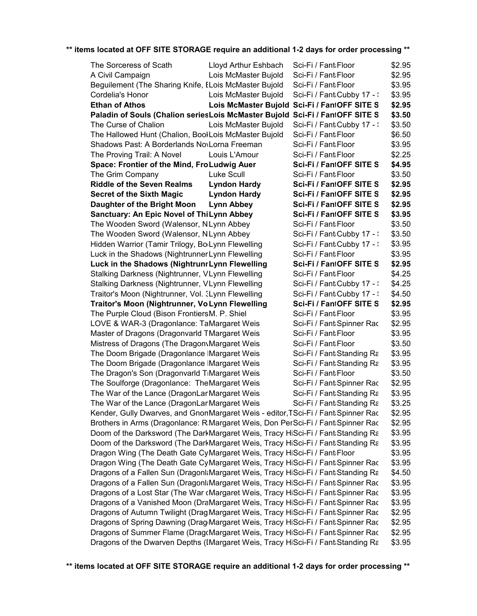| The Sorceress of Scath                                                                        | Lloyd Arthur Eshbach | Sci-Fi / Fant Floor                          | \$2.95 |
|-----------------------------------------------------------------------------------------------|----------------------|----------------------------------------------|--------|
| A Civil Campaign                                                                              | Lois McMaster Bujold | Sci-Fi / Fant Floor                          | \$2.95 |
| Beguilement (The Sharing Knife, ELois McMaster Bujold                                         |                      | Sci-Fi / Fant Floor                          | \$3.95 |
| Cordelia's Honor                                                                              | Lois McMaster Bujold | Sci-Fi / Fant Cubby 17 - :                   | \$3.95 |
| <b>Ethan of Athos</b>                                                                         |                      | Lois McMaster Bujold Sci-Fi / FantOFF SITE S | \$2.95 |
| Paladin of Souls (Chalion seriesLois McMaster Bujold Sci-Fi / FantOFF SITE S                  |                      |                                              | \$3.50 |
| The Curse of Chalion                                                                          | Lois McMaster Bujold | Sci-Fi / Fant Cubby 17 - :                   | \$3.50 |
| The Hallowed Hunt (Chalion, BoolLois McMaster Bujold                                          |                      | Sci-Fi / Fant Floor                          | \$6.50 |
| Shadows Past: A Borderlands NovLorna Freeman                                                  |                      | Sci-Fi / Fant Floor                          | \$3.95 |
| The Proving Trail: A Novel                                                                    | Louis L'Amour        | Sci-Fi / Fant Floor                          | \$2.25 |
| Space: Frontier of the Mind, FroLudwig Auer                                                   |                      | Sci-Fi / FantOFF SITE S                      | \$4.95 |
| The Grim Company                                                                              | Luke Scull           | Sci-Fi / Fant Floor                          | \$3.50 |
| <b>Riddle of the Seven Realms</b>                                                             | <b>Lyndon Hardy</b>  | Sci-Fi / FantOFF SITE S                      | \$2.95 |
| <b>Secret of the Sixth Magic</b>                                                              | <b>Lyndon Hardy</b>  | Sci-Fi / FantOFF SITE S                      | \$2.95 |
| Daughter of the Bright Moon                                                                   | <b>Lynn Abbey</b>    | Sci-Fi / FantOFF SITE S                      | \$2.95 |
| Sanctuary: An Epic Novel of ThiLynn Abbey                                                     |                      | Sci-Fi / FantOFF SITE S                      | \$3.95 |
| The Wooden Sword (Walensor, NLynn Abbey                                                       |                      | Sci-Fi / Fant Floor                          | \$3.50 |
| The Wooden Sword (Walensor, NLynn Abbey                                                       |                      | Sci-Fi / Fant Cubby 17 - :                   | \$3.50 |
| Hidden Warrior (Tamir Trilogy, Bollynn Flewelling                                             |                      | Sci-Fi / Fant:Cubby 17 - :                   | \$3.95 |
| Luck in the Shadows (Nightrunner Lynn Flewelling                                              |                      | Sci-Fi / Fant Floor                          | \$3.95 |
| Luck in the Shadows (NightrunrLynn Flewelling                                                 |                      | Sci-Fi / FantOFF SITE S                      | \$2.95 |
| Stalking Darkness (Nightrunner, VLynn Flewelling                                              |                      | Sci-Fi / Fant Floor                          | \$4.25 |
| Stalking Darkness (Nightrunner, VLynn Flewelling                                              |                      | Sci-Fi / Fant:Cubby 17 - :                   | \$4.25 |
| Traitor's Moon (Nightrunner, Vol. 3Lynn Flewelling                                            |                      | Sci-Fi / Fant Cubby 17 - :                   | \$4.50 |
| Traitor's Moon (Nightrunner, Vo Lynn Flewelling                                               |                      | Sci-Fi / FantOFF SITE S                      | \$2.95 |
| The Purple Cloud (Bison FrontiersM. P. Shiel                                                  |                      | Sci-Fi / Fant Floor                          | \$3.95 |
| LOVE & WAR-3 (Dragonlance: TaMargaret Weis                                                    |                      | Sci-Fi / Fant:Spinner Rac                    | \$2.95 |
| Master of Dragons (Dragonvarld TMargaret Weis                                                 |                      | Sci-Fi / Fant Floor                          | \$3.95 |
| Mistress of Dragons (The Dragon Margaret Weis                                                 |                      | Sci-Fi / Fant Floor                          | \$3.50 |
| The Doom Brigade (Dragonlance IMargaret Weis                                                  |                      | Sci-Fi / Fant Standing Ra                    | \$3.95 |
| The Doom Brigade (Dragonlance IMargaret Weis                                                  |                      | Sci-Fi / Fant Standing Ra                    | \$3.95 |
| The Dragon's Son (Dragonvarld TiMargaret Weis                                                 |                      | Sci-Fi / Fant Floor                          | \$3.50 |
| The Soulforge (Dragonlance: TheMargaret Weis                                                  |                      | Sci-Fi / Fant:Spinner Rac                    | \$2.95 |
| The War of the Lance (DragonLanMargaret Weis                                                  |                      | Sci-Fi / Fant Standing Ra                    | \$3.95 |
| The War of the Lance (DragonLanMargaret Weis                                                  |                      | Sci-Fi / Fant Standing Ra                    | \$3.25 |
| Kender, Gully Dwarves, and GnonMargaret Weis - editor, TSci-Fi / Fant: Spinner Rac            |                      |                                              | \$2.95 |
| Brothers in Arms (Dragonlance: R:Margaret Weis, Don PerSci-Fi / Fant:Spinner Rac              |                      |                                              | \$2.95 |
| Doom of the Darksword (The DarkMargaret Weis, Tracy HiSci-Fi / Fant Standing Ra               |                      |                                              | \$3.95 |
| Doom of the Darksword (The DarkMargaret Weis, Tracy HiSci-Fi / Fant Standing Ra               |                      |                                              | \$3.95 |
| Dragon Wing (The Death Gate CyMargaret Weis, Tracy HiSci-Fi / Fant Floor                      |                      |                                              | \$3.95 |
| Dragon Wing (The Death Gate CyMargaret Weis, Tracy HiSci-Fi / Fant:Spinner Rac                |                      |                                              | \$3.95 |
| Dragons of a Fallen Sun (Dragonl:Margaret Weis, Tracy HiSci-Fi / Fant:Standing Ra             |                      |                                              | \$4.50 |
| Dragons of a Fallen Sun (DragonkMargaret Weis, Tracy HiSci-Fi / Fant Spinner Rac              |                      |                                              | \$3.95 |
| Dragons of a Lost Star (The War cMargaret Weis, Tracy HiSci-Fi / Fant:Spinner Rac             |                      |                                              | \$3.95 |
| Dragons of a Vanished Moon (DraMargaret Weis, Tracy HiSci-Fi / Fant:Spinner Rac               |                      |                                              | \$3.95 |
| Dragons of Autumn Twilight (Drag Margaret Weis, Tracy HiSci-Fi / Fant:Spinner Rac             |                      |                                              | \$2.95 |
| Dragons of Spring Dawning (Drag <sub>'</sub> Margaret Weis, Tracy HiSci-Fi / Fant:Spinner Rac |                      |                                              | \$2.95 |
| Dragons of Summer Flame (DragcMargaret Weis, Tracy HiSci-Fi / Fant:Spinner Rac                |                      |                                              | \$2.95 |
| Dragons of the Dwarven Depths (IMargaret Weis, Tracy HiSci-Fi / Fant:Standing Ra              |                      |                                              | \$3.95 |
|                                                                                               |                      |                                              |        |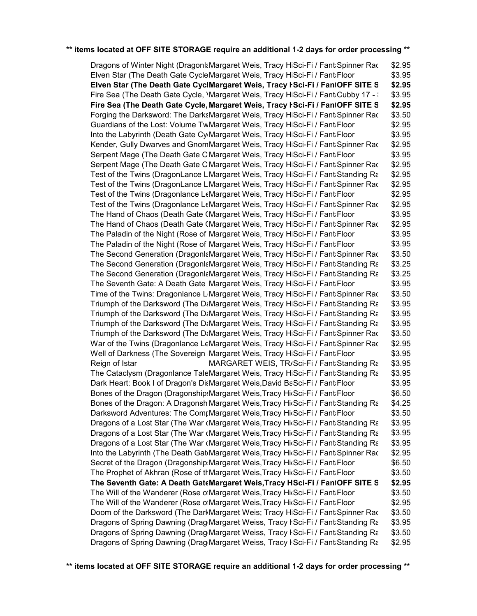\$2.95 \$3.95 **Elven Star (The Death Gate CyclMargaret Weis, Tracy ISci-Fi / FantOFF SITE S \$2.95** \$3.95 **Fire Sea (The Death Gate Cycle, Margaret Weis, Tracy ŀSci-Fi / FantOFF SITE S \$2.95** \$3.50 \$2.95 \$3.95 \$2.95 \$3.95 \$2.95 \$2.95 \$2.95 \$2.95 \$2.95 \$3.95 \$2.95 \$3.95 \$3.95 \$3.50 \$3.25 \$3.25 \$3.95 \$3.50 \$3.95 \$3.95 \$3.95 \$3.50 \$2.95 \$3.95 Reign of Istar MARGARET WEIS, TR/Sci-Fi / Fant،Standing R $\varepsilon$  \$3.95 \$3.95 \$3.95 \$6.50 \$4.25 \$3.50 \$3.95 \$3.95 \$3.95 \$2.95 \$6.50 \$3.50 **OFF SITE STORAGE \$2.95 The Seventh Gate: A Death Gate Novel, Volume 7 (The Death Gate Cycle) Margaret Weis,Tracy Hickman Sci-Fi / Fantasy** \$3.50 \$2.95 \$3.50 \$3.95 \$3.50 \$2.95 Dragons of Winter Night (DragonlaMargaret Weis, Tracy HiSci-Fi / FantaSpinner Rac Elven Star (The Death Gate CycleMargaret Weis, Tracy HiSci-Fi / FantaFloor Fire Sea (The Death Gate Cycle, *Margaret Weis, Tracy HiSci-Fi / FantiCubby 17 - \* Forging the Darksword: The DarksMargaret Weis, Tracy HiSci-Fi / FantiSpinner Rac Guardians of the Lost: Volume TwMargaret Weis, Tracy HiSci-Fi / FantaFloor Into the Labyrinth (Death Gate CymMargaret Weis, Tracy HiSci-Fi / FantaFloor Kender, Gully Dwarves and GnomMargaret Weis, Tracy HiSci-Fi / Fant:Spinner Rac Serpent Mage (The Death Gate C'Margaret Weis, Tracy HiSci-Fi / FantaFloor Serpent Mage (The Death Gate C'Margaret Weis, Tracy HiSci-Fi / FantaSpinner Rac Test of the Twins (DragonLance LMargaret Weis, Tracy HiSci-Fi / FantaStanding Ra Test of the Twins (DragonLance LMargaret Weis, Tracy HiSci-Fi / FantaSpinner Rac Test of the Twins (Dragonlance LeMargaret Weis, Tracy HiSci-Fi / FantaFloor Test of the Twins (Dragonlance LeMargaret Weis, Tracy HiSci-Fi / Fant:Spinner Rac The Hand of Chaos (Death Gate CMargaret Weis, Tracy HiSci-Fi / FantaFloor The Hand of Chaos (Death Gate CMargaret Weis, Tracy HiSci-Fi / FantaSpinner Rac The Paladin of the Night (Rose of Margaret Weis, Tracy HiSci-Fi / FantaFloor The Paladin of the Night (Rose of Margaret Weis, Tracy HiSci-Fi / FantaFloor The Second Generation (DragonlaMargaret Weis, Tracy HiSci-Fi / FantaSpinner Rac The Second Generation (DragonlaMargaret Weis, Tracy HiSci-Fi / FantaStanding Rack Brown Brown Brown and Dragonlance B The Second Generation (DragonlaMargaret Weis, Tracy HiSci-Fi / FantaStanding Rack Brown Brown Brown Science B The Seventh Gate: A Death Gate Margaret Weis, Tracy HiSci-Fi / FantaFloor Time of the Twins: Dragonlance L<sub>'</sub>Margaret Weis, Tracy HiSci-Fi / FantaSpinner Rac Triumph of the Darksword (The DaMargaret Weis, Tracy HiSci-Fi / FantaStanding Rack Brown - Forgotten BRC Triumph of the Darksword (The DaMargaret Weis, Tracy HiSci-Fi / FantaStanding Rack Brown - Forgotten BRC Triumph of the Darksword (The DaMargaret Weis, Tracy HiSci-Fi / FantaStanding Rack Brown - Forgotten BRC Triumph of the Darksword (The DaMargaret Weis, Tracy HiSci-Fi / FantaSpinner Rac War of the Twins (Dragonlance LeMargaret Weis, Tracy HiSci-Fi / Fant Spinner Rac Well of Darkness (The Sovereign Margaret Weis, Tracy HiSci-Fi / FantaFloor The Cataclysm (Dragonlance TaleMargaret Weis, Tracy HiSci-Fi / FantaStanding Rack Brown - Forgotten Rack Brown B Dark Heart: Book I of Dragon's DisMargaret Weis,David BaSci-Fi / FantaFloor Bones of the Dragon (Dragonship: Margaret Weis, Tracy Hicsci-Fi / Fanta Floor Bones of the Dragon: A DragonshiMargaret Weis, Tracy Hicsci-Fi / Fantastanding Rack Brown - Forgotten Realms B Darksword Adventures: The ComrMargaret Weis, Tracy Hicsci-Fi / FantaFloor Dragons of a Lost Star (The War cMargaret Weis, Tracy HicSci-Fi / FantaStanding Ra Dragons of a Lost Star (The War cMargaret Weis, Tracy Hicsci-Fi / FantaStanding Rack Brown - Forgotten BRC Dragons of a Lost Star (The War cMargaret Weis, Tracy Hicsci-Fi / FantaStanding Rack Brown - Forgotten BRC Into the Labyrinth (The Death GattMargaret Weis, Tracy Hit Sci-Fi / Fant: Spinner Rac Secret of the Dragon (Dragonship: Margaret Weis, Tracy Hicsci-Fi / Fanta Floor The Prophet of Akhran (Rose of thMargaret Weis, Tracy Hicsci-Fi / FantaFloor The Will of the Wanderer (Rose of Margaret Weis, Tracy Hickci-Fi / Fanta Floor The Will of the Wanderer (Rose of Margaret Weis, Tracy Hickci-Fi / Fanta Floor Doom of the Darksword (The DarkMargaret Weis; Tracy HiSci-Fi / FantaSpinner Rac Dragons of Spring Dawning (Drag<sub>i</sub>Margaret Weiss, Tracy HSci-Fi / FantaStanding Rack Brown Brown Brown Brown Bro Dragons of Spring Dawning (Drag Margaret Weiss, Tracy HSci-Fi / FantaStanding Rack Brown Brown Brown Brown Bro Dragons of Spring Dawning (Drag<sub>i</sub>Margaret Weiss, Tracy HSci-Fi / FantaStanding Rack Brown Brown Brown Brown Bro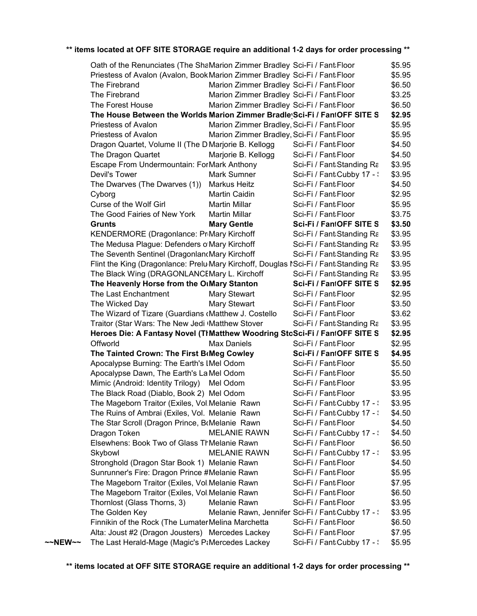|                   | Oath of the Renunciates (The ShaMarion Zimmer Bradley Sci-Fi / Fant Floor                       |                                            |                                                   | \$5.95 |
|-------------------|-------------------------------------------------------------------------------------------------|--------------------------------------------|---------------------------------------------------|--------|
|                   | Priestess of Avalon (Avalon, Book Marion Zimmer Bradley Sci-Fi / Fant Floor                     |                                            |                                                   | \$5.95 |
|                   | The Firebrand                                                                                   | Marion Zimmer Bradley Sci-Fi / Fant Floor  |                                                   | \$6.50 |
|                   | The Firebrand                                                                                   | Marion Zimmer Bradley Sci-Fi / Fant Floor  |                                                   | \$3.25 |
|                   | The Forest House                                                                                | Marion Zimmer Bradley Sci-Fi / Fant Floor  |                                                   | \$6.50 |
|                   | The House Between the Worlds Marion Zimmer Bradle Sci-Fi / FantOFF SITE S                       |                                            |                                                   | \$2.95 |
|                   | Priestess of Avalon                                                                             | Marion Zimmer Bradley, Sci-Fi / Fant Floor |                                                   | \$5.95 |
|                   | Priestess of Avalon                                                                             | Marion Zimmer Bradley, Sci-Fi / Fant Floor |                                                   | \$5.95 |
|                   | Dragon Quartet, Volume II (The DMarjorie B. Kellogg                                             |                                            | Sci-Fi / Fant Floor                               | \$4.50 |
|                   | The Dragon Quartet                                                                              | Marjorie B. Kellogg                        | Sci-Fi / Fant Floor                               | \$4.50 |
|                   | Escape From Undermountain: ForMark Anthony                                                      |                                            | Sci-Fi / Fant Standing Ra                         | \$3.95 |
|                   | Devil's Tower                                                                                   | Mark Sumner                                | Sci-Fi / Fant Cubby 17 - :                        | \$3.95 |
|                   | The Dwarves (The Dwarves (1))                                                                   | Markus Heitz                               | Sci-Fi / Fant Floor                               | \$4.50 |
|                   | Cyborg                                                                                          | Martin Caidin                              | Sci-Fi / Fant Floor                               | \$2.95 |
|                   | Curse of the Wolf Girl                                                                          | <b>Martin Millar</b>                       | Sci-Fi / Fant:Floor                               |        |
|                   | The Good Fairies of New York                                                                    | <b>Martin Millar</b>                       | Sci-Fi / Fant Floor                               | \$5.95 |
|                   |                                                                                                 |                                            |                                                   | \$3.75 |
|                   | Grunts                                                                                          | <b>Mary Gentle</b>                         | Sci-Fi / FantOFF SITE S                           | \$3.50 |
|                   | KENDERMORE (Dragonlance: PriMary Kirchoff                                                       |                                            | Sci-Fi / Fant Standing Ra                         | \$3.95 |
|                   | The Medusa Plague: Defenders o Mary Kirchoff                                                    |                                            | Sci-Fi / Fant Standing Ra                         | \$3.95 |
|                   | The Seventh Sentinel (DragonlancMary Kirchoff                                                   |                                            | Sci-Fi / Fant Standing Ra                         | \$3.95 |
|                   | Flint the King (Dragonlance: Prelu <sub>Mary</sub> Kirchoff, Douglas NSci-Fi / Fant Standing Ra |                                            |                                                   | \$3.95 |
|                   | The Black Wing (DRAGONLANCEMary L. Kirchoff                                                     |                                            | Sci-Fi / Fant Standing Ra                         | \$3.95 |
|                   | The Heavenly Horse from the OtMary Stanton                                                      |                                            | Sci-Fi / FantOFF SITE S                           | \$2.95 |
|                   | The Last Enchantment                                                                            | <b>Mary Stewart</b>                        | Sci-Fi / Fant Floor                               | \$2.95 |
|                   | The Wicked Day                                                                                  | <b>Mary Stewart</b>                        | Sci-Fi / Fant Floor                               | \$3.50 |
|                   | The Wizard of Tizare (Guardians (Matthew J. Costello                                            |                                            | Sci-Fi / Fant Floor                               | \$3.62 |
|                   | Traitor (Star Wars: The New Jedi (Matthew Stover                                                |                                            | Sci-Fi / Fant Standing Ra                         | \$3.95 |
|                   | Heroes Die: A Fantasy Novel (ThMatthew Woodring StoSci-Fi / FantOFF SITE S                      |                                            |                                                   | \$2.95 |
|                   | Offworld                                                                                        | Max Daniels                                | Sci-Fi / Fant Floor                               | \$2.95 |
|                   | The Tainted Crown: The First BoMeg Cowley                                                       |                                            | Sci-Fi / FantOFF SITE S                           | \$4.95 |
|                   | Apocalypse Burning: The Earth's IMel Odom                                                       |                                            | Sci-Fi / Fant Floor                               | \$5.50 |
|                   | Apocalypse Dawn, The Earth's La Mel Odom                                                        |                                            | Sci-Fi / Fant Floor                               | \$5.50 |
|                   | Mimic (Android: Identity Trilogy) Mel Odom                                                      |                                            | Sci-Fi / Fant Floor                               | \$3.95 |
|                   | The Black Road (Diablo, Book 2) Mel Odom                                                        |                                            | Sci-Fi / Fant Floor                               | \$3.95 |
|                   | The Mageborn Traitor (Exiles, Vol.Melanie Rawn                                                  |                                            | Sci-Fi / Fant:Cubby 17 - :                        | \$3.95 |
|                   | The Ruins of Ambrai (Exiles, Vol. Melanie Rawn                                                  |                                            | Sci-Fi / Fant Cubby 17 - \                        | \$4.50 |
|                   | The Star Scroll (Dragon Prince, BrMelanie Rawn                                                  |                                            | Sci-Fi / Fant Floor                               | \$4.50 |
|                   | Dragon Token                                                                                    | <b>MELANIE RAWN</b>                        | Sci-Fi / Fant Cubby 17 - \                        | \$4.50 |
|                   | Elsewhens: Book Two of Glass ThMelanie Rawn                                                     |                                            | Sci-Fi / Fant Floor                               | \$6.50 |
|                   | Skybowl                                                                                         | <b>MELANIE RAWN</b>                        | Sci-Fi / Fant Cubby 17 - \                        | \$3.95 |
|                   | Stronghold (Dragon Star Book 1) Melanie Rawn                                                    |                                            | Sci-Fi / Fant Floor                               | \$4.50 |
|                   | Sunrunner's Fire: Dragon Prince #Melanie Rawn                                                   |                                            | Sci-Fi / Fant Floor                               | \$5.95 |
|                   | The Mageborn Traitor (Exiles, Vol.Melanie Rawn                                                  |                                            | Sci-Fi / Fant Floor                               | \$7.95 |
|                   | The Mageborn Traitor (Exiles, Vol.Melanie Rawn                                                  |                                            | Sci-Fi / Fant Floor                               | \$6.50 |
|                   | Thornlost (Glass Thorns, 3)                                                                     | Melanie Rawn                               | Sci-Fi / Fant Floor                               | \$3.95 |
|                   | The Golden Key                                                                                  |                                            | Melanie Rawn, Jennifer Sci-Fi / Fant Cubby 17 - : | \$3.95 |
|                   | Finnikin of the Rock (The Lumater Melina Marchetta                                              |                                            | Sci-Fi / Fant Floor                               | \$6.50 |
|                   | Alta: Joust #2 (Dragon Jousters) Mercedes Lackey                                                |                                            | Sci-Fi / Fant Floor                               | \$7.95 |
| $\sim$ NEW $\sim$ | The Last Herald-Mage (Magic's P&Mercedes Lackey                                                 |                                            | Sci-Fi / Fant Cubby 17 - :                        | \$5.95 |
|                   |                                                                                                 |                                            |                                                   |        |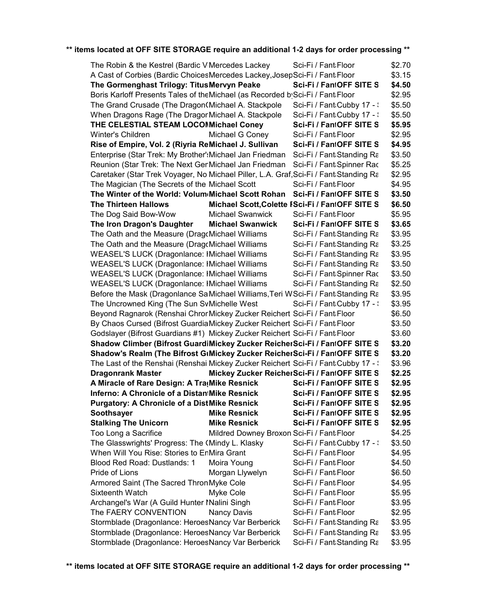| The Robin & the Kestrel (Bardic V Mercedes Lackey                                      |                                           | Sci-Fi / Fant Floor                             | \$2.70 |
|----------------------------------------------------------------------------------------|-------------------------------------------|-------------------------------------------------|--------|
| A Cast of Corbies (Bardic ChoicesMercedes Lackey, JosepSci-Fi / Fant Floor             |                                           |                                                 | \$3.15 |
| The Gormenghast Trilogy: Titus Mervyn Peake                                            |                                           | Sci-Fi / FantOFF SITE S                         | \$4.50 |
| Boris Karloff Presents Tales of the Michael (as Recorded b Sci-Fi / Fant Floor         |                                           |                                                 | \$2.95 |
| The Grand Crusade (The Dragon(Michael A. Stackpole                                     |                                           | Sci-Fi / Fant Cubby 17 - :                      | \$5.50 |
| When Dragons Rage (The Dragor Michael A. Stackpole                                     |                                           | Sci-Fi / Fant Cubby 17 - :                      | \$5.50 |
| THE CELESTIAL STEAM LOCOMMichael Coney                                                 |                                           | Sci-Fi / FantOFF SITE S                         | \$5.95 |
| Winter's Children                                                                      | Michael G Coney                           | Sci-Fi / Fant Floor                             | \$2.95 |
| Rise of Empire, Vol. 2 (Riyria ReMichael J. Sullivan                                   |                                           | Sci-Fi / FantOFF SITE S                         | \$4.95 |
| Enterprise (Star Trek: My Brother': Michael Jan Friedman                               |                                           | Sci-Fi / Fant:Standing Ra                       | \$3.50 |
| Reunion (Star Trek: The Next GenMichael Jan Friedman                                   |                                           | Sci-Fi / Fant:Spinner Rac                       | \$5.25 |
| Caretaker (Star Trek Voyager, No Michael Piller, L.A. Graf, Sci-Fi / Fant: Standing Ra |                                           |                                                 | \$2.95 |
| The Magician (The Secrets of the Michael Scott                                         |                                           | Sci-Fi / Fant Floor                             | \$4.95 |
| The Winter of the World: Volum Michael Scott Rohan                                     |                                           | Sci-Fi / FantOFF SITE S                         | \$3.50 |
| <b>The Thirteen Hallows</b>                                                            |                                           | Michael Scott, Colette FSci-Fi / FantOFF SITE S | \$6.50 |
| The Dog Said Bow-Wow                                                                   | <b>Michael Swanwick</b>                   | Sci-Fi / Fant:Floor                             | \$5.95 |
| The Iron Dragon's Daughter                                                             | <b>Michael Swanwick</b>                   | Sci-Fi / FantOFF SITE S                         | \$3.65 |
| The Oath and the Measure (DragcMichael Williams                                        |                                           | Sci-Fi / Fant Standing Ra                       | \$3.95 |
| The Oath and the Measure (DragcMichael Williams                                        |                                           | Sci-Fi / Fant:Standing Ra                       | \$3.25 |
| <b>WEASEL'S LUCK (Dragonlance: IMichael Williams</b>                                   |                                           | Sci-Fi / Fant Standing Ra                       | \$3.95 |
| <b>WEASEL'S LUCK (Dragonlance: IMichael Williams</b>                                   |                                           | Sci-Fi / Fant Standing Ra                       | \$3.50 |
| WEASEL'S LUCK (Dragonlance: IMichael Williams                                          |                                           | Sci-Fi / Fant:Spinner Rac                       | \$3.50 |
| <b>WEASEL'S LUCK (Dragonlance: IMichael Williams</b>                                   |                                           | Sci-Fi / Fant:Standing Ra                       | \$2.50 |
| Before the Mask (Dragonlance Sa Michael Williams, Teri WSci-Fi / Fant Standing Ra      |                                           |                                                 | \$3.95 |
| The Uncrowned King (The Sun SvMichelle West                                            |                                           | Sci-Fi / Fant:Cubby 17 - :                      | \$3.95 |
| Beyond Ragnarok (Renshai ChrorMickey Zucker Reichert Sci-Fi / Fant Floor               |                                           |                                                 | \$6.50 |
| By Chaos Cursed (Bifrost Guardia Mickey Zucker Reichert Sci-Fi / Fant Floor            |                                           |                                                 | \$3.50 |
| Godslayer (Bifrost Guardians #1) Mickey Zucker Reichert Sci-Fi / Fant Floor            |                                           |                                                 | \$3.60 |
| Shadow Climber (Bifrost GuardiMickey Zucker ReicherSci-Fi / FantOFF SITE S             |                                           |                                                 | \$3.20 |
| Shadow's Realm (The Bifrost GiMickey Zucker ReicherSci-Fi / FantOFF SITE S             |                                           |                                                 | \$3.20 |
| The Last of the Renshai (Renshai Mickey Zucker Reichert Sci-Fi / Fant:Cubby 17 - :     |                                           |                                                 | \$3.96 |
| <b>Dragonrank Master</b>                                                               |                                           | Mickey Zucker ReicherSci-Fi / FantOFF SITE S    | \$2.25 |
| A Miracle of Rare Design: A Tra Mike Resnick                                           |                                           | Sci-Fi / FantOFF SITE S                         | \$2.95 |
| Inferno: A Chronicle of a Distan Mike Resnick                                          |                                           | Sci-Fi / FantOFF SITE S                         | \$2.95 |
| <b>Purgatory: A Chronicle of a DistMike Resnick</b>                                    |                                           | Sci-Fi / FantOFF SITE S                         | \$2.95 |
| Soothsayer                                                                             | <b>Mike Resnick</b>                       | Sci-Fi / FantOFF SITE S                         | \$2.95 |
| <b>Stalking The Unicorn</b>                                                            | <b>Mike Resnick</b>                       | Sci-Fi / FantOFF SITE S                         | \$2.95 |
| Too Long a Sacrifice                                                                   | Mildred Downey Broxon Sci-Fi / Fant Floor |                                                 | \$4.25 |
| The Glasswrights' Progress: The (Mindy L. Klasky                                       |                                           | Sci-Fi / Fant:Cubby 17 - :                      | \$3.50 |
| When Will You Rise: Stories to EnMira Grant                                            |                                           | Sci-Fi / Fant Floor                             | \$4.95 |
| Blood Red Road: Dustlands: 1                                                           | Moira Young                               | Sci-Fi / Fant Floor                             | \$4.50 |
| Pride of Lions                                                                         | Morgan Llywelyn                           | Sci-Fi / Fant Floor                             | \$6.50 |
| Armored Saint (The Sacred Thron Myke Cole                                              |                                           | Sci-Fi / Fant Floor                             | \$4.95 |
| Sixteenth Watch                                                                        | Myke Cole                                 | Sci-Fi / Fant Floor                             | \$5.95 |
| Archangel's War (A Guild Hunter Malini Singh                                           |                                           | Sci-Fi / Fant Floor                             | \$3.95 |
| The FAERY CONVENTION                                                                   | Nancy Davis                               | Sci-Fi / Fant Floor                             | \$2.95 |
| Stormblade (Dragonlance: HeroesNancy Var Berberick                                     |                                           | Sci-Fi / Fant:Standing Ra                       | \$3.95 |
| Stormblade (Dragonlance: HeroesNancy Var Berberick                                     |                                           | Sci-Fi / Fant Standing Ra                       | \$3.95 |
| Stormblade (Dragonlance: HeroesNancy Var Berberick                                     |                                           | Sci-Fi / Fant:Standing Ra                       | \$3.95 |
|                                                                                        |                                           |                                                 |        |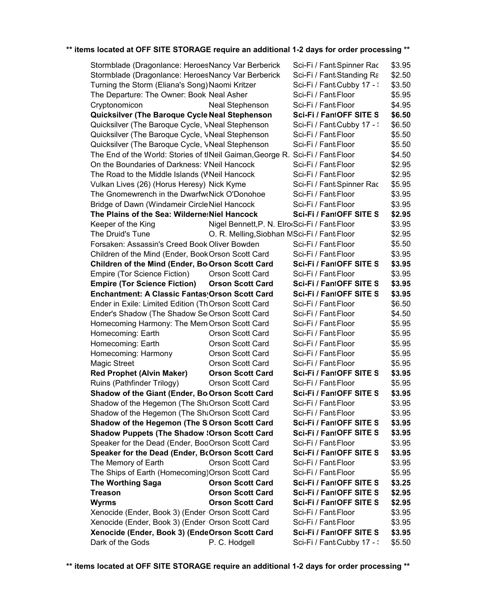| Stormblade (Dragonlance: HeroesNancy Var Berberick                           |                                               | Sci-Fi / Fant:Spinner Rac  | \$3.95 |
|------------------------------------------------------------------------------|-----------------------------------------------|----------------------------|--------|
| Stormblade (Dragonlance: HeroesNancy Var Berberick                           |                                               | Sci-Fi / Fant:Standing Ra  | \$2.50 |
| Turning the Storm (Eliana's Song) Naomi Kritzer                              |                                               | Sci-Fi / Fant Cubby 17 - : | \$3.50 |
| The Departure: The Owner: Book Neal Asher                                    |                                               | Sci-Fi / Fant Floor        | \$5.95 |
| Cryptonomicon                                                                | <b>Neal Stephenson</b>                        | Sci-Fi / Fant Floor        | \$4.95 |
| Quicksilver (The Baroque Cycle Neal Stephenson                               |                                               | Sci-Fi / FantOFF SITE S    | \$6.50 |
| Quicksilver (The Baroque Cycle, VNeal Stephenson                             |                                               | Sci-Fi / Fant Cubby 17 - : | \$6.50 |
| Quicksilver (The Baroque Cycle, VNeal Stephenson                             |                                               | Sci-Fi / Fant Floor        | \$5.50 |
| Quicksilver (The Baroque Cycle, VNeal Stephenson                             |                                               | Sci-Fi / Fant Floor        | \$5.50 |
| The End of the World: Stories of theil Gaiman, George R. Sci-Fi / Fant Floor |                                               |                            | \$4.50 |
| On the Boundaries of Darkness: VNeil Hancock                                 |                                               | Sci-Fi / Fant Floor        | \$2.95 |
| The Road to the Middle Islands (WNeil Hancock                                |                                               | Sci-Fi / Fant Floor        | \$2.95 |
| Vulkan Lives (26) (Horus Heresy) Nick Kyme                                   |                                               | Sci-Fi / Fant Spinner Rac  | \$5.95 |
| The Gnomewrench in the DwarfwoNick O'Donohoe                                 |                                               | Sci-Fi / Fant Floor        | \$3.95 |
| Bridge of Dawn (Windameir Circle Niel Hancock                                |                                               | Sci-Fi / Fant Floor        | \$3.95 |
| The Plains of the Sea: Wilderne: Niel Hancock                                |                                               | Sci-Fi / FantOFF SITE S    | \$2.95 |
| Keeper of the King                                                           | Nigel Bennett, P. N. Elro(Sci-Fi / Fant Floor |                            | \$3.95 |
| The Druid's Tune                                                             | O. R. Melling, Siobhan MSci-Fi / Fant Floor   |                            | \$2.95 |
| Forsaken: Assassin's Creed Book Oliver Bowden                                |                                               | Sci-Fi / Fant Floor        | \$5.50 |
| Children of the Mind (Ender, Book Orson Scott Card                           |                                               | Sci-Fi / Fant Floor        | \$3.95 |
| Children of the Mind (Ender, Bo <sub>'</sub> Orson Scott Card                |                                               | Sci-Fi / FantOFF SITE S    | \$3.95 |
| Empire (Tor Science Fiction)                                                 | Orson Scott Card                              | Sci-Fi / Fant Floor        | \$3.95 |
| <b>Empire (Tor Science Fiction)</b>                                          | <b>Orson Scott Card</b>                       | Sci-Fi / FantOFF SITE S    | \$3.95 |
| Enchantment: A Classic Fantas Orson Scott Card                               |                                               | Sci-Fi / FantOFF SITE S    | \$3.95 |
| Ender in Exile: Limited Edition (Th Orson Scott Card                         |                                               | Sci-Fi / Fant Floor        | \$6.50 |
| Ender's Shadow (The Shadow SeiOrson Scott Card                               |                                               | Sci-Fi / Fant Floor        | \$4.50 |
|                                                                              |                                               | Sci-Fi / Fant Floor        | \$5.95 |
| Homecoming Harmony: The Mem Orson Scott Card                                 |                                               |                            |        |
| Homecoming: Earth                                                            | <b>Orson Scott Card</b>                       | Sci-Fi / Fant Floor        | \$5.95 |
| Homecoming: Earth                                                            | <b>Orson Scott Card</b>                       | Sci-Fi / Fant Floor        | \$5.95 |
| Homecoming: Harmony                                                          | Orson Scott Card                              | Sci-Fi / Fant Floor        | \$5.95 |
| <b>Magic Street</b>                                                          | Orson Scott Card                              | Sci-Fi / Fant Floor        | \$5.95 |
| <b>Red Prophet (Alvin Maker)</b>                                             | <b>Orson Scott Card</b>                       | Sci-Fi / FantOFF SITE S    | \$3.95 |
| Ruins (Pathfinder Trilogy)                                                   | Orson Scott Card                              | Sci-Fi / Fant Floor        | \$5.95 |
| Shadow of the Giant (Ender, Bo Orson Scott Card                              |                                               | Sci-Fi / FantOFF SITE S    | \$3.95 |
| Shadow of the Hegemon (The Sh&Orson Scott Card                               |                                               | Sci-Fi / Fant Floor        | \$3.95 |
| Shadow of the Hegemon (The Sh&Orson Scott Card                               |                                               | Sci-Fi / Fant:Floor        | \$3.95 |
| Shadow of the Hegemon (The SlOrson Scott Card                                |                                               | Sci-Fi / FantOFF SITE S    | \$3.95 |
| <b>Shadow Puppets (The Shadow : Orson Scott Card</b>                         |                                               | Sci-Fi / FantOFF SITE S    | \$3.95 |
| Speaker for the Dead (Ender, BooOrson Scott Card                             |                                               | Sci-Fi / Fant Floor        | \$3.95 |
| Speaker for the Dead (Ender, BcOrson Scott Card                              |                                               | Sci-Fi / FantOFF SITE S    | \$3.95 |
| The Memory of Earth                                                          | Orson Scott Card                              | Sci-Fi / Fant Floor        | \$3.95 |
| The Ships of Earth (Homecoming) Orson Scott Card                             |                                               | Sci-Fi / Fant Floor        | \$5.95 |
| <b>The Worthing Saga</b>                                                     | <b>Orson Scott Card</b>                       | Sci-Fi / FantOFF SITE S    | \$3.25 |
| <b>Treason</b>                                                               | <b>Orson Scott Card</b>                       | Sci-Fi / FantOFF SITE S    | \$2.95 |
| <b>Wyrms</b>                                                                 | <b>Orson Scott Card</b>                       | Sci-Fi / FantOFF SITE S    | \$2.95 |
| Xenocide (Ender, Book 3) (Ender Orson Scott Card                             |                                               | Sci-Fi / Fant:Floor        | \$3.95 |
| Xenocide (Ender, Book 3) (Ender Orson Scott Card                             |                                               | Sci-Fi / Fant Floor        | \$3.95 |
| Xenocide (Ender, Book 3) (EndeOrson Scott Card                               |                                               | Sci-Fi / FantOFF SITE S    | \$3.95 |
| Dark of the Gods                                                             | P. C. Hodgell                                 | Sci-Fi / Fant Cubby 17 - : | \$5.50 |
|                                                                              |                                               |                            |        |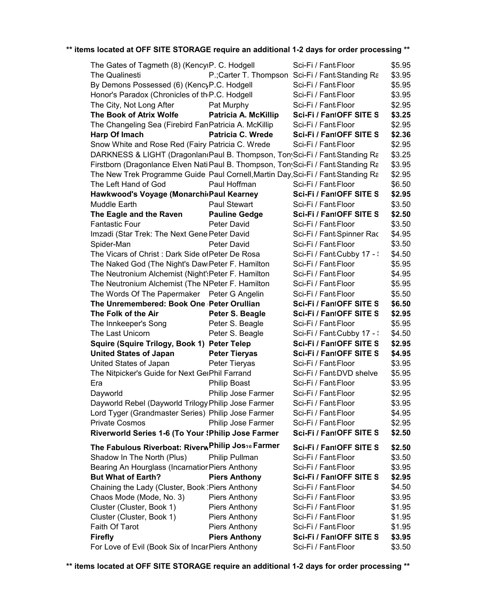| The Gates of Tagmeth (8) (KencyiP. C. Hodgell                                     |                                       | Sci-Fi / Fant:Floor                               | \$5.95 |
|-----------------------------------------------------------------------------------|---------------------------------------|---------------------------------------------------|--------|
| The Qualinesti                                                                    |                                       | P.; Carter T. Thompson Sci-Fi / Fant: Standing Ra | \$3.95 |
| By Demons Possessed (6) (KencyP.C. Hodgell                                        |                                       | Sci-Fi / Fant Floor                               | \$5.95 |
| Honor's Paradox (Chronicles of th <sub>'</sub> P.C. Hodgell                       |                                       | Sci-Fi / Fant Floor                               | \$3.95 |
| The City, Not Long After                                                          | Pat Murphy                            | Sci-Fi / Fant Floor                               | \$2.95 |
| The Book of Atrix Wolfe                                                           | Patricia A. McKillip                  | Sci-Fi / FantOFF SITE S                           | \$3.25 |
| The Changeling Sea (Firebird FanPatricia A. McKillip                              |                                       | Sci-Fi / Fant:Floor                               | \$2.95 |
| Harp Of Imach                                                                     | <b>Patricia C. Wrede</b>              | Sci-Fi / FantOFF SITE S                           | \$2.36 |
| Snow White and Rose Red (Fairy Patricia C. Wrede                                  |                                       | Sci-Fi / Fant Floor                               | \$2.95 |
| DARKNESS & LIGHT (Dragonland Paul B. Thompson, Tom Sci-Fi / Fant Standing Ra      |                                       |                                                   | \$3.25 |
| Firstborn (Dragonlance Elven Nati Paul B. Thompson, Ton Sci-Fi / Fant Standing Ra |                                       |                                                   | \$3.95 |
| The New Trek Programme Guide Paul Cornell, Martin Day, Sci-Fi / Fant Standing Ra  |                                       |                                                   | \$2.95 |
| The Left Hand of God                                                              | Paul Hoffman                          | Sci-Fi / Fant Floor                               | \$6.50 |
| Hawkwood's Voyage (Monarchi Paul Kearney                                          |                                       | Sci-Fi / FantOFF SITE S                           | \$2.95 |
| Muddle Earth                                                                      | Paul Stewart                          | Sci-Fi / Fant:Floor                               | \$3.50 |
| The Eagle and the Raven                                                           | <b>Pauline Gedge</b>                  | Sci-Fi / FantOFF SITE S                           | \$2.50 |
| <b>Fantastic Four</b>                                                             | Peter David                           | Sci-Fi / Fant Floor                               | \$3.50 |
| Imzadi (Star Trek: The Next Gene Peter David                                      |                                       | Sci-Fi / Fant:Spinner Rac                         | \$4.95 |
| Spider-Man                                                                        | <b>Peter David</b>                    | Sci-Fi / Fant Floor                               | \$3.50 |
| The Vicars of Christ: Dark Side of Peter De Rosa                                  |                                       | Sci-Fi / Fant Cubby 17 - :                        | \$4.50 |
| The Naked God (The Night's Daw Peter F. Hamilton                                  |                                       | Sci-Fi / Fant Floor                               | \$5.95 |
| The Neutronium Alchemist (Night':Peter F. Hamilton                                |                                       | Sci-Fi / Fant Floor                               | \$4.95 |
| The Neutronium Alchemist (The NPeter F. Hamilton                                  |                                       | Sci-Fi / Fant Floor                               | \$5.95 |
| The Words Of The Papermaker Peter G Angelin                                       |                                       | Sci-Fi / Fant Floor                               | \$5.50 |
| The Unremembered: Book One Peter Orullian                                         |                                       | Sci-Fi / FantOFF SITE S                           | \$6.50 |
| The Folk of the Air                                                               | Peter S. Beagle                       | Sci-Fi / FantOFF SITE S                           | \$2.95 |
| The Innkeeper's Song                                                              | Peter S. Beagle                       | Sci-Fi / Fant Floor                               | \$5.95 |
| The Last Unicorn                                                                  | Peter S. Beagle                       | Sci-Fi / Fant:Cubby 17 - :                        | \$4.50 |
|                                                                                   |                                       | Sci-Fi / FantOFF SITE S                           | \$2.95 |
| Squire (Squire Trilogy, Book 1) Peter Telep                                       |                                       | Sci-Fi / FantOFF SITE S                           |        |
| <b>United States of Japan</b>                                                     | <b>Peter Tieryas</b><br>Peter Tieryas |                                                   | \$4.95 |
| United States of Japan                                                            |                                       | Sci-Fi / Fant Floor                               | \$3.95 |
| The Nitpicker's Guide for Next GerPhil Farrand                                    |                                       | Sci-Fi / Fant:DVD shelve                          | \$5.95 |
| Era                                                                               | <b>Philip Boast</b>                   | Sci-Fi / Fant Floor                               | \$3.95 |
| Dayworld                                                                          | Philip Jose Farmer                    | Sci-Fi / Fant Floor                               | \$2.95 |
| Dayworld Rebel (Dayworld Trilogy Philip Jose Farmer                               |                                       | Sci-Fi / Fant:Floor                               | \$3.95 |
| Lord Tyger (Grandmaster Series) Philip Jose Farmer                                |                                       | Sci-Fi / Fant:Floor                               | \$4.95 |
| <b>Private Cosmos</b>                                                             | Philip Jose Farmer                    | Sci-Fi / Fant Floor                               | \$2.95 |
| Riverworld Series 1-6 (To Your (Philip Jose Farmer                                |                                       | Sci-Fi / FantOFF SITE S                           | \$2.50 |
| The Fabulous Riverboat: RiverwPhilip Jos <sub>59</sub> Farmer                     |                                       | Sci-Fi / FantOFF SITE S                           | \$2.50 |
| Shadow In The North (Plus)                                                        | Philip Pullman                        | Sci-Fi / Fant:Floor                               | \$3.50 |
| Bearing An Hourglass (Incarnatior Piers Anthony                                   |                                       | Sci-Fi / Fant:Floor                               | \$3.95 |
| <b>But What of Earth?</b>                                                         | <b>Piers Anthony</b>                  | Sci-Fi / FantOFF SITE S                           | \$2.95 |
| Chaining the Lady (Cluster, Book : Piers Anthony                                  |                                       | Sci-Fi / Fant Floor                               | \$4.50 |
| Chaos Mode (Mode, No. 3)                                                          | <b>Piers Anthony</b>                  | Sci-Fi / Fant:Floor                               | \$3.95 |
| Cluster (Cluster, Book 1)                                                         | <b>Piers Anthony</b>                  | Sci-Fi / Fant:Floor                               | \$1.95 |
| Cluster (Cluster, Book 1)                                                         | <b>Piers Anthony</b>                  | Sci-Fi / Fant:Floor                               | \$1.95 |
| Faith Of Tarot                                                                    | <b>Piers Anthony</b>                  | Sci-Fi / Fant:Floor                               | \$1.95 |
| <b>Firefly</b>                                                                    | <b>Piers Anthony</b>                  | Sci-Fi / FantOFF SITE S                           | \$3.95 |
| For Love of Evil (Book Six of IncarPiers Anthony                                  |                                       | Sci-Fi / Fant Floor                               | \$3.50 |
|                                                                                   |                                       |                                                   |        |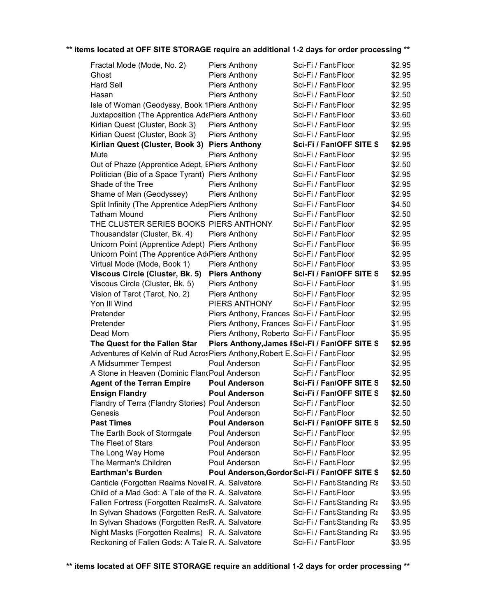| Fractal Mode (Mode, No. 2)                                                    | Piers Anthony                                | Sci-Fi / Fant:Floor                           | \$2.95 |
|-------------------------------------------------------------------------------|----------------------------------------------|-----------------------------------------------|--------|
| Ghost                                                                         | Piers Anthony                                | Sci-Fi / Fant Floor                           | \$2.95 |
| <b>Hard Sell</b>                                                              | Piers Anthony                                | Sci-Fi / Fant Floor                           | \$2.95 |
| Hasan                                                                         | Piers Anthony                                | Sci-Fi / Fant Floor                           | \$2.50 |
| Isle of Woman (Geodyssy, Book 1Piers Anthony                                  |                                              | Sci-Fi / Fant Floor                           | \$2.95 |
| Juxtaposition (The Apprentice AdePiers Anthony                                |                                              | Sci-Fi / Fant Floor                           | \$3.60 |
| Kirlian Quest (Cluster, Book 3)                                               | <b>Piers Anthony</b>                         | Sci-Fi / Fant Floor                           | \$2.95 |
| Kirlian Quest (Cluster, Book 3)                                               | Piers Anthony                                | Sci-Fi / Fant Floor                           | \$2.95 |
| Kirlian Quest (Cluster, Book 3) Piers Anthony                                 |                                              | Sci-Fi / FantOFF SITE S                       | \$2.95 |
| Mute                                                                          | <b>Piers Anthony</b>                         | Sci-Fi / Fant Floor                           | \$2.95 |
| Out of Phaze (Apprentice Adept, EPiers Anthony                                |                                              | Sci-Fi / Fant Floor                           | \$2.50 |
| Politician (Bio of a Space Tyrant) Piers Anthony                              |                                              | Sci-Fi / Fant Floor                           | \$2.95 |
| Shade of the Tree                                                             | <b>Piers Anthony</b>                         | Sci-Fi / Fant Floor                           | \$2.95 |
| Shame of Man (Geodyssey)                                                      | <b>Piers Anthony</b>                         | Sci-Fi / Fant Floor                           | \$2.95 |
| Split Infinity (The Apprentice AdepPiers Anthony                              |                                              | Sci-Fi / Fant Floor                           | \$4.50 |
| <b>Tatham Mound</b>                                                           | <b>Piers Anthony</b>                         | Sci-Fi / Fant Floor                           | \$2.50 |
| THE CLUSTER SERIES BOOKS PIERS ANTHONY                                        |                                              | Sci-Fi / Fant Floor                           | \$2.95 |
| Thousandstar (Cluster, Bk. 4)                                                 | <b>Piers Anthony</b>                         | Sci-Fi / Fant Floor                           | \$2.95 |
| Unicorn Point (Apprentice Adept) Piers Anthony                                |                                              | Sci-Fi / Fant Floor                           | \$6.95 |
| Unicorn Point (The Apprentice Ad Piers Anthony                                |                                              | Sci-Fi / Fant Floor                           | \$2.95 |
| Virtual Mode (Mode, Book 1)                                                   | Piers Anthony                                | Sci-Fi / Fant Floor                           | \$3.95 |
| Viscous Circle (Cluster, Bk. 5)                                               | <b>Piers Anthony</b>                         | Sci-Fi / FantOFF SITE S                       | \$2.95 |
| Viscous Circle (Cluster, Bk. 5)                                               | Piers Anthony                                | Sci-Fi / Fant Floor                           | \$1.95 |
| Vision of Tarot (Tarot, No. 2)                                                | Piers Anthony                                | Sci-Fi / Fant Floor                           | \$2.95 |
| Yon III Wind                                                                  | PIERS ANTHONY                                | Sci-Fi / Fant Floor                           | \$2.95 |
| Pretender                                                                     | Piers Anthony, Frances Sci-Fi / Fant: Floor  |                                               | \$2.95 |
| Pretender                                                                     | Piers Anthony, Frances Sci-Fi / Fant: Floor  |                                               | \$1.95 |
| Dead Morn                                                                     | Piers Anthony, Roberto   Sci-Fi / FantaFloor |                                               | \$5.95 |
| The Quest for the Fallen Star                                                 |                                              | Piers Anthony, James FSci-Fi / FantOFF SITE S | \$2.95 |
| Adventures of Kelvin of Rud AcrosPiers Anthony, Robert E. Sci-Fi / Fant Floor |                                              |                                               | \$2.95 |
| A Midsummer Tempest                                                           | Poul Anderson                                | Sci-Fi / Fant Floor                           | \$2.95 |
| A Stone in Heaven (Dominic FlancPoul Anderson                                 |                                              | Sci-Fi / Fant Floor                           | \$2.95 |
| <b>Agent of the Terran Empire</b>                                             | <b>Poul Anderson</b>                         | Sci-Fi / FantOFF SITE S                       | \$2.50 |
| <b>Ensign Flandry</b>                                                         | <b>Poul Anderson</b>                         | Sci-Fi / FantOFF SITE S                       | \$2.50 |
| Flandry of Terra (Flandry Stories) Poul Anderson                              |                                              | Sci-Fi / Fant Floor                           | \$2.50 |
| Genesis                                                                       | Poul Anderson                                | Sci-Fi / Fant Floor                           | \$2.50 |
| <b>Past Times</b>                                                             | <b>Poul Anderson</b>                         | Sci-Fi / FantOFF SITE S                       | \$2.50 |
| The Earth Book of Stormgate                                                   | Poul Anderson                                | Sci-Fi / Fant:Floor                           | \$2.95 |
| The Fleet of Stars                                                            | Poul Anderson                                | Sci-Fi / Fant Floor                           | \$3.95 |
| The Long Way Home                                                             | Poul Anderson                                | Sci-Fi / Fant Floor                           | \$2.95 |
| The Merman's Children                                                         | Poul Anderson                                | Sci-Fi / Fant Floor                           | \$2.95 |
| <b>Earthman's Burden</b>                                                      |                                              | Poul Anderson, Gordor Sci-Fi / FantOFF SITE S | \$2.50 |
| Canticle (Forgotten Realms Novel R. A. Salvatore                              |                                              | Sci-Fi / Fant:Standing Ra                     | \$3.50 |
| Child of a Mad God: A Tale of the R. A. Salvatore                             |                                              | Sci-Fi / Fant Floor                           | \$3.95 |
| Fallen Fortress (Forgotten RealmsR. A. Salvatore                              |                                              | Sci-Fi / Fant:Standing Ra                     | \$3.95 |
| In Sylvan Shadows (Forgotten ReaR. A. Salvatore                               |                                              | Sci-Fi / Fant Standing Ra                     | \$3.95 |
| In Sylvan Shadows (Forgotten ReaR. A. Salvatore                               |                                              | Sci-Fi / Fant Standing Ra                     | \$3.95 |
| Night Masks (Forgotten Realms) R. A. Salvatore                                |                                              | Sci-Fi / Fant Standing Ra                     | \$3.95 |
| Reckoning of Fallen Gods: A Tale R. A. Salvatore                              |                                              | Sci-Fi / Fant Floor                           | \$3.95 |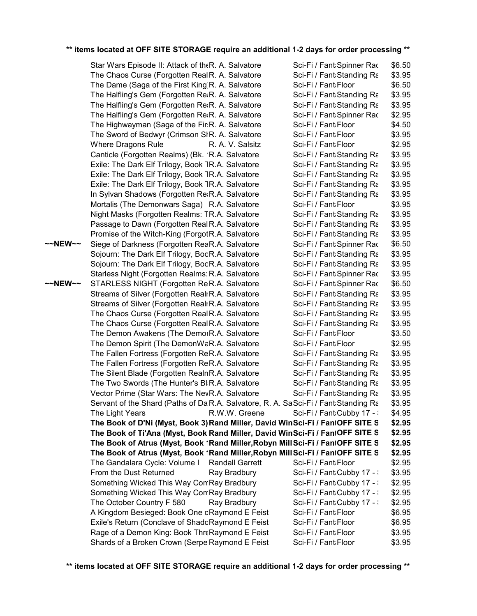|         | Star Wars Episode II: Attack of the R. A. Salvatore                                  |  | Sci-Fi / Fant:Spinner Rac  | \$6.50 |
|---------|--------------------------------------------------------------------------------------|--|----------------------------|--------|
|         | The Chaos Curse (Forgotten Real R. A. Salvatore                                      |  | Sci-Fi / Fant Standing Ra  | \$3.95 |
|         | The Dame (Saga of the First King)R. A. Salvatore                                     |  | Sci-Fi / Fant Floor        | \$6.50 |
|         | The Halfling's Gem (Forgotten Re&R. A. Salvatore                                     |  | Sci-Fi / Fant Standing Ra  | \$3.95 |
|         | The Halfling's Gem (Forgotten ReaR. A. Salvatore                                     |  | Sci-Fi / Fant Standing Ra  | \$3.95 |
|         | The Halfling's Gem (Forgotten ReaR. A. Salvatore                                     |  | Sci-Fi / Fant:Spinner Rac  | \$2.95 |
|         | The Highwayman (Saga of the Fir:R. A. Salvatore                                      |  | Sci-Fi / Fant Floor        | \$4.50 |
|         | The Sword of Bedwyr (Crimson SIR. A. Salvatore                                       |  | Sci-Fi / Fant Floor        | \$3.95 |
|         | Where Dragons Rule<br>R. A. V. Salsitz                                               |  | Sci-Fi / Fant Floor        | \$2.95 |
|         | Canticle (Forgotten Realms) (Bk. 'R.A. Salvatore                                     |  | Sci-Fi / Fant:Standing Ra  | \$3.95 |
|         | Exile: The Dark Elf Trilogy, Book TR.A. Salvatore                                    |  | Sci-Fi / Fant:Standing Ra  | \$3.95 |
|         | Exile: The Dark Elf Trilogy, Book TR.A. Salvatore                                    |  | Sci-Fi / Fant Standing Ra  | \$3.95 |
|         | Exile: The Dark Elf Trilogy, Book TR.A. Salvatore                                    |  | Sci-Fi / Fant Standing Ra  | \$3.95 |
|         | In Sylvan Shadows (Forgotten ReaR.A. Salvatore                                       |  | Sci-Fi / Fant Standing Ra  | \$3.95 |
|         | Mortalis (The Demonwars Saga) R.A. Salvatore                                         |  | Sci-Fi / Fant Floor        | \$3.95 |
|         | Night Masks (Forgotten Realms: TR.A. Salvatore                                       |  | Sci-Fi / Fant Standing Ra  | \$3.95 |
|         | Passage to Dawn (Forgotten Real R.A. Salvatore                                       |  | Sci-Fi / Fant Standing Ra  | \$3.95 |
|         | Promise of the Witch-King (ForgotR.A. Salvatore                                      |  | Sci-Fi / Fant Standing Ra  | \$3.95 |
| ~~NEW~~ | Siege of Darkness (Forgotten ReaR.A. Salvatore                                       |  | Sci-Fi / Fant:Spinner Rac  | \$6.50 |
|         | Sojourn: The Dark Elf Trilogy, BooR.A. Salvatore                                     |  | Sci-Fi / Fant:Standing Ra  | \$3.95 |
|         | Sojourn: The Dark Elf Trilogy, BooR.A. Salvatore                                     |  | Sci-Fi / Fant Standing Ra  | \$3.95 |
|         | Starless Night (Forgotten Realms: R.A. Salvatore                                     |  | Sci-Fi / Fant:Spinner Rac  | \$3.95 |
| ~~NEW~~ | STARLESS NIGHT (Forgotten ReR.A. Salvatore                                           |  | Sci-Fi / Fant:Spinner Rac  | \$6.50 |
|         | Streams of Silver (Forgotten RealrR.A. Salvatore                                     |  | Sci-Fi / Fant:Standing Ra  | \$3.95 |
|         | Streams of Silver (Forgotten RealrR.A. Salvatore                                     |  | Sci-Fi / Fant:Standing Ra  | \$3.95 |
|         | The Chaos Curse (Forgotten Real R.A. Salvatore                                       |  | Sci-Fi / Fant:Standing Ra  | \$3.95 |
|         | The Chaos Curse (Forgotten Real R.A. Salvatore                                       |  | Sci-Fi / Fant Standing Ra  | \$3.95 |
|         | The Demon Awakens (The DemorR.A. Salvatore                                           |  | Sci-Fi / Fant Floor        | \$3.50 |
|         |                                                                                      |  | Sci-Fi / Fant Floor        | \$2.95 |
|         | The Demon Spirit (The DemonWaR.A. Salvatore                                          |  |                            |        |
|         | The Fallen Fortress (Forgotten ReR.A. Salvatore                                      |  | Sci-Fi / Fant Standing Ra  | \$3.95 |
|         | The Fallen Fortress (Forgotten ReR.A. Salvatore                                      |  | Sci-Fi / Fant:Standing Ra  | \$3.95 |
|         | The Silent Blade (Forgotten RealnR.A. Salvatore                                      |  | Sci-Fi / Fant:Standing Ra  | \$3.95 |
|         | The Two Swords (The Hunter's BlaR.A. Salvatore                                       |  | Sci-Fi / Fant Standing Ra  | \$3.95 |
|         | Vector Prime (Star Wars: The NevR.A. Salvatore                                       |  | Sci-Fi / Fant Standing Ra  | \$3.95 |
|         | Servant of the Shard (Paths of Da R.A. Salvatore, R. A. Sa Sci-Fi / Fant Standing Ra |  |                            | \$3.95 |
|         | R.W.W. Greene<br>The Light Years                                                     |  | Sci-Fi / Fant Cubby 17 - : | \$4.95 |
|         | The Book of D'Ni (Myst, Book 3) Rand Miller, David WinSci-Fi / FantOFF SITE S        |  |                            | \$2.95 |
|         | The Book of Ti'Ana (Myst, Book Rand Miller, David WinSci-Fi / FantOFF SITE S         |  |                            | \$2.95 |
|         | The Book of Atrus (Myst, Book 1Rand Miller, Robyn Mill Sci-Fi / FantOFF SITE S       |  |                            | \$2.95 |
|         | The Book of Atrus (Myst, Book 1Rand Miller, Robyn Mill Sci-Fi / FantOFF SITE S       |  |                            | \$2.95 |
|         | The Gandalara Cycle: Volume I<br><b>Randall Garrett</b>                              |  | Sci-Fi / Fant Floor        | \$2.95 |
|         | From the Dust Returned<br>Ray Bradbury                                               |  | Sci-Fi / Fant Cubby 17 - \ | \$3.95 |
|         | Something Wicked This Way ComRay Bradbury                                            |  | Sci-Fi / Fant Cubby 17 - : | \$2.95 |
|         | Something Wicked This Way ComRay Bradbury                                            |  | Sci-Fi / Fant Cubby 17 - : | \$2.95 |
|         | The October Country F 580<br>Ray Bradbury                                            |  | Sci-Fi / Fant:Cubby 17 - : | \$2.95 |
|         | A Kingdom Besieged: Book One oRaymond E Feist                                        |  | Sci-Fi / Fant:Floor        | \$6.95 |
|         | Exile's Return (Conclave of ShadoRaymond E Feist                                     |  | Sci-Fi / Fant Floor        | \$6.95 |
|         | Rage of a Demon King: Book ThreRaymond E Feist                                       |  | Sci-Fi / Fant Floor        | \$3.95 |
|         | Shards of a Broken Crown (Serpe Raymond E Feist                                      |  | Sci-Fi / Fant:Floor        | \$3.95 |
|         |                                                                                      |  |                            |        |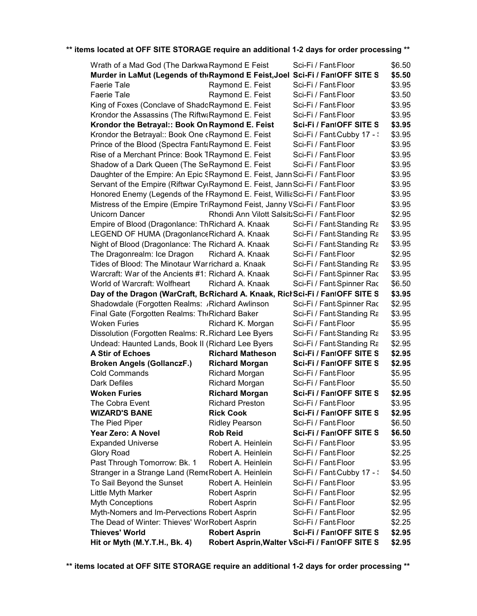| Hit or Myth (M.Y.T.H., Bk. 4)                                                                        |                                              | Robert Asprin, Walter VSci-Fi / FantOFF SITE S | \$2.95           |
|------------------------------------------------------------------------------------------------------|----------------------------------------------|------------------------------------------------|------------------|
| <b>Thieves' World</b>                                                                                | <b>Robert Asprin</b>                         | Sci-Fi / FantOFF SITE S                        | \$2.95           |
| The Dead of Winter: Thieves' WorRobert Asprin                                                        |                                              | Sci-Fi / Fant Floor                            | \$2.25           |
| Myth-Nomers and Im-Pervections Robert Asprin                                                         |                                              | Sci-Fi / Fant Floor                            | \$2.95           |
| <b>Myth Conceptions</b>                                                                              | Robert Asprin                                | Sci-Fi / Fant Floor                            | \$2.95           |
| Little Myth Marker                                                                                   | Robert Asprin                                | Sci-Fi / Fant Floor                            | \$2.95           |
| To Sail Beyond the Sunset                                                                            | Robert A. Heinlein                           | Sci-Fi / Fant Floor                            | \$3.95           |
| Stranger in a Strange Land (RemeRobert A. Heinlein                                                   |                                              | Sci-Fi / Fant Cubby 17 - \                     | \$4.50           |
| Past Through Tomorrow: Bk. 1                                                                         | Robert A. Heinlein                           | Sci-Fi / Fant Floor                            | \$3.95           |
| Glory Road                                                                                           | Robert A. Heinlein                           | Sci-Fi / Fant Floor                            | \$2.25           |
| <b>Expanded Universe</b>                                                                             | Robert A. Heinlein                           | Sci-Fi / Fant Floor                            | \$3.95           |
| Year Zero: A Novel                                                                                   | <b>Rob Reid</b>                              | Sci-Fi / FantOFF SITE S                        | \$6.50           |
| The Pied Piper                                                                                       | <b>Ridley Pearson</b>                        | Sci-Fi / Fant Floor                            | \$6.50           |
| <b>WIZARD'S BANE</b>                                                                                 | <b>Rick Cook</b>                             | Sci-Fi / FantOFF SITE S                        | \$2.95           |
| The Cobra Event                                                                                      | <b>Richard Preston</b>                       | Sci-Fi / Fant:Floor                            | \$3.95           |
| <b>Woken Furies</b>                                                                                  | <b>Richard Morgan</b>                        | Sci-Fi / FantOFF SITE S                        | \$2.95           |
| Dark Defiles                                                                                         | <b>Richard Morgan</b>                        | Sci-Fi / Fant Floor                            | \$5.50           |
| <b>Cold Commands</b>                                                                                 | <b>Richard Morgan</b>                        | Sci-Fi / Fant Floor                            | \$5.95           |
| <b>Broken Angels (GollanczF.)</b>                                                                    | <b>Richard Morgan</b>                        | Sci-Fi / FantOFF SITE S                        | \$2.95           |
| <b>A Stir of Echoes</b>                                                                              | <b>Richard Matheson</b>                      | Sci-Fi / FantOFF SITE S                        | \$2.95           |
| Undead: Haunted Lands, Book II (Richard Lee Byers                                                    |                                              | Sci-Fi / Fant Standing Ra                      | \$2.95           |
| Dissolution (Forgotten Realms: R. Richard Lee Byers                                                  |                                              | Sci-Fi / Fant:Standing Ra                      | \$3.95           |
| <b>Woken Furies</b>                                                                                  | Richard K. Morgan                            | Sci-Fi / Fant Floor                            | \$5.95           |
| Final Gate (Forgotten Realms: The Richard Baker                                                      |                                              | Sci-Fi / Fant Standing Ra                      | \$3.95           |
| Shadowdale (Forgotten Realms: /Richard Awlinson                                                      |                                              | Sci-Fi / Fant:Spinner Rac                      | \$2.95           |
| Day of the Dragon (WarCraft, BcRichard A. Knaak, Rich Sci-Fi / FantOFF SITE S                        |                                              |                                                | \$3.95           |
| World of Warcraft: Wolfheart                                                                         | Richard A. Knaak                             | Sci-Fi / Fant:Spinner Rac                      | \$6.50           |
| Warcraft: War of the Ancients #1: Richard A. Knaak                                                   |                                              | Sci-Fi / Fant:Spinner Rac                      | \$3.95           |
| Tides of Blood: The Minotaur Warrichard a. Knaak                                                     |                                              | Sci-Fi / Fant Standing Ra                      | \$3.95           |
| The Dragonrealm: Ice Dragon                                                                          | Richard A. Knaak                             | Sci-Fi / Fant Floor                            | \$2.95           |
| Night of Blood (Dragonlance: The Richard A. Knaak                                                    |                                              | Sci-Fi / Fant Standing Ra                      | \$3.95           |
| LEGEND OF HUMA (DragonlanceRichard A. Knaak                                                          |                                              | Sci-Fi / Fant:Standing Ra                      | \$3.95           |
| Empire of Blood (Dragonlance: ThRichard A. Knaak                                                     |                                              | Sci-Fi / Fant:Standing Ra                      | \$3.95           |
| Unicorn Dancer                                                                                       | Rhondi Ann Vilott SalsitzSci-Fi / Fant Floor |                                                | \$2.95           |
| Mistress of the Empire (Empire TriRaymond Feist, Janny VSci-Fi / Fant Floor                          |                                              |                                                | \$3.95           |
| Honored Enemy (Legends of the FRaymond E. Feist, WilliaSci-Fi / FantaFloor                           |                                              |                                                | \$3.95           |
| Servant of the Empire (Riftwar CycRaymond E. Feist, Jann Sci-Fi / Fant: Floor                        |                                              |                                                | \$3.95           |
| Daughter of the Empire: An Epic SRaymond E. Feist, Jann Sci-Fi / Fant Floor                          |                                              |                                                | \$3.95           |
| Shadow of a Dark Queen (The SeRaymond E. Feist                                                       |                                              | Sci-Fi / Fant Floor                            | \$3.95           |
| Rise of a Merchant Prince: Book TRaymond E. Feist                                                    |                                              | Sci-Fi / Fant Floor                            | \$3.95           |
| Prince of the Blood (Spectra FantaRaymond E. Feist                                                   |                                              | Sci-Fi / Fant Floor                            | \$3.95           |
| Krondor the Betrayal:: Book One cRaymond E. Feist                                                    |                                              | Sci-Fi / Fant Cubby 17 - :                     | \$3.95           |
| Krondor the Assassins (The RiftwaRaymond E. Feist<br>Krondor the Betrayal:: Book On Raymond E. Feist |                                              | Sci-Fi / FantOFF SITE S                        | \$3.95           |
| King of Foxes (Conclave of ShadoRaymond E. Feist                                                     |                                              | Sci-Fi / Fant Floor<br>Sci-Fi / Fant Floor     | \$3.95<br>\$3.95 |
| Faerie Tale                                                                                          | Raymond E. Feist                             | Sci-Fi / Fant Floor                            | \$3.50           |
| <b>Faerie Tale</b>                                                                                   | Raymond E. Feist                             | Sci-Fi / Fant Floor                            | \$3.95           |
| Murder in LaMut (Legends of th Raymond E Feist, Joel Sci-Fi / FantOFF SITE S                         |                                              |                                                | \$5.50           |
| Wrath of a Mad God (The Darkwa Raymond E Feist                                                       |                                              | Sci-Fi / Fant:Floor                            | \$6.50           |
|                                                                                                      |                                              |                                                |                  |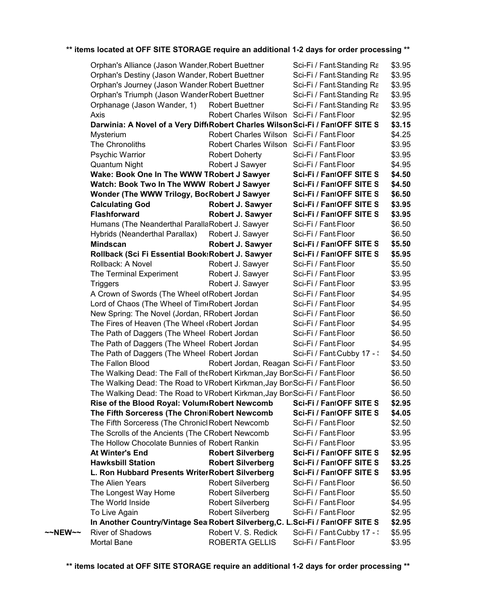|         | Orphan's Alliance (Jason Wander, Robert Buettner                               |                                            | Sci-Fi / Fant Standing Ra  | \$3.95 |
|---------|--------------------------------------------------------------------------------|--------------------------------------------|----------------------------|--------|
|         | Orphan's Destiny (Jason Wander, Robert Buettner                                |                                            | Sci-Fi / Fant:Standing Ra  | \$3.95 |
|         | Orphan's Journey (Jason Wander Robert Buettner                                 |                                            | Sci-Fi / Fant Standing Ra  | \$3.95 |
|         | Orphan's Triumph (Jason Wander Robert Buettner                                 |                                            | Sci-Fi / Fant Standing Ra  | \$3.95 |
|         | Orphanage (Jason Wander, 1)                                                    | <b>Robert Buettner</b>                     | Sci-Fi / Fant Standing Ra  | \$3.95 |
|         | Axis                                                                           | Robert Charles Wilson Sci-Fi / Fant: Floor |                            | \$2.95 |
|         | Darwinia: A Novel of a Very Diff Robert Charles Wilson Sci-Fi / FantOFF SITE S |                                            |                            | \$3.15 |
|         | Mysterium                                                                      | Robert Charles Wilson Sci-Fi / Fant Floor  |                            | \$4.25 |
|         | The Chronoliths                                                                | Robert Charles Wilson Sci-Fi / Fant: Floor |                            | \$3.95 |
|         | <b>Psychic Warrior</b>                                                         | Robert Doherty                             | Sci-Fi / Fant Floor        | \$3.95 |
|         | Quantum Night                                                                  | Robert J Sawyer                            | Sci-Fi / Fant Floor        | \$4.95 |
|         | Wake: Book One In The WWW TRobert J Sawyer                                     |                                            | Sci-Fi / FantOFF SITE S    | \$4.50 |
|         | Watch: Book Two In The WWW Robert J Sawyer                                     |                                            | Sci-Fi / FantOFF SITE S    | \$4.50 |
|         | Wonder (The WWW Trilogy, BocRobert J Sawyer                                    |                                            | Sci-Fi / FantOFF SITE S    | \$6.50 |
|         | <b>Calculating God</b>                                                         | <b>Robert J. Sawyer</b>                    | Sci-Fi / FantOFF SITE S    | \$3.95 |
|         | <b>Flashforward</b>                                                            | Robert J. Sawyer                           | Sci-Fi / FantOFF SITE S    | \$3.95 |
|         | Humans (The Neanderthal ParallaRobert J. Sawyer                                |                                            | Sci-Fi / Fant Floor        | \$6.50 |
|         | Hybrids (Neanderthal Parallax)                                                 | Robert J. Sawyer                           | Sci-Fi / Fant Floor        | \$6.50 |
|         | <b>Mindscan</b>                                                                | Robert J. Sawyer                           | Sci-Fi / FantOFF SITE S    | \$5.50 |
|         | Rollback (Sci Fi Essential Book: Robert J. Sawyer                              |                                            | Sci-Fi / FantOFF SITE S    | \$5.95 |
|         | Rollback: A Novel                                                              | Robert J. Sawyer                           | Sci-Fi / Fant Floor        | \$5.50 |
|         | The Terminal Experiment                                                        | Robert J. Sawyer                           | Sci-Fi / Fant Floor        | \$3.95 |
|         | <b>Triggers</b>                                                                | Robert J. Sawyer                           | Sci-Fi / Fant Floor        | \$3.95 |
|         | A Crown of Swords (The Wheel of Robert Jordan                                  |                                            | Sci-Fi / Fant Floor        | \$4.95 |
|         | Lord of Chaos (The Wheel of Tim Robert Jordan                                  |                                            | Sci-Fi / Fant Floor        | \$4.95 |
|         | New Spring: The Novel (Jordan, RRobert Jordan                                  |                                            | Sci-Fi / Fant Floor        | \$6.50 |
|         | The Fires of Heaven (The Wheel (Robert Jordan                                  |                                            | Sci-Fi / Fant Floor        | \$4.95 |
|         | The Path of Daggers (The Wheel Robert Jordan                                   |                                            | Sci-Fi / Fant Floor        | \$6.50 |
|         | The Path of Daggers (The Wheel Robert Jordan                                   |                                            | Sci-Fi / Fant Floor        | \$4.95 |
|         | The Path of Daggers (The Wheel Robert Jordan                                   |                                            | Sci-Fi / Fant Cubby 17 - : | \$4.50 |
|         | The Fallon Blood                                                               | Robert Jordan, Reagan Sci-Fi / Fant Floor  |                            | \$3.50 |
|         | The Walking Dead: The Fall of the Robert Kirkman, Jay BonSci-Fi / Fant Floor   |                                            |                            | \$6.50 |
|         | The Walking Dead: The Road to VRobert Kirkman, Jay BonSci-Fi / Fant Floor      |                                            |                            | \$6.50 |
|         | The Walking Dead: The Road to VRobert Kirkman, Jay BonSci-Fi / Fant Floor      |                                            |                            | \$6.50 |
|         | Rise of the Blood Royal: Volum Robert Newcomb                                  |                                            | Sci-Fi / FantOFF SITE S    | \$2.95 |
|         | The Fifth Sorceress (The ChroniRobert Newcomb                                  |                                            | Sci-Fi / FantOFF SITE S    | \$4.05 |
|         | The Fifth Sorceress (The Chronicl Robert Newcomb                               |                                            | Sci-Fi / Fant Floor        | \$2.50 |
|         | The Scrolls of the Ancients (The CRobert Newcomb                               |                                            | Sci-Fi / Fant Floor        | \$3.95 |
|         | The Hollow Chocolate Bunnies of Robert Rankin                                  |                                            | Sci-Fi / Fant Floor        | \$3.95 |
|         | <b>At Winter's End</b>                                                         | <b>Robert Silverberg</b>                   | Sci-Fi / FantOFF SITE S    | \$2.95 |
|         | <b>Hawksbill Station</b>                                                       | <b>Robert Silverberg</b>                   | Sci-Fi / FantOFF SITE S    | \$3.25 |
|         | L. Ron Hubbard Presents WriterRobert Silverberg                                |                                            | Sci-Fi / FantOFF SITE S    | \$3.95 |
|         | The Alien Years                                                                | <b>Robert Silverberg</b>                   | Sci-Fi / Fant Floor        | \$6.50 |
|         | The Longest Way Home                                                           | <b>Robert Silverberg</b>                   | Sci-Fi / Fant Floor        | \$5.50 |
|         | The World Inside                                                               | <b>Robert Silverberg</b>                   | Sci-Fi / Fant Floor        | \$4.95 |
|         | To Live Again                                                                  | <b>Robert Silverberg</b>                   | Sci-Fi / Fant Floor        | \$2.95 |
|         | In Another Country/Vintage Sea Robert Silverberg, C. L.Sci-Fi / FantOFF SITE S |                                            |                            | \$2.95 |
| ~~NEW~~ | River of Shadows                                                               | Robert V. S. Redick                        | Sci-Fi / Fant Cubby 17 - \ | \$5.95 |
|         | Mortal Bane                                                                    | ROBERTA GELLIS                             | Sci-Fi / Fant Floor        | \$3.95 |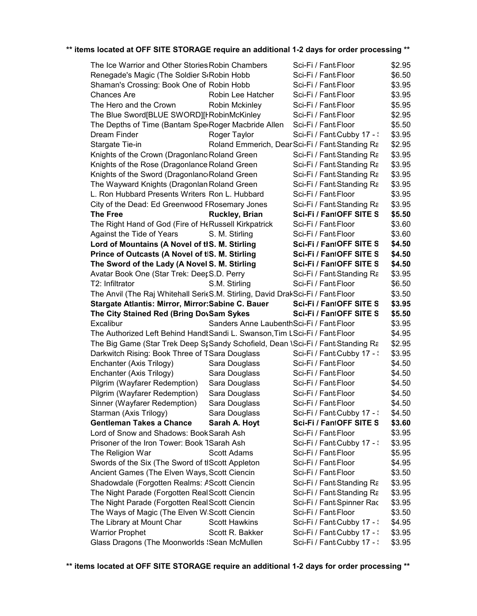| The Ice Warrior and Other Stories Robin Chambers                                                 |                                            | Sci-Fi / Fant Floor                               | \$2.95           |
|--------------------------------------------------------------------------------------------------|--------------------------------------------|---------------------------------------------------|------------------|
| Renegade's Magic (The Soldier ScRobin Hobb                                                       |                                            | Sci-Fi / Fant Floor                               | \$6.50           |
| Shaman's Crossing: Book One of Robin Hobb                                                        |                                            | Sci-Fi / Fant Floor                               | \$3.95           |
| <b>Chances Are</b>                                                                               | Robin Lee Hatcher                          | Sci-Fi / Fant Floor                               | \$3.95           |
| The Hero and the Crown                                                                           | Robin Mckinley                             | Sci-Fi / Fant Floor                               | \$5.95           |
| The Blue Sword[BLUE SWORD][FRobinMcKinley                                                        |                                            | Sci-Fi / Fant Floor                               | \$2.95           |
| The Depths of Time (Bantam SperRoger Macbride Allen                                              |                                            | Sci-Fi / Fant Floor                               | \$5.50           |
| Dream Finder                                                                                     | Roger Taylor                               | Sci-Fi / Fant Cubby 17 - :                        | \$3.95           |
| Stargate Tie-in                                                                                  |                                            | Roland Emmerich, DearSci-Fi / Fant:Standing Ra    | \$2.95           |
| Knights of the Crown (Dragonlanc Roland Green                                                    |                                            | Sci-Fi / Fant Standing Ra                         | \$3.95           |
| Knights of the Rose (Dragonlance Roland Green                                                    |                                            | Sci-Fi / Fant:Standing Ra                         | \$3.95           |
| Knights of the Sword (Dragonlanc Roland Green                                                    |                                            | Sci-Fi / Fant Standing Ra                         | \$3.95           |
| The Wayward Knights (Dragonlan Roland Green                                                      |                                            | Sci-Fi / Fant Standing Ra                         | \$3.95           |
| L. Ron Hubbard Presents Writers Ron L. Hubbard                                                   |                                            | Sci-Fi / Fant Floor                               | \$3.95           |
| City of the Dead: Ed Greenwood FRosemary Jones                                                   |                                            | Sci-Fi / Fant Standing Ra                         | \$3.95           |
| <b>The Free</b>                                                                                  | <b>Ruckley, Brian</b>                      | Sci-Fi / FantOFF SITE S                           | \$5.50           |
| The Right Hand of God (Fire of HeRussell Kirkpatrick                                             |                                            | Sci-Fi / Fant Floor                               | \$3.60           |
| Against the Tide of Years                                                                        | S. M. Stirling                             | Sci-Fi / Fant Floor                               | \$3.60           |
| Lord of Mountains (A Novel of tlS. M. Stirling                                                   |                                            | Sci-Fi / FantOFF SITE S                           | \$4.50           |
| Prince of Outcasts (A Novel of tIS. M. Stirling                                                  |                                            | Sci-Fi / FantOFF SITE S                           | \$4.50           |
| The Sword of the Lady (A Novel S. M. Stirling                                                    |                                            | Sci-Fi / FantOFF SITE S                           | \$4.50           |
| Avatar Book One (Star Trek: DeerS.D. Perry                                                       |                                            | Sci-Fi / Fant Standing Ra                         | \$3.95           |
| T2: Infiltrator                                                                                  | S.M. Stirling                              | Sci-Fi / Fant Floor                               | \$6.50           |
| The Anvil (The Raj Whitehall SerieS.M. Stirling, David DrakSci-Fi / Fant Floor                   |                                            |                                                   | \$3.50           |
| Stargate Atlantis: Mirror, Mirror: Sabine C. Bauer                                               |                                            | Sci-Fi / FantOFF SITE S                           | \$3.95           |
| The City Stained Red (Bring DovSam Sykes                                                         |                                            | Sci-Fi / FantOFF SITE S                           | \$5.50           |
| Excalibur                                                                                        | Sanders Anne Laubenth Sci-Fi / Fant: Floor |                                                   | \$3.95           |
| The Authorized Left Behind Handt Sandi L. Swanson, Tim LSci-Fi / Fant Floor                      |                                            |                                                   | \$4.95           |
| The Big Game (Star Trek Deep St Sandy Schofield, Dean \Sci-Fi / Fant Standing Ra                 |                                            |                                                   | \$2.95           |
| Darkwitch Rising: Book Three of TSara Douglass                                                   |                                            | Sci-Fi / Fant Cubby 17 - :                        | \$3.95           |
| Enchanter (Axis Trilogy)                                                                         | Sara Douglass                              | Sci-Fi / Fant Floor                               | \$4.50           |
| Enchanter (Axis Trilogy)                                                                         | Sara Douglass                              | Sci-Fi / Fant Floor                               | \$4.50           |
| Pilgrim (Wayfarer Redemption)                                                                    | Sara Douglass                              | Sci-Fi / Fant Floor                               | \$4.50           |
| Pilgrim (Wayfarer Redemption)                                                                    | Sara Douglass                              |                                                   |                  |
| Sinner (Wayfarer Redemption)                                                                     |                                            |                                                   |                  |
| Starman (Axis Trilogy)                                                                           |                                            | Sci-Fi / Fant Floor<br>Sci-Fi / Fant Floor        | \$4.50<br>\$4.50 |
|                                                                                                  | Sara Douglass                              |                                                   |                  |
|                                                                                                  | Sara Douglass                              | Sci-Fi / Fant Cubby 17 - \                        | \$4.50           |
| <b>Gentleman Takes a Chance</b>                                                                  | Sarah A. Hoyt                              | Sci-Fi / FantOFF SITE S                           | \$3.60           |
| Lord of Snow and Shadows: Book Sarah Ash<br>Prisoner of the Iron Tower: Book TSarah Ash          |                                            | Sci-Fi / Fant Floor                               | \$3.95           |
|                                                                                                  | Scott Adams                                | Sci-Fi / Fant Cubby 17 - \<br>Sci-Fi / Fant Floor | \$3.95<br>\$5.95 |
| The Religion War                                                                                 |                                            | Sci-Fi / Fant Floor                               | \$4.95           |
| Swords of the Six (The Sword of tIScott Appleton<br>Ancient Games (The Elven Ways, Scott Ciencin |                                            | Sci-Fi / Fant Floor                               | \$3.50           |
| Shadowdale (Forgotten Realms: AScott Ciencin                                                     |                                            |                                                   | \$3.95           |
|                                                                                                  |                                            | Sci-Fi / Fant:Standing Ra                         |                  |
| The Night Parade (Forgotten Real Scott Ciencin                                                   |                                            | Sci-Fi / Fant Standing Ra                         | \$3.95           |
| The Night Parade (Forgotten Real Scott Ciencin                                                   |                                            | Sci-Fi / Fant Spinner Rac<br>Sci-Fi / Fant Floor  | \$3.95<br>\$3.50 |
| The Ways of Magic (The Elven W Scott Ciencin<br>The Library at Mount Char                        | <b>Scott Hawkins</b>                       | Sci-Fi / Fant Cubby 17 - \                        | \$4.95           |
| <b>Warrior Prophet</b>                                                                           | Scott R. Bakker                            | Sci-Fi / Fant:Cubby 17 - :                        | \$3.95           |
| Glass Dragons (The Moonworlds 'Sean McMullen                                                     |                                            | Sci-Fi / Fant Cubby 17 - :                        | \$3.95           |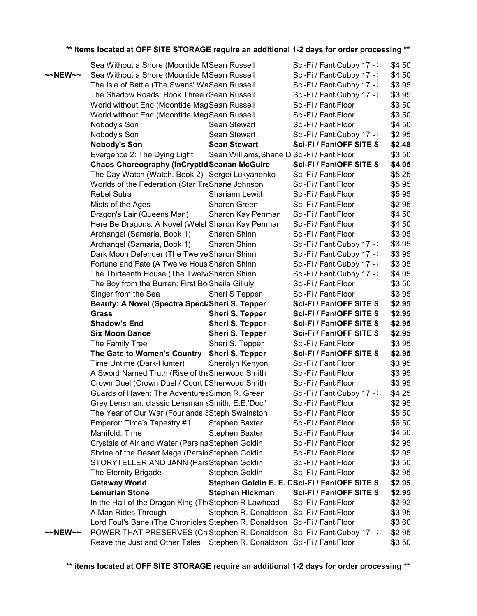|                   | Sea Without a Shore (Moontide MSean Russell                               |                                            | Sci-Fi / Fant Cubby 17 - \                    | \$4.50 |
|-------------------|---------------------------------------------------------------------------|--------------------------------------------|-----------------------------------------------|--------|
| $\sim$ NEW $\sim$ | Sea Without a Shore (Moontide MSean Russell                               |                                            | Sci-Fi / Fant Cubby 17 - :                    | \$4.50 |
|                   | The Isle of Battle (The Swans' WaSean Russell                             |                                            | Sci-Fi / Fant:Cubby 17 - :                    | \$3.95 |
|                   | The Shadow Roads: Book Three (Sean Russell                                |                                            | Sci-Fi / Fant Cubby 17 - :                    | \$3.95 |
|                   | World without End (Moontide MagSean Russell                               |                                            | Sci-Fi / Fant Floor                           | \$3.50 |
|                   | World without End (Moontide MagSean Russell                               |                                            | Sci-Fi / Fant Floor                           | \$3.50 |
|                   | Nobody's Son                                                              | Sean Stewart                               | Sci-Fi / Fant Floor                           | \$4.50 |
|                   | Nobody's Son                                                              | Sean Stewart                               | Sci-Fi / Fant Cubby 17 - :                    | \$2.95 |
|                   | <b>Nobody's Son</b>                                                       | <b>Sean Stewart</b>                        | Sci-Fi / FantOFF SITE S                       | \$2.48 |
|                   | Evergence 2: The Dying Light                                              | Sean Williams, Shane DiSci-Fi / Fant Floor |                                               | \$3.50 |
|                   | <b>Chaos Choreography (InCryptid Seanan McGuire</b>                       |                                            | Sci-Fi / FantOFF SITE S                       | \$4.05 |
|                   | The Day Watch (Watch, Book 2) Sergei Lukyanenko                           |                                            | Sci-Fi / Fant Floor                           | \$5.25 |
|                   | Worlds of the Federation (Star TreShane Johnson                           |                                            | Sci-Fi / Fant Floor                           | \$5.95 |
|                   | <b>Rebel Sutra</b>                                                        | <b>Shariann Lewitt</b>                     | Sci-Fi / Fant Floor                           | \$5.95 |
|                   | Mists of the Ages                                                         | Sharon Green                               | Sci-Fi / Fant Floor                           | \$2.95 |
|                   | Dragon's Lair (Queens Man)                                                | Sharon Kay Penman                          | Sci-Fi / Fant Floor                           | \$4.50 |
|                   | Here Be Dragons: A Novel (WelshSharon Kay Penman                          |                                            | Sci-Fi / Fant Floor                           | \$4.50 |
|                   | Archangel (Samaria, Book 1)                                               | Sharon Shinn                               | Sci-Fi / Fant Floor                           | \$3.95 |
|                   | Archangel (Samaria, Book 1)                                               | Sharon Shinn                               | Sci-Fi / Fant Cubby 17 - :                    | \$3.95 |
|                   | Dark Moon Defender (The Twelve Sharon Shinn                               |                                            | Sci-Fi / Fant Cubby 17 - :                    | \$3.95 |
|                   | Fortune and Fate (A Twelve Hous Sharon Shinn                              |                                            | Sci-Fi / Fant Cubby 17 - :                    | \$3.95 |
|                   | The Thirteenth House (The Twelv Sharon Shinn                              |                                            | Sci-Fi / Fant Cubby 17 - :                    | \$4.05 |
|                   | The Boy from the Burren: First Bo Sheila Gilluly                          |                                            | Sci-Fi / Fant Floor                           | \$3.50 |
|                   | Singer from the Sea                                                       | Sheri S Tepper                             | Sci-Fi / Fant Floor                           | \$3.95 |
|                   | Beauty: A Novel (Spectra SpeciaSheri S. Tepper                            |                                            | Sci-Fi / FantOFF SITE S                       | \$2.95 |
|                   | <b>Grass</b>                                                              | <b>Sheri S. Tepper</b>                     | Sci-Fi / FantOFF SITE S                       | \$2.95 |
|                   | <b>Shadow's End</b>                                                       | <b>Sheri S. Tepper</b>                     | Sci-Fi / FantOFF SITE S                       | \$2.95 |
|                   | <b>Six Moon Dance</b>                                                     | <b>Sheri S. Tepper</b>                     | Sci-Fi / FantOFF SITE S                       | \$2.95 |
|                   | The Family Tree                                                           | Sheri S. Tepper                            | Sci-Fi / Fant Floor                           | \$3.95 |
|                   | The Gate to Women's Country                                               | <b>Sheri S. Tepper</b>                     | Sci-Fi / FantOFF SITE S                       | \$2.95 |
|                   | Time Untime (Dark-Hunter)                                                 | Sherrilyn Kenyon                           | Sci-Fi / Fant Floor                           | \$3.95 |
|                   | A Sword Named Truth (Rise of the Sherwood Smith                           |                                            | Sci-Fi / Fant Floor                           | \$3.95 |
|                   | Crown Duel (Crown Duel / Court ESherwood Smith                            |                                            | Sci-Fi / Fant Floor                           | \$3.95 |
|                   | Guards of Haven: The Adventures Simon R. Green                            |                                            | Sci-Fi / Fant:Cubby 17 - :                    | \$4.25 |
|                   | Grey Lensman: classic Lensman sSmith, E.E.'Doc"                           |                                            | Sci-Fi / Fant Floor                           | \$2.95 |
|                   | The Year of Our War (Fourlands SSteph Swainston                           |                                            | Sci-Fi / Fant Floor                           | \$5.50 |
|                   | Emperor: Time's Tapestry #1                                               | Stephen Baxter                             | Sci-Fi / Fant Floor                           | \$6.50 |
|                   | Manifold: Time                                                            | Stephen Baxter                             | Sci-Fi / Fant Floor                           | \$4.50 |
|                   | Crystals of Air and Water (ParsinaStephen Goldin                          |                                            | Sci-Fi / Fant Floor                           | \$2.95 |
|                   | Shrine of the Desert Mage (ParsinStephen Goldin                           |                                            | Sci-Fi / Fant Floor                           | \$2.95 |
|                   | STORYTELLER AND JANN (ParsStephen Goldin                                  |                                            | Sci-Fi / Fant Floor                           | \$3.50 |
|                   | The Eternity Brigade                                                      | Stephen Goldin                             | Sci-Fi / Fant Floor                           | \$2.95 |
|                   | <b>Getaway World</b>                                                      |                                            | Stephen Goldin E. E. DSci-Fi / FantOFF SITE S | \$2.95 |
|                   | <b>Lemurian Stone</b>                                                     | <b>Stephen Hickman</b>                     | Sci-Fi / FantOFF SITE S                       | \$2.95 |
|                   | In the Hall of the Dragon King (TheStephen R Lawhead                      |                                            | Sci-Fi / Fant Floor                           | \$2.92 |
|                   | A Man Rides Through                                                       | Stephen R. Donaldson Sci-Fi / Fant Floor   |                                               | \$3.95 |
|                   | Lord Foul's Bane (The Chronicles Stephen R. Donaldson Sci-Fi / Fant Floor |                                            |                                               | \$3.60 |
| ~~NEW~~           | POWER THAT PRESERVES (ChiStephen R. Donaldson Sci-Fi / Fant:Cubby 17 -:   |                                            |                                               | \$2.95 |
|                   | Reave the Just and Other Tales Stephen R. Donaldson Sci-Fi / Fant Floor   |                                            |                                               | \$3.50 |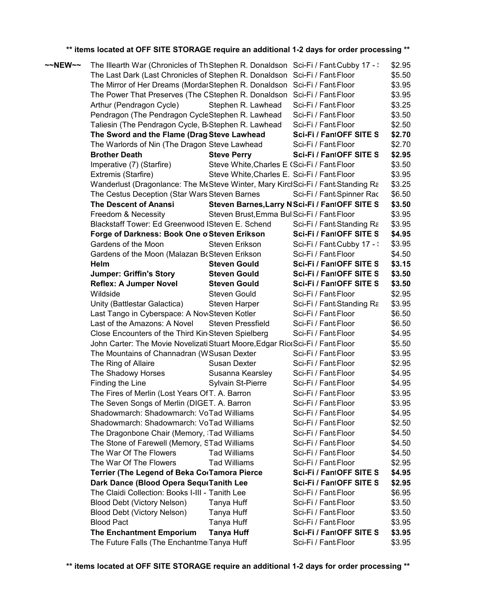| ~~NEW~~ | The Illearth War (Chronicles of Th Stephen R. Donaldson Sci-Fi / Fant Cubby 17 - : |                                              |                                                | \$2.95 |
|---------|------------------------------------------------------------------------------------|----------------------------------------------|------------------------------------------------|--------|
|         | The Last Dark (Last Chronicles of Stephen R. Donaldson Sci-Fi / Fant Floor         |                                              |                                                | \$5.50 |
|         | The Mirror of Her Dreams (MordarStephen R. Donaldson Sci-Fi / Fant:Floor           |                                              |                                                | \$3.95 |
|         | The Power That Preserves (The CStephen R. Donaldson Sci-Fi / Fant Floor            |                                              |                                                | \$3.95 |
|         | Arthur (Pendragon Cycle)                                                           | Stephen R. Lawhead                           | Sci-Fi / Fant Floor                            | \$3.25 |
|         | Pendragon (The Pendragon CycleStephen R. Lawhead                                   |                                              | Sci-Fi / Fant Floor                            | \$3.50 |
|         | Taliesin (The Pendragon Cycle, B <sub>'</sub> Stephen R. Lawhead                   |                                              | Sci-Fi / Fant Floor                            | \$2.50 |
|         | The Sword and the Flame (Drag Steve Lawhead                                        |                                              | Sci-Fi / FantOFF SITE S                        | \$2.70 |
|         | The Warlords of Nin (The Dragon Steve Lawhead                                      |                                              | Sci-Fi / Fant Floor                            | \$2.70 |
|         | <b>Brother Death</b>                                                               | <b>Steve Perry</b>                           | Sci-Fi / FantOFF SITE S                        | \$2.95 |
|         | Imperative (7) (Starfire)                                                          | Steve White, Charles E (Sci-Fi / Fant: Floor |                                                | \$3.50 |
|         | Extremis (Starfire)                                                                | Steve White, Charles E. Sci-Fi / Fant Floor  |                                                | \$3.95 |
|         | Wanderlust (Dragonlance: The McSteve Winter, Mary KirclSci-Fi / Fant Standing Ra   |                                              |                                                | \$3.25 |
|         | The Cestus Deception (Star Wars Steven Barnes                                      |                                              | Sci-Fi / Fant:Spinner Rac                      | \$6.50 |
|         | The Descent of Anansi                                                              |                                              | Steven Barnes, Larry N Sci-Fi / FantOFF SITE S | \$3.50 |
|         | Freedom & Necessity                                                                | Steven Brust, Emma Bull Sci-Fi / Fant: Floor |                                                | \$3.95 |
|         | Blackstaff Tower: Ed Greenwood ISteven E. Schend                                   |                                              | Sci-Fi / Fant:Standing Ra                      | \$3.95 |
|         | Forge of Darkness: Book One o'Steven Erikson                                       |                                              | Sci-Fi / FantOFF SITE S                        | \$4.95 |
|         | Gardens of the Moon                                                                | Steven Erikson                               | Sci-Fi / Fant Cubby 17 - \                     | \$3.95 |
|         | Gardens of the Moon (Malazan BcSteven Erikson                                      |                                              | Sci-Fi / Fant Floor                            | \$4.50 |
|         | Helm                                                                               | <b>Steven Gould</b>                          | Sci-Fi / FantOFF SITE S                        | \$3.15 |
|         | <b>Jumper: Griffin's Story</b>                                                     | <b>Steven Gould</b>                          | Sci-Fi / FantOFF SITE S                        | \$3.50 |
|         | <b>Reflex: A Jumper Novel</b>                                                      | <b>Steven Gould</b>                          | Sci-Fi / FantOFF SITE S                        | \$3.50 |
|         | Wildside                                                                           | Steven Gould                                 | Sci-Fi / Fant Floor                            | \$2.95 |
|         | Unity (Battlestar Galactica)                                                       | Steven Harper                                | Sci-Fi / Fant Standing Ra                      | \$3.95 |
|         | Last Tango in Cyberspace: A NoviSteven Kotler                                      |                                              | Sci-Fi / Fant Floor                            | \$6.50 |
|         | Last of the Amazons: A Novel                                                       | <b>Steven Pressfield</b>                     | Sci-Fi / Fant Floor                            | \$6.50 |
|         | Close Encounters of the Third Kin Steven Spielberg                                 |                                              | Sci-Fi / Fant Floor                            | \$4.95 |
|         | John Carter: The Movie Novelizati Stuart Moore, Edgar Rict Sci-Fi / Fant Floor     |                                              |                                                | \$5.50 |
|         | The Mountains of Channadran (WSusan Dexter                                         |                                              | Sci-Fi / Fant Floor                            | \$3.95 |
|         | The Ring of Allaire                                                                | Susan Dexter                                 | Sci-Fi / Fant Floor                            | \$2.95 |
|         | The Shadowy Horses                                                                 | Susanna Kearsley                             | Sci-Fi / Fant Floor                            | \$4.95 |
|         | Finding the Line                                                                   | <b>Sylvain St-Pierre</b>                     | Sci-Fi / Fant Floor                            | \$4.95 |
|         | The Fires of Merlin (Lost Years OfT. A. Barron                                     |                                              | Sci-Fi / Fant Floor                            | \$3.95 |
|         | The Seven Songs of Merlin (DIGET. A. Barron                                        |                                              | Sci-Fi / Fant Floor                            | \$3.95 |
|         | Shadowmarch: Shadowmarch: VoTad Williams                                           |                                              | Sci-Fi / Fant Floor                            | \$4.95 |
|         | Shadowmarch: Shadowmarch: VoTad Williams                                           |                                              | Sci-Fi / Fant Floor                            | \$2.50 |
|         | The Dragonbone Chair (Memory, 'Tad Williams                                        |                                              | Sci-Fi / Fant Floor                            | \$4.50 |
|         | The Stone of Farewell (Memory, STad Williams                                       |                                              | Sci-Fi / Fant Floor                            | \$4.50 |
|         | The War Of The Flowers                                                             | <b>Tad Williams</b>                          | Sci-Fi / Fant Floor                            | \$4.50 |
|         | The War Of The Flowers                                                             | <b>Tad Williams</b>                          | Sci-Fi / Fant Floor                            | \$2.95 |
|         | Terrier (The Legend of Beka Co Tamora Pierce                                       |                                              | Sci-Fi / FantOFF SITE S                        | \$4.95 |
|         | Dark Dance (Blood Opera SequeTanith Lee                                            |                                              | Sci-Fi / FantOFF SITE S                        | \$2.95 |
|         | The Claidi Collection: Books I-III - Tanith Lee                                    |                                              | Sci-Fi / Fant Floor                            | \$6.95 |
|         |                                                                                    |                                              | Sci-Fi / Fant Floor                            | \$3.50 |
|         | Blood Debt (Victory Nelson)                                                        | Tanya Huff                                   |                                                |        |
|         | Blood Debt (Victory Nelson)                                                        | Tanya Huff                                   | Sci-Fi / Fant Floor                            | \$3.50 |
|         | <b>Blood Pact</b>                                                                  | Tanya Huff                                   | Sci-Fi / Fant Floor                            | \$3.95 |
|         | <b>The Enchantment Emporium</b>                                                    | <b>Tanya Huff</b>                            | Sci-Fi / FantOFF SITE S                        | \$3.95 |
|         | The Future Falls (The EnchantmerTanya Huff                                         |                                              | Sci-Fi / Fant Floor                            | \$3.95 |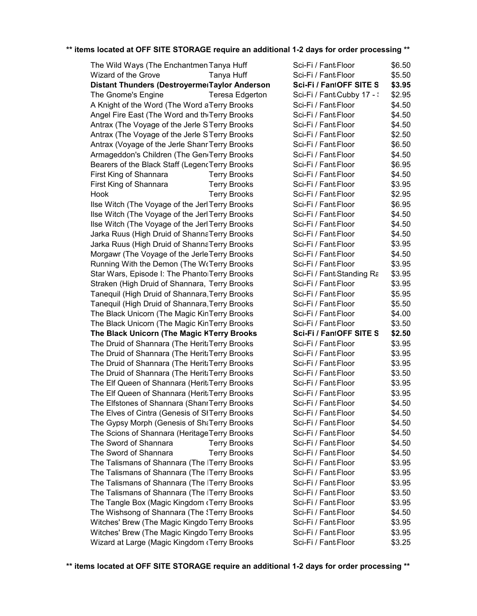| The Wild Ways (The Enchantmen Tanya Huff        |                        | Sci-Fi / Fant Floor        | \$6.50 |
|-------------------------------------------------|------------------------|----------------------------|--------|
| Wizard of the Grove                             | Tanya Huff             | Sci-Fi / Fant Floor        | \$5.50 |
| Distant Thunders (DestroyermerTaylor Anderson   |                        | Sci-Fi / FantOFF SITE S    | \$3.95 |
| The Gnome's Engine                              | <b>Teresa Edgerton</b> | Sci-Fi / Fant Cubby 17 - : | \$2.95 |
| A Knight of the Word (The Word aTerry Brooks    |                        | Sci-Fi / Fant:Floor        | \$4.50 |
| Angel Fire East (The Word and the Terry Brooks  |                        | Sci-Fi / Fant Floor        | \$4.50 |
| Antrax (The Voyage of the Jerle STerry Brooks   |                        | Sci-Fi / Fant Floor        | \$4.50 |
| Antrax (The Voyage of the Jerle STerry Brooks   |                        | Sci-Fi / Fant Floor        | \$2.50 |
| Antrax (Voyage of the Jerle Shanr Terry Brooks  |                        | Sci-Fi / Fant Floor        | \$6.50 |
| Armageddon's Children (The GentTerry Brooks     |                        | Sci-Fi / Fant Floor        | \$4.50 |
| Bearers of the Black Staff (LegencTerry Brooks  |                        | Sci-Fi / Fant Floor        | \$6.95 |
| First King of Shannara                          | <b>Terry Brooks</b>    | Sci-Fi / Fant Floor        | \$4.50 |
| First King of Shannara                          | <b>Terry Brooks</b>    | Sci-Fi / Fant Floor        | \$3.95 |
| Hook                                            | <b>Terry Brooks</b>    | Sci-Fi / Fant Floor        | \$2.95 |
| Ilse Witch (The Voyage of the Jerl Terry Brooks |                        | Sci-Fi / Fant Floor        | \$6.95 |
| Ilse Witch (The Voyage of the Jerl Terry Brooks |                        | Sci-Fi / Fant:Floor        | \$4.50 |
| Ilse Witch (The Voyage of the Jerl Terry Brooks |                        | Sci-Fi / Fant Floor        | \$4.50 |
| Jarka Ruus (High Druid of ShannaTerry Brooks    |                        | Sci-Fi / Fant Floor        | \$4.50 |
| Jarka Ruus (High Druid of ShannaTerry Brooks    |                        | Sci-Fi / Fant Floor        | \$3.95 |
| Morgawr (The Voyage of the JerleTerry Brooks    |                        | Sci-Fi / Fant Floor        | \$4.50 |
| Running With the Demon (The WrTerry Brooks      |                        | Sci-Fi / Fant:Floor        | \$3.95 |
| Star Wars, Episode I: The PhantorTerry Brooks   |                        | Sci-Fi / Fant Standing Ra  | \$3.95 |
| Straken (High Druid of Shannara, Terry Brooks   |                        | Sci-Fi / Fant Floor        | \$3.95 |
| Tanequil (High Druid of Shannara, Terry Brooks  |                        | Sci-Fi / Fant Floor        | \$5.95 |
| Tanequil (High Druid of Shannara, Terry Brooks  |                        | Sci-Fi / Fant Floor        | \$5.50 |
| The Black Unicorn (The Magic KinTerry Brooks    |                        | Sci-Fi / Fant Floor        | \$4.00 |
| The Black Unicorn (The Magic KinTerry Brooks    |                        | Sci-Fi / Fant Floor        | \$3.50 |
| The Black Unicorn (The Magic KTerry Brooks      |                        | Sci-Fi / FantOFF SITE S    | \$2.50 |
| The Druid of Shannara (The Herit Terry Brooks   |                        | Sci-Fi / Fant Floor        | \$3.95 |
| The Druid of Shannara (The Herit Terry Brooks   |                        | Sci-Fi / Fant Floor        | \$3.95 |
| The Druid of Shannara (The Herit Terry Brooks   |                        | Sci-Fi / Fant Floor        | \$3.95 |
| The Druid of Shannara (The Herit Terry Brooks   |                        | Sci-Fi / Fant Floor        | \$3.50 |
| The Elf Queen of Shannara (Herit:Terry Brooks   |                        | Sci-Fi / Fant Floor        | \$3.95 |
| The Elf Queen of Shannara (Herit:Terry Brooks   |                        | Sci-Fi / Fant Floor        | \$3.95 |
| The Elfstones of Shannara (ShanrTerry Brooks    |                        | Sci-Fi / Fant Floor        | \$4.50 |
| The Elves of Cintra (Genesis of SITerry Brooks  |                        | Sci-Fi / Fant:Floor        | \$4.50 |
| The Gypsy Morph (Genesis of ShaTerry Brooks     |                        | Sci-Fi / Fant:Floor        | \$4.50 |
| The Scions of Shannara (Heritage Terry Brooks   |                        | Sci-Fi / Fant:Floor        | \$4.50 |
| The Sword of Shannara                           | <b>Terry Brooks</b>    | Sci-Fi / Fant:Floor        | \$4.50 |
| The Sword of Shannara                           | <b>Terry Brooks</b>    | Sci-Fi / Fant Floor        | \$4.50 |
| The Talismans of Shannara (The ITerry Brooks    |                        | Sci-Fi / Fant Floor        | \$3.95 |
| The Talismans of Shannara (The ITerry Brooks    |                        | Sci-Fi / Fant Floor        | \$3.95 |
| The Talismans of Shannara (The ITerry Brooks    |                        | Sci-Fi / Fant Floor        | \$3.95 |
| The Talismans of Shannara (The ITerry Brooks    |                        | Sci-Fi / Fant Floor        | \$3.50 |
| The Tangle Box (Magic Kingdom (Terry Brooks     |                        | Sci-Fi / Fant Floor        | \$3.95 |
| The Wishsong of Shannara (The STerry Brooks     |                        | Sci-Fi / Fant Floor        | \$4.50 |
| Witches' Brew (The Magic Kingdo Terry Brooks    |                        | Sci-Fi / Fant Floor        | \$3.95 |
| Witches' Brew (The Magic Kingdo Terry Brooks    |                        | Sci-Fi / Fant Floor        | \$3.95 |
| Wizard at Large (Magic Kingdom (Terry Brooks    |                        | Sci-Fi / Fant Floor        | \$3.25 |

| Sci-Fi / Fant:Floor                        | \$6.50           |
|--------------------------------------------|------------------|
| Sci-Fi / Fant:Floor                        | \$5.50           |
| Sci-Fi / FantOFF SITE S                    | \$3.95           |
| Sci-Fi / Fant:Cubby 17 - :                 | \$2.95           |
| Sci-Fi / Fant:Floor                        | \$4.50           |
| Sci-Fi / Fant:Floor                        | \$4.50           |
| Sci-Fi / Fant:Floor                        | \$4.50           |
| Sci-Fi / Fant:Floor                        | \$2.50           |
| Sci-Fi / Fant:Floor                        | \$6.50           |
| Sci-Fi / Fant:Floor                        | \$4.50           |
| Sci-Fi / Fant:Floor                        | \$6.95           |
| Sci-Fi / Fant:Floor                        | \$4.50           |
| Sci-Fi / Fant:Floor                        | \$3.95           |
| Sci-Fi / Fant:Floor                        | \$2.95           |
| Sci-Fi / Fant:Floor                        | \$6.95           |
| Sci-Fi / Fant:Floor                        | \$4.50           |
| Sci-Fi / Fant:Floor                        | \$4.50           |
| Sci-Fi / Fant:Floor                        | \$4.50           |
| Sci-Fi / Fant:Floor                        | \$3.95           |
| Sci-Fi / Fant:Floor                        | \$4.50           |
| Sci-Fi / Fant:Floor                        | \$3.95           |
| Sci-Fi / Fant:Standing Ra                  | \$3.95           |
| Sci-Fi / Fant:Floor                        | \$3.95           |
| Sci-Fi / Fant:Floor                        | \$5.95           |
|                                            |                  |
|                                            |                  |
| Sci-Fi / Fant:Floor                        | \$5.50           |
| Sci-Fi / Fant:Floor<br>Sci-Fi / Fant:Floor | \$4.00<br>\$3.50 |
| Sci-Fi / FantOFF SITE S                    | \$2.50           |
| Sci-Fi / Fant:Floor                        | \$3.95           |
| Sci-Fi / Fant:Floor                        | \$3.95           |
| Sci-Fi / Fant:Floor                        | \$3.95           |
| Sci-Fi / Fant:Floor                        | \$3.50           |
| Sci-Fi / Fant:Floor                        | \$3.95           |
| Sci-Fi / Fant:Floor                        | \$3.95           |
| Sci-Fi / Fant:Floor                        | \$4.50           |
| Sci-Fi / Fant،Floor                        | \$4.50           |
| Sci-Fi / Fant:Floor                        | \$4.50           |
| Sci-Fi / Fant Floor                        | \$4.50           |
| Sci-Fi / Fant:Floor                        | \$4.50           |
| Sci-Fi / Fant Floor                        | \$4.50           |
| Sci-Fi / Fant:Floor                        | \$3.95           |
| Sci-Fi / Fant:Floor                        | \$3.95           |
| Sci-Fi / Fant:Floor                        | \$3.95           |
| Sci-Fi / Fant Floor                        | \$3.50           |
| Sci-Fi / Fant Floor                        | \$3.95           |
| Sci-Fi / Fant:Floor                        | \$4.50           |
| Sci-Fi / Fant:Floor                        | \$3.95           |
| Sci-Fi / Fant:Floor                        | \$3.95           |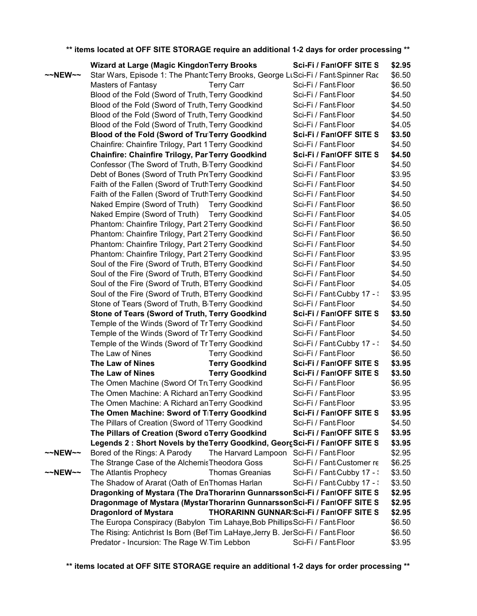|                    | <b>Wizard at Large (Magic KingdonTerry Brooks)</b>                               |                                         | Sci-Fi / FantOFF SITE S                         | \$2.95 |
|--------------------|----------------------------------------------------------------------------------|-----------------------------------------|-------------------------------------------------|--------|
| $\sim$ NEW $\sim$  | Star Wars, Episode 1: The PhantcTerry Brooks, George LtSci-Fi / Fant:Spinner Rac |                                         |                                                 | \$6.50 |
|                    | <b>Masters of Fantasy</b>                                                        | <b>Terry Carr</b>                       | Sci-Fi / Fant Floor                             | \$6.50 |
|                    | Blood of the Fold (Sword of Truth, Terry Goodkind                                |                                         | Sci-Fi / Fant Floor                             | \$4.50 |
|                    | Blood of the Fold (Sword of Truth, Terry Goodkind                                |                                         | Sci-Fi / Fant Floor                             | \$4.50 |
|                    | Blood of the Fold (Sword of Truth, Terry Goodkind                                |                                         | Sci-Fi / Fant Floor                             | \$4.50 |
|                    | Blood of the Fold (Sword of Truth, Terry Goodkind                                |                                         | Sci-Fi / Fant Floor                             | \$4.05 |
|                    | Blood of the Fold (Sword of Tru Terry Goodkind                                   |                                         | Sci-Fi / FantOFF SITE S                         | \$3.50 |
|                    | Chainfire: Chainfire Trilogy, Part 1 Terry Goodkind                              |                                         | Sci-Fi / Fant Floor                             | \$4.50 |
|                    | <b>Chainfire: Chainfire Trilogy, ParTerry Goodkind</b>                           |                                         | Sci-Fi / FantOFF SITE S                         | \$4.50 |
|                    | Confessor (The Sword of Truth, B <sub>'</sub> Terry Goodkind                     |                                         | Sci-Fi / Fant Floor                             | \$4.50 |
|                    | Debt of Bones (Sword of Truth PreTerry Goodkind                                  |                                         | Sci-Fi / Fant Floor                             | \$3.95 |
|                    | Faith of the Fallen (Sword of TruthTerry Goodkind                                |                                         | Sci-Fi / Fant Floor                             | \$4.50 |
|                    | Faith of the Fallen (Sword of TruthTerry Goodkind                                |                                         | Sci-Fi / Fant Floor                             | \$4.50 |
|                    | Naked Empire (Sword of Truth) Terry Goodkind                                     |                                         | Sci-Fi / Fant Floor                             | \$6.50 |
|                    | Naked Empire (Sword of Truth) Terry Goodkind                                     |                                         | Sci-Fi / Fant Floor                             | \$4.05 |
|                    | Phantom: Chainfire Trilogy, Part 2 Terry Goodkind                                |                                         | Sci-Fi / Fant Floor                             | \$6.50 |
|                    | Phantom: Chainfire Trilogy, Part 2 Terry Goodkind                                |                                         | Sci-Fi / Fant Floor                             | \$6.50 |
|                    | Phantom: Chainfire Trilogy, Part 2 Terry Goodkind                                |                                         | Sci-Fi / Fant Floor                             | \$4.50 |
|                    | Phantom: Chainfire Trilogy, Part 2 Terry Goodkind                                |                                         | Sci-Fi / Fant Floor                             | \$3.95 |
|                    | Soul of the Fire (Sword of Truth, BTerry Goodkind                                |                                         | Sci-Fi / Fant Floor                             | \$4.50 |
|                    | Soul of the Fire (Sword of Truth, BTerry Goodkind                                |                                         | Sci-Fi / Fant Floor                             | \$4.50 |
|                    | Soul of the Fire (Sword of Truth, BTerry Goodkind                                |                                         | Sci-Fi / Fant Floor                             | \$4.05 |
|                    | Soul of the Fire (Sword of Truth, BTerry Goodkind                                |                                         | Sci-Fi / Fant Cubby 17 - :                      | \$3.95 |
|                    | Stone of Tears (Sword of Truth, B <sub>I</sub> Terry Goodkind                    |                                         | Sci-Fi / Fant Floor                             | \$4.50 |
|                    | Stone of Tears (Sword of Truth, Terry Goodkind                                   |                                         | Sci-Fi / FantOFF SITE S                         | \$3.50 |
|                    | Temple of the Winds (Sword of Tr Terry Goodkind                                  |                                         | Sci-Fi / Fant Floor                             | \$4.50 |
|                    | Temple of the Winds (Sword of Tr Terry Goodkind                                  |                                         | Sci-Fi / Fant Floor                             | \$4.50 |
|                    | Temple of the Winds (Sword of Tr Terry Goodkind                                  |                                         | Sci-Fi / Fant Cubby 17 - :                      | \$4.50 |
|                    | The Law of Nines                                                                 | <b>Terry Goodkind</b>                   | Sci-Fi / Fant Floor                             | \$6.50 |
|                    | The Law of Nines                                                                 | <b>Terry Goodkind</b>                   | Sci-Fi / FantOFF SITE S                         | \$3.95 |
|                    | The Law of Nines                                                                 | <b>Terry Goodkind</b>                   | Sci-Fi / FantOFF SITE S                         | \$3.50 |
|                    | The Omen Machine (Sword Of TruTerry Goodkind                                     |                                         | Sci-Fi / Fant Floor                             | \$6.95 |
|                    | The Omen Machine: A Richard an Terry Goodkind                                    |                                         | Sci-Fi / Fant Floor                             | \$3.95 |
|                    | The Omen Machine: A Richard an Terry Goodkind                                    |                                         | Sci-Fi / Fant Floor                             | \$3.95 |
|                    | The Omen Machine: Sword of TiTerry Goodkind                                      |                                         | Sci-Fi / FantOFF SITE S                         | \$3.95 |
|                    | The Pillars of Creation (Sword of TTerry Goodkind                                |                                         | Sci-Fi / Fant Floor                             | \$4.50 |
|                    | The Pillars of Creation (Sword oTerry Goodkind                                   |                                         | Sci-Fi / FantOFF SITE S                         | \$3.95 |
|                    | Legends 2 : Short Novels by the Terry Goodkind, GeorgSci-Fi / FantOFF SITE S     |                                         |                                                 | \$3.95 |
| $~\sim$ NEW $\sim$ | Bored of the Rings: A Parody                                                     | The Harvard Lampoon Sci-Fi / Fant Floor |                                                 | \$2.95 |
|                    | The Strange Case of the Alchemis Theodora Goss                                   |                                         | Sci-Fi / Fant Customer re                       | \$6.25 |
| $\sim$ NEW $\sim$  | The Atlantis Prophecy                                                            | <b>Thomas Greanias</b>                  | Sci-Fi / Fant Cubby 17 - :                      | \$3.50 |
|                    | The Shadow of Ararat (Oath of EnThomas Harlan                                    |                                         | Sci-Fi / Fant Cubby 17 - :                      | \$3.50 |
|                    | Dragonking of Mystara (The DraThorarinn GunnarssonSci-Fi / FantOFF SITE S        |                                         |                                                 | \$2.95 |
|                    | Dragonmage of Mystara (MystarThorarinn GunnarssonSci-Fi / FantOFF SITE S         |                                         |                                                 | \$2.95 |
|                    | <b>Dragonlord of Mystara</b>                                                     |                                         | <b>THORARINN GUNNAR:Sci-Fi / Fan1OFF SITE S</b> | \$2.95 |
|                    | The Europa Conspiracy (Babylon   Tim Lahaye, Bob Phillips Sci-Fi / Fant Floor    |                                         |                                                 | \$6.50 |
|                    | The Rising: Antichrist Is Born (BefiTim LaHaye, Jerry B. JerSci-Fi / Fant Floor  |                                         |                                                 | \$6.50 |
|                    | Predator - Incursion: The Rage W Tim Lebbon                                      |                                         | Sci-Fi / Fant Floor                             | \$3.95 |
|                    |                                                                                  |                                         |                                                 |        |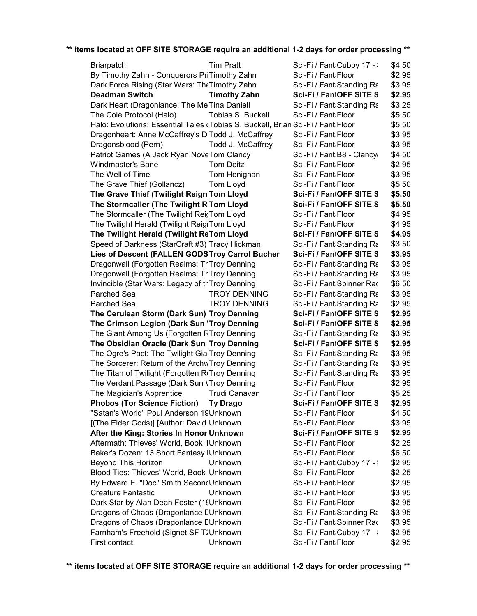| <b>Tim Pratt</b><br><b>Briarpatch</b>                                           | Sci-Fi / Fant:Cubby 17 - : | \$4.50 |
|---------------------------------------------------------------------------------|----------------------------|--------|
| By Timothy Zahn - Conquerors PriTimothy Zahn                                    | Sci-Fi / Fant Floor        | \$2.95 |
| Dark Force Rising (Star Wars: The Timothy Zahn                                  | Sci-Fi / Fant:Standing Ra  | \$3.95 |
| <b>Deadman Switch</b><br><b>Timothy Zahn</b>                                    | Sci-Fi / FantOFF SITE S    | \$2.95 |
| Dark Heart (Dragonlance: The Me Tina Daniell                                    | Sci-Fi / Fant:Standing Ra  | \$3.25 |
| Tobias S. Buckell<br>The Cole Protocol (Halo)                                   | Sci-Fi / Fant Floor        | \$5.50 |
| Halo: Evolutions: Essential Tales (Tobias S. Buckell, Brian Sci-Fi / Fant Floor |                            | \$5.50 |
| Dragonheart: Anne McCaffrey's DiTodd J. McCaffrey                               | Sci-Fi / Fant Floor        | \$3.95 |
| Dragonsblood (Pern)<br>Todd J. McCaffrey                                        | Sci-Fi / Fant Floor        | \$3.95 |
| Patriot Games (A Jack Ryan NoveTom Clancy                                       | Sci-Fi / Fant:B8 - Clancy/ | \$4.50 |
| Windmaster's Bane<br>Tom Deitz                                                  | Sci-Fi / Fant Floor        | \$2.95 |
| The Well of Time<br>Tom Henighan                                                | Sci-Fi / Fant Floor        | \$3.95 |
| The Grave Thief (Gollancz)<br>Tom Lloyd                                         | Sci-Fi / Fant Floor        | \$5.50 |
| The Grave Thief (Twilight Reign)Tom Lloyd                                       | Sci-Fi / FantOFF SITE S    | \$5.50 |
| The Stormcaller (The Twilight R Tom Lloyd                                       | Sci-Fi / FantOFF SITE S    | \$5.50 |
| The Stormcaller (The Twilight ReisTom Lloyd                                     | Sci-Fi / Fant Floor        | \$4.95 |
| The Twilight Herald (Twilight ReigrTom Lloyd                                    | Sci-Fi / Fant Floor        | \$4.95 |
| The Twilight Herald (Twilight ReTom Lloyd                                       | Sci-Fi / FantOFF SITE S    | \$4.95 |
| Speed of Darkness (StarCraft #3) Tracy Hickman                                  | Sci-Fi / Fant:Standing Ra  | \$3.50 |
| Lies of Descent (FALLEN GODSTroy Carrol Bucher                                  | Sci-Fi / FantOFF SITE S    | \$3.95 |
| Dragonwall (Forgotten Realms: TrTroy Denning                                    | Sci-Fi / Fant:Standing Ra  | \$3.95 |
| Dragonwall (Forgotten Realms: ThTroy Denning                                    | Sci-Fi / Fant:Standing Ra  | \$3.95 |
| Invincible (Star Wars: Legacy of thTroy Denning                                 | Sci-Fi / Fant Spinner Rac  | \$6.50 |
| <b>TROY DENNING</b><br>Parched Sea                                              | Sci-Fi / Fant:Standing Ra  | \$3.95 |
| Parched Sea<br><b>TROY DENNING</b>                                              | Sci-Fi / Fant:Standing Ra  | \$2.95 |
| The Cerulean Storm (Dark Sun) Troy Denning                                      | Sci-Fi / FantOFF SITE S    | \$2.95 |
| The Crimson Legion (Dark Sun ITroy Denning                                      | Sci-Fi / FantOFF SITE S    | \$2.95 |
| The Giant Among Us (Forgotten RTroy Denning                                     | Sci-Fi / Fant:Standing Ra  | \$3.95 |
| The Obsidian Oracle (Dark Sun Troy Denning                                      | Sci-Fi / FantOFF SITE S    | \$2.95 |
| The Ogre's Pact: The Twilight GiarTroy Denning                                  | Sci-Fi / Fant:Standing Ra  | \$3.95 |
| The Sorcerer: Return of the ArchwTroy Denning                                   | Sci-Fi / Fant Standing Ra  | \$3.95 |
| The Titan of Twilight (Forgotten RtTroy Denning                                 | Sci-Fi / Fant:Standing Ra  | \$3.95 |
| The Verdant Passage (Dark Sun VTroy Denning                                     | Sci-Fi / Fant Floor        | \$2.95 |
| The Magician's Apprentice<br>Trudi Canavan                                      | Sci-Fi / Fant Floor        | \$5.25 |
| <b>Phobos (Tor Science Fiction)</b><br><b>Ty Drago</b>                          | Sci-Fi / FantOFF SITE S    | \$2.95 |
| "Satan's World" Poul Anderson 19Unknown                                         | Sci-Fi / Fant Floor        | \$4.50 |
| [(The Elder Gods)] [Author: David Unknown                                       | Sci-Fi / Fant Floor        | \$3.95 |
| After the King: Stories In Honor Unknown                                        | Sci-Fi / FantOFF SITE S    | \$2.95 |
| Aftermath: Thieves' World, Book 1Unknown                                        | Sci-Fi / Fant Floor        | \$2.25 |
| Baker's Dozen: 13 Short Fantasy IUnknown                                        | Sci-Fi / Fant Floor        | \$6.50 |
| <b>Beyond This Horizon</b><br><b>Unknown</b>                                    | Sci-Fi / Fant Cubby 17 -   | \$2.95 |
| Blood Ties: Thieves' World, Book Unknown                                        | Sci-Fi / Fant Floor        | \$2.25 |
|                                                                                 | Sci-Fi / Fant Floor        |        |
| By Edward E. "Doc" Smith SeconcUnknown                                          |                            | \$2.95 |
| <b>Creature Fantastic</b><br>Unknown                                            | Sci-Fi / Fant Floor        | \$3.95 |
| Dark Star by Alan Dean Foster (19Unknown                                        | Sci-Fi / Fant:Floor        | \$2.95 |
| Dragons of Chaos (Dragonlance EUnknown                                          | Sci-Fi / Fant:Standing Ra  | \$3.95 |
| Dragons of Chaos (Dragonlance EUnknown                                          | Sci-Fi / Fant:Spinner Rac  | \$3.95 |
| Farnham's Freehold (Signet SF T2Unknown                                         | Sci-Fi / Fant Cubby 17 - \ | \$2.95 |
| First contact<br>Unknown                                                        | Sci-Fi / Fant:Floor        | \$2.95 |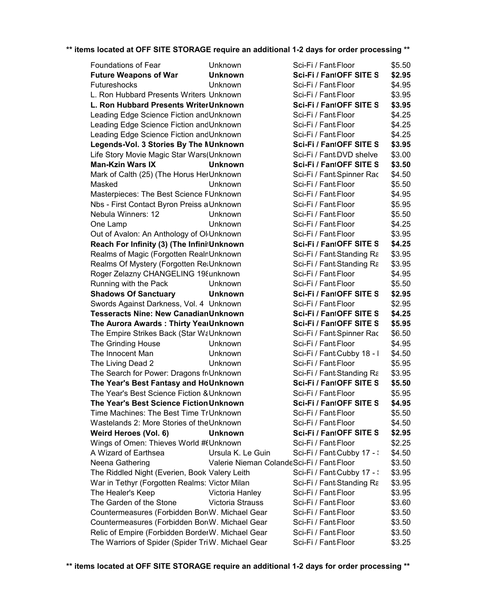| Foundations of Fear                                    | Unknown                                   | Sci-Fi / Fant:Floor        | \$5.50 |
|--------------------------------------------------------|-------------------------------------------|----------------------------|--------|
| <b>Future Weapons of War</b>                           | <b>Unknown</b>                            | Sci-Fi / FantOFF SITE S    | \$2.95 |
| Futureshocks                                           | Unknown                                   | Sci-Fi / Fant Floor        | \$4.95 |
| L. Ron Hubbard Presents Writers Unknown                |                                           | Sci-Fi / Fant Floor        | \$3.95 |
| L. Ron Hubbard Presents WriterUnknown                  |                                           | Sci-Fi / FantOFF SITE S    | \$3.95 |
| Leading Edge Science Fiction and Unknown               |                                           | Sci-Fi / Fant Floor        | \$4.25 |
| Leading Edge Science Fiction and Unknown               |                                           | Sci-Fi / Fant Floor        | \$4.25 |
| Leading Edge Science Fiction and Unknown               |                                           | Sci-Fi / Fant Floor        | \$4.25 |
| Legends-Vol. 3 Stories By The NUnknown                 |                                           | Sci-Fi / FantOFF SITE S    | \$3.95 |
| Life Story Movie Magic Star Wars(Unknown               |                                           | Sci-Fi / Fant:DVD shelve   | \$3.00 |
| <b>Man-Kzin Wars IX</b>                                | <b>Unknown</b>                            | Sci-Fi / FantOFF SITE S    | \$3.50 |
| Mark of Calth (25) (The Horus HerUnknown               |                                           | Sci-Fi / Fant Spinner Rac  | \$4.50 |
| Masked                                                 | Unknown                                   | Sci-Fi / Fant Floor        | \$5.50 |
| Masterpieces: The Best Science FUnknown                |                                           | Sci-Fi / Fant Floor        | \$4.95 |
| Nbs - First Contact Byron Preiss a Unknown             |                                           | Sci-Fi / Fant Floor        | \$5.95 |
| Nebula Winners: 12                                     | Unknown                                   | Sci-Fi / Fant Floor        | \$5.50 |
| One Lamp                                               | Unknown                                   | Sci-Fi / Fant Floor        | \$4.25 |
| Out of Avalon: An Anthology of Ol <sub>l</sub> Unknown |                                           | Sci-Fi / Fant Floor        | \$3.95 |
| Reach For Infinity (3) (The InfinitUnknown             |                                           | Sci-Fi / FantOFF SITE S    | \$4.25 |
| Realms of Magic (Forgotten RealnUnknown                |                                           | Sci-Fi / Fant:Standing Ra  | \$3.95 |
| Realms Of Mystery (Forgotten ReaUnknown                |                                           | Sci-Fi / Fant Standing Ra  | \$3.95 |
| Roger Zelazny CHANGELING 198unknown                    |                                           | Sci-Fi / Fant Floor        | \$4.95 |
| Running with the Pack                                  | Unknown                                   | Sci-Fi / Fant Floor        | \$5.50 |
| <b>Shadows Of Sanctuary</b>                            | <b>Unknown</b>                            | Sci-Fi / FantOFF SITE S    | \$2.95 |
| Swords Against Darkness, Vol. 4 Unknown                |                                           | Sci-Fi / Fant Floor        | \$2.95 |
| <b>Tesseracts Nine: New CanadianUnknown</b>            |                                           | Sci-Fi / FantOFF SITE S    | \$4.25 |
| The Aurora Awards: Thirty YearUnknown                  |                                           | Sci-Fi / FantOFF SITE S    | \$5.95 |
| The Empire Strikes Back (Star WaUnknown                |                                           | Sci-Fi / Fant Spinner Rac  | \$6.50 |
| The Grinding House                                     | Unknown                                   | Sci-Fi / Fant Floor        | \$4.95 |
| The Innocent Man                                       | Unknown                                   | Sci-Fi / Fant Cubby 18 - I | \$4.50 |
| The Living Dead 2                                      | Unknown                                   | Sci-Fi / Fant Floor        | \$5.95 |
| The Search for Power: Dragons fr Unknown               |                                           | Sci-Fi / Fant:Standing Ra  | \$3.95 |
| The Year's Best Fantasy and HoUnknown                  |                                           | Sci-Fi / FantOFF SITE S    | \$5.50 |
| The Year's Best Science Fiction & Unknown              |                                           | Sci-Fi / Fant Floor        | \$5.95 |
| The Year's Best Science Fiction Unknown                |                                           | Sci-Fi / FantOFF SITE S    | \$4.95 |
| Time Machines: The Best Time TrUnknown                 |                                           | Sci-Fi / Fant:Floor        | \$5.50 |
| Wastelands 2: More Stories of the Unknown              |                                           | Sci-Fi / Fant Floor        | \$4.50 |
| Weird Heroes (Vol. 6)                                  | <b>Unknown</b>                            | Sci-Fi / FantOFF SITE S    | \$2.95 |
| Wings of Omen: Thieves World #(Unknown                 |                                           | Sci-Fi / Fant Floor        | \$2.25 |
| A Wizard of Earthsea                                   | Ursula K. Le Guin                         | Sci-Fi / Fant Cubby 17 - \ | \$4.50 |
| Neena Gathering                                        | Valerie Nieman ColandeSci-Fi / Fant Floor |                            | \$3.50 |
| The Riddled Night (Everien, Book Valery Leith          |                                           | Sci-Fi / Fant Cubby 17 - : | \$3.95 |
| War in Tethyr (Forgotten Realms: Victor Milan          |                                           | Sci-Fi / Fant:Standing Ra  | \$3.95 |
| The Healer's Keep                                      | Victoria Hanley                           | Sci-Fi / Fant Floor        | \$3.95 |
| The Garden of the Stone                                | Victoria Strauss                          | Sci-Fi / Fant Floor        | \$3.60 |
| Countermeasures (Forbidden Bor(W. Michael Gear         |                                           | Sci-Fi / Fant Floor        | \$3.50 |
| Countermeasures (Forbidden Bor(W. Michael Gear         |                                           | Sci-Fi / Fant Floor        | \$3.50 |
| Relic of Empire (Forbidden BorderW. Michael Gear       |                                           | Sci-Fi / Fant Floor        | \$3.50 |
| The Warriors of Spider (Spider TriW. Michael Gear      |                                           | Sci-Fi / Fant Floor        | \$3.25 |